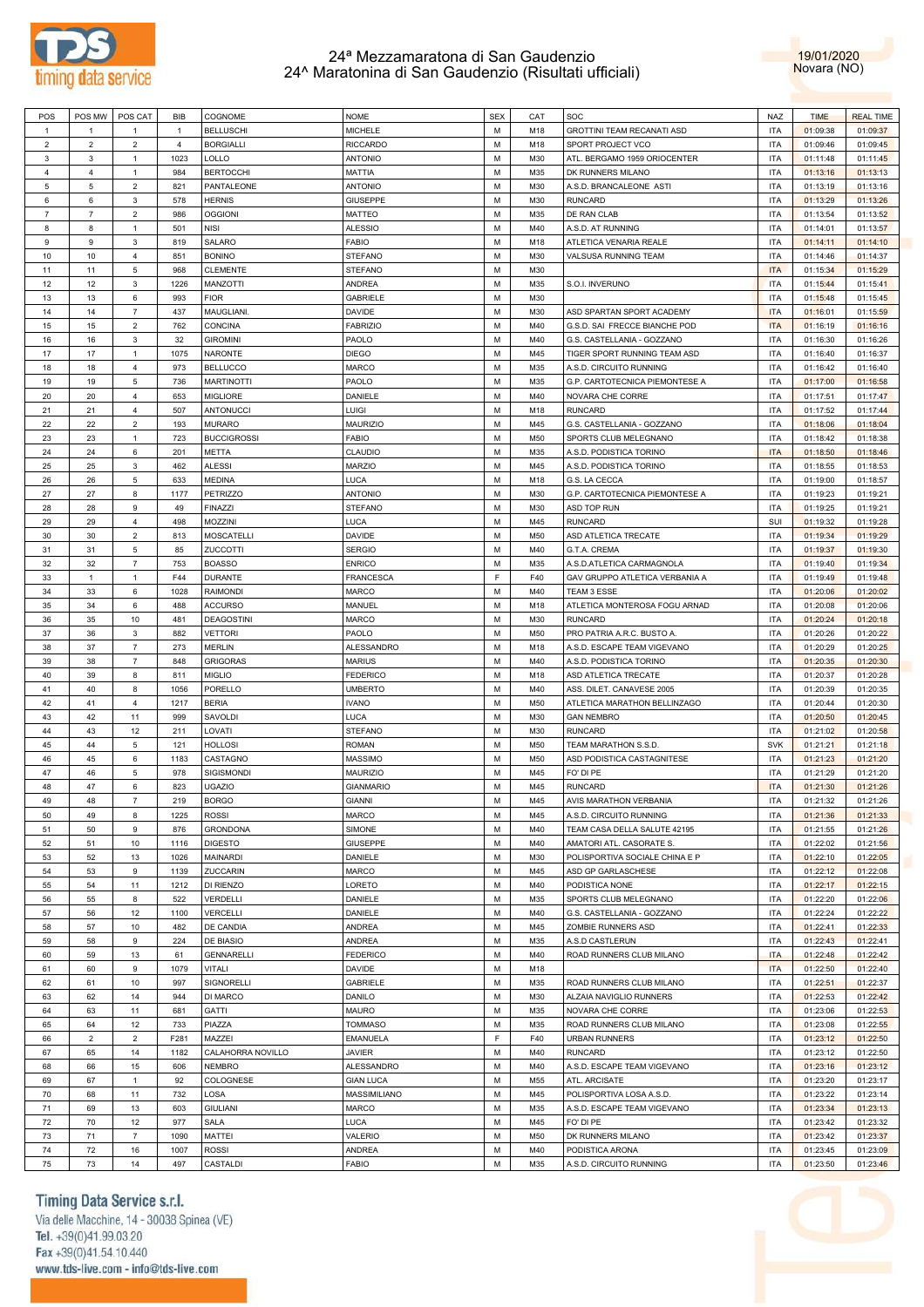



| POS            | POS MW         | POS CAT        | BIB            | COGNOME            | <b>NOME</b>      | <b>SEX</b> | CAT | SOC                            | <b>NAZ</b> | <b>TIME</b> | <b>REAL TIME</b> |
|----------------|----------------|----------------|----------------|--------------------|------------------|------------|-----|--------------------------------|------------|-------------|------------------|
| $\overline{1}$ | $\mathbf{1}$   | $\overline{1}$ | $\overline{1}$ | <b>BELLUSCHI</b>   | MICHELE          | M          | M18 | GROTTINI TEAM RECANATI ASD     | <b>ITA</b> | 01:09:38    | 01:09:37         |
| $\overline{c}$ | $\overline{2}$ | $\overline{2}$ | $\overline{4}$ | <b>BORGIALLI</b>   | <b>RICCARDO</b>  | М          | M18 | SPORT PROJECT VCO              | <b>ITA</b> | 01:09:46    | 01:09:45         |
|                |                |                |                |                    |                  |            |     |                                |            |             |                  |
| 3              | $\mathbf{3}$   | $\mathbf{1}$   | 1023           | LOLLO              | <b>ANTONIO</b>   | М          | M30 | ATL. BERGAMO 1959 ORIOCENTER   | <b>ITA</b> | 01:11:48    | 01:11:45         |
| $\overline{4}$ | $\overline{4}$ | 1              | 984            | <b>BERTOCCHI</b>   | MATTIA           | М          | M35 | DK RUNNERS MILANO              | <b>ITA</b> | 01:13:16    | 01:13:13         |
| 5              | $\,$ 5 $\,$    | $\overline{2}$ | 821            | PANTALEONE         | <b>ANTONIO</b>   | M          | M30 | A.S.D. BRANCALEONE ASTI        | <b>ITA</b> | 01:13:19    | 01:13:16         |
| 6              | 6              | 3              | 578            | <b>HERNIS</b>      | GIUSEPPE         | М          | M30 | <b>RUNCARD</b>                 | <b>ITA</b> | 01:13:29    | 01:13:26         |
| $\overline{7}$ | $\overline{7}$ | $\overline{2}$ | 986            | <b>OGGIONI</b>     | MATTEO           | M          | M35 | DE RAN CLAB                    | <b>ITA</b> | 01:13:54    | 01:13:52         |
| 8              | 8              | $\mathbf{1}$   | 501            | <b>NISI</b>        | ALESSIO          | М          | M40 | A.S.D. AT RUNNING              | <b>ITA</b> | 01:14:01    | 01:13:57         |
| 9              | 9              | 3              | 819            | SALARO             | <b>FABIO</b>     | M          | M18 | ATLETICA VENARIA REALE         | <b>ITA</b> | 01:14:11    | 01:14:10         |
| 10             | 10             | $\overline{4}$ | 851            | <b>BONINO</b>      | STEFANO          | М          | M30 | VALSUSA RUNNING TEAM           | <b>ITA</b> | 01:14:46    | 01:14:37         |
|                |                |                | 968            |                    |                  | M          | M30 |                                | <b>ITA</b> |             |                  |
| 11             | 11             | 5              |                | <b>CLEMENTE</b>    | STEFANO          |            |     |                                |            | 01:15:34    | 01:15:29         |
| 12             | 12             | 3              | 1226           | MANZOTTI           | ANDREA           | М          | M35 | S.O.I. INVERUNO                | <b>ITA</b> | 01:15:44    | 01:15:41         |
| 13             | 13             | 6              | 993            | <b>FIOR</b>        | GABRIELE         | M          | M30 |                                | <b>ITA</b> | 01:15:48    | 01:15:45         |
| 14             | 14             | $\overline{7}$ | 437            | MAUGLIANI.         | DAVIDE           | М          | M30 | ASD SPARTAN SPORT ACADEMY      | <b>ITA</b> | 01:16:01    | 01:15:59         |
| 15             | 15             | $\overline{2}$ | 762            | CONCINA            | <b>FABRIZIO</b>  | M          | M40 | G.S.D. SAI FRECCE BIANCHE POD  | <b>ITA</b> | 01:16:19    | 01:16:16         |
| 16             | 16             | 3              | 32             | <b>GIROMINI</b>    | PAOLO            | М          | M40 | G.S. CASTELLANIA - GOZZANO     | <b>ITA</b> | 01:16:30    | 01:16:26         |
| 17             | 17             | $\mathbf{1}$   | 1075           | NARONTE            | DIEGO            | M          | M45 | TIGER SPORT RUNNING TEAM ASD   | <b>ITA</b> | 01:16:40    | 01:16:37         |
| 18             | 18             | 4              | 973            | <b>BELLUCCO</b>    | MARCO            | М          | M35 | A.S.D. CIRCUITO RUNNING        | <b>ITA</b> | 01:16:42    | 01:16:40         |
| 19             | 19             | 5              | 736            | <b>MARTINOTTI</b>  | PAOLO            | M          | M35 | G.P. CARTOTECNICA PIEMONTESE A | <b>ITA</b> | 01:17:00    | 01:16:58         |
|                |                |                |                |                    |                  |            |     |                                |            |             |                  |
| 20             | 20             | $\overline{4}$ | 653            | <b>MIGLIORE</b>    | DANIELE          | М          | M40 | NOVARA CHE CORRE               | <b>ITA</b> | 01:17:51    | 01:17:47         |
| 21             | 21             | $\overline{4}$ | 507            | ANTONUCCI          | LUIGI            | M          | M18 | <b>RUNCARD</b>                 | <b>ITA</b> | 01:17:52    | 01:17:44         |
| 22             | 22             | $\overline{2}$ | 193            | <b>MURARO</b>      | MAURIZIO         | М          | M45 | G.S. CASTELLANIA - GOZZANO     | <b>ITA</b> | 01:18:06    | 01:18:04         |
| 23             | 23             | $\mathbf{1}$   | 723            | <b>BUCCIGROSSI</b> | FABIO            | M          | M50 | SPORTS CLUB MELEGNANO          | <b>ITA</b> | 01:18:42    | 01:18:38         |
| 24             | 24             | 6              | 201            | METTA              | CLAUDIO          | М          | M35 | A.S.D. PODISTICA TORINO        | <b>ITA</b> | 01:18:50    | 01:18:46         |
| 25             | 25             | $\mathbf{3}$   | 462            | <b>ALESSI</b>      | <b>MARZIO</b>    | M          | M45 | A.S.D. PODISTICA TORINO        | <b>ITA</b> | 01:18:55    | 01:18:53         |
| 26             | 26             | 5              | 633            | <b>MEDINA</b>      | LUCA             | М          | M18 | G.S. LA CECCA                  | <b>ITA</b> | 01:19:00    | 01:18:57         |
| 27             | 27             | 8              | 1177           | <b>PETRIZZO</b>    | <b>ANTONIO</b>   | M          | M30 | G.P. CARTOTECNICA PIEMONTESE A | <b>ITA</b> | 01:19:23    | 01:19:21         |
|                |                |                |                |                    |                  |            |     |                                |            |             |                  |
| 28             | 28             | 9              | 49             | <b>FINAZZI</b>     | STEFANO          | М          | M30 | ASD TOP RUN                    | <b>ITA</b> | 01:19:25    | 01:19:21         |
| 29             | 29             | $\overline{4}$ | 498            | MOZZINI            | LUCA             | M          | M45 | <b>RUNCARD</b>                 | SUI        | 01:19:32    | 01:19:28         |
| 30             | 30             | $\overline{2}$ | 813            | <b>MOSCATELLI</b>  | DAVIDE           | М          | M50 | ASD ATLETICA TRECATE           | <b>ITA</b> | 01:19:34    | 01:19:29         |
| 31             | 31             | 5              | 85             | ZUCCOTTI           | <b>SERGIO</b>    | M          | M40 | G.T.A. CREMA                   | <b>ITA</b> | 01:19:37    | 01:19:30         |
| 32             | 32             | $\overline{7}$ | 753            | <b>BOASSO</b>      | <b>ENRICO</b>    | М          | M35 | A.S.D.ATLETICA CARMAGNOLA      | <b>ITA</b> | 01:19:40    | 01:19:34         |
| 33             | $\mathbf{1}$   | $\mathbf{1}$   | F44            | <b>DURANTE</b>     | <b>FRANCESCA</b> | E          | F40 | GAV GRUPPO ATLETICA VERBANIA A | <b>ITA</b> | 01:19:49    | 01:19:48         |
| 34             | 33             | 6              | 1028           | <b>RAIMONDI</b>    | MARCO            | М          | M40 | TEAM 3 ESSE                    | <b>ITA</b> | 01:20:06    | 01:20:02         |
| 35             | 34             | 6              | 488            | <b>ACCURSO</b>     | MANUEL           | М          | M18 | ATLETICA MONTEROSA FOGU ARNAD  | <b>ITA</b> | 01:20:08    | 01:20:06         |
|                |                |                |                |                    |                  |            |     |                                |            |             |                  |
| 36             | 35             | 10             | 481            | <b>DEAGOSTINI</b>  | MARCO            | М          | M30 | <b>RUNCARD</b>                 | <b>ITA</b> | 01:20:24    | 01:20:18         |
| 37             | 36             | $\mathbf{3}$   | 882            | <b>VETTORI</b>     | PAOLO            | M          | M50 | PRO PATRIA A.R.C. BUSTO A.     | <b>ITA</b> | 01:20:26    | 01:20:22         |
| 38             | 37             | $\overline{7}$ | 273            | <b>MERLIN</b>      | ALESSANDRO       | М          | M18 | A.S.D. ESCAPE TEAM VIGEVANO    | <b>ITA</b> | 01:20:29    | 01:20:25         |
| 39             | 38             | $\overline{7}$ | 848            | <b>GRIGORAS</b>    | MARIUS           | M          | M40 | A.S.D. PODISTICA TORINO        | <b>ITA</b> | 01:20:35    | 01:20:30         |
| 40             | 39             | 8              | 811            | <b>MIGLIO</b>      | <b>FEDERICO</b>  | М          | M18 | ASD ATLETICA TRECATE           | <b>ITA</b> | 01:20:37    | 01:20:28         |
| 41             | 40             | 8              | 1056           | PORELLO            | <b>UMBERTO</b>   | M          | M40 | ASS. DILET. CANAVESE 2005      | <b>ITA</b> | 01:20:39    | 01:20:35         |
| 42             | 41             | $\overline{4}$ | 1217           | <b>BERIA</b>       | <b>IVANO</b>     | М          | M50 | ATLETICA MARATHON BELLINZAGO   | <b>ITA</b> | 01:20:44    | 01:20:30         |
| 43             | 42             | 11             | 999            | SAVOLDI            | LUCA             | M          | M30 | <b>GAN NEMBRO</b>              | <b>ITA</b> | 01:20:50    | 01:20:45         |
| 44             | 43             | 12             | 211            | LOVATI             | STEFANO          | М          |     | <b>RUNCARD</b>                 | <b>ITA</b> | 01:21:02    | 01:20:58         |
|                |                |                |                |                    |                  |            | M30 |                                |            |             |                  |
| 45             | 44             | 5              | 121            | <b>HOLLOSI</b>     | <b>ROMAN</b>     | M          | M50 | TEAM MARATHON S.S.D.           | <b>SVK</b> | 01:21:21    | 01:21:18         |
| 46             | 45             | 6              | 1183           | CASTAGNO           | MASSIMO          | М          | M50 | ASD PODISTICA CASTAGNITESE     | <b>ITA</b> | 01:21:23    | 01:21:20         |
| 47             | 46             | 5              | 978            | SIGISMONDI         | MAURIZIO         | М          | M45 | FO' DI PE                      | <b>ITA</b> | 01:21:29    | 01:21:20         |
| 48             | 47             | 6              | 823            | <b>UGAZIO</b>      | <b>GIANMARIO</b> | М          | M45 | <b>RUNCARD</b>                 | <b>ITA</b> | 01:21:30    | 01:21:26         |
| 49             | 48             | $\overline{7}$ | 219            | <b>BORGO</b>       | <b>GIANNI</b>    | М          | M45 | AVIS MARATHON VERBANIA         | <b>ITA</b> | 01:21:32    | 01:21:26         |
| 50             | 49             | 8              | 1225           | <b>ROSSI</b>       | <b>MARCO</b>     | M          | M45 | A.S.D. CIRCUITO RUNNING        | <b>ITA</b> | 01:21:36    | 01:21:33         |
| 51             | 50             | 9              | 876            | <b>GRONDONA</b>    | SIMONE           | M          | M40 | TEAM CASA DELLA SALUTE 42195   | <b>ITA</b> | 01:21:55    | 01:21:26         |
| 52             | 51             | 10             | 1116           | <b>DIGESTO</b>     | <b>GIUSEPPE</b>  | М          | M40 | AMATORI ATL. CASORATE S.       | <b>ITA</b> | 01:22:02    | 01:21:56         |
|                |                |                |                |                    |                  |            |     |                                |            |             |                  |
| 53             | 52             | 13             | 1026           | <b>MAINARDI</b>    | DANIELE          | М          | M30 | POLISPORTIVA SOCIALE CHINA E P | <b>ITA</b> | 01:22:10    | 01:22:05         |
| 54             | 53             | 9              | 1139           | ZUCCARIN           | MARCO            | М          | M45 | ASD GP GARLASCHESE             | <b>ITA</b> | 01:22:12    | 01:22:08         |
| 55             | 54             | 11             | 1212           | DI RIENZO          | LORETO           | M          | M40 | PODISTICA NONE                 | <b>ITA</b> | 01:22:17    | 01:22:15         |
| 56             | 55             | 8              | 522            | VERDELLI           | DANIELE          | М          | M35 | SPORTS CLUB MELEGNANO          | <b>ITA</b> | 01:22:20    | 01:22:06         |
| 57             | 56             | 12             | 1100           | <b>VERCELLI</b>    | DANIELE          | M          | M40 | G.S. CASTELLANIA - GOZZANO     | <b>ITA</b> | 01:22:24    | 01:22:22         |
| 58             | 57             | 10             | 482            | DE CANDIA          | ANDREA           | М          | M45 | ZOMBIE RUNNERS ASD             | <b>ITA</b> | 01:22:41    | 01:22:33         |
| 59             | 58             | 9              | 224            | DE BIASIO          | ANDREA           | М          | M35 | A.S.D CASTLERUN                | <b>ITA</b> | 01:22:43    | 01:22:41         |
| 60             | 59             | 13             | 61             | <b>GENNARELLI</b>  | <b>FEDERICO</b>  | М          | M40 | ROAD RUNNERS CLUB MILANO       | <b>ITA</b> | 01:22:48    | 01:22:42         |
|                |                |                |                |                    |                  |            |     |                                |            |             |                  |
| 61             | 60             | 9              | 1079           | <b>VITALI</b>      | DAVIDE           | M          | M18 |                                | <b>ITA</b> | 01:22:50    | 01:22:40         |
| 62             | 61             | 10             | 997            | SIGNORELLI         | <b>GABRIELE</b>  | М          | M35 | ROAD RUNNERS CLUB MILANO       | <b>ITA</b> | 01:22:51    | 01:22:37         |
| 63             | 62             | 14             | 944            | DI MARCO           | DANILO           | M          | M30 | ALZAIA NAVIGLIO RUNNERS        | <b>ITA</b> | 01:22:53    | 01:22:42         |
| 64             | 63             | 11             | 681            | GATTI              | MAURO            | М          | M35 | NOVARA CHE CORRE               | <b>ITA</b> | 01:23:06    | 01:22:53         |
| 65             | 64             | 12             | 733            | PIAZZA             | <b>TOMMASO</b>   | М          | M35 | ROAD RUNNERS CLUB MILANO       | <b>ITA</b> | 01:23:08    | 01:22:55         |
| 66             | $\overline{2}$ | $\overline{2}$ | F281           | MAZZEI             | <b>EMANUELA</b>  | F          | F40 | <b>URBAN RUNNERS</b>           | <b>ITA</b> | 01:23:12    | 01:22:50         |
| 67             | 65             | 14             | 1182           | CALAHORRA NOVILLO  | JAVIER           | M          | M40 | <b>RUNCARD</b>                 | <b>ITA</b> | 01:23:12    | 01:22:50         |
| 68             | 66             | 15             | 606            | <b>NEMBRO</b>      | ALESSANDRO       | М          | M40 | A.S.D. ESCAPE TEAM VIGEVANO    | <b>ITA</b> | 01:23:16    | 01:23:12         |
|                |                |                |                |                    |                  |            |     |                                |            |             |                  |
| 69             | 67             | $\mathbf{1}$   | 92             | COLOGNESE          | <b>GIAN LUCA</b> | M          | M55 | ATL. ARCISATE                  | <b>ITA</b> | 01:23:20    | 01:23:17         |
| 70             | 68             | 11             | 732            | LOSA               | MASSIMILIANO     | М          | M45 | POLISPORTIVA LOSA A.S.D.       | <b>ITA</b> | 01:23:22    | 01:23:14         |
| 71             | 69             | 13             | 603            | <b>GIULIANI</b>    | MARCO            | M          | M35 | A.S.D. ESCAPE TEAM VIGEVANO    | <b>ITA</b> | 01:23:34    | 01:23:13         |
| 72             | 70             | 12             | 977            | SALA               | LUCA             | М          | M45 | FO' DI PE                      | <b>ITA</b> | 01:23:42    | 01:23:32         |
| 73             | 71             | $\overline{7}$ | 1090           | MATTEI             | VALERIO          | M          | M50 | DK RUNNERS MILANO              | <b>ITA</b> | 01:23:42    | 01:23:37         |
| 74             | 72             | 16             | 1007           | <b>ROSSI</b>       | ANDREA           | М          | M40 | PODISTICA ARONA                | <b>ITA</b> | 01:23:45    | 01:23:09         |
| 75             | 73             | 14             | 497            | CASTALDI           | <b>FABIO</b>     | М          | M35 | A.S.D. CIRCUITO RUNNING        | <b>ITA</b> | 01:23:50    | 01:23:46         |
|                |                |                |                |                    |                  |            |     |                                |            |             |                  |

## Timing Data Service s.r.l.

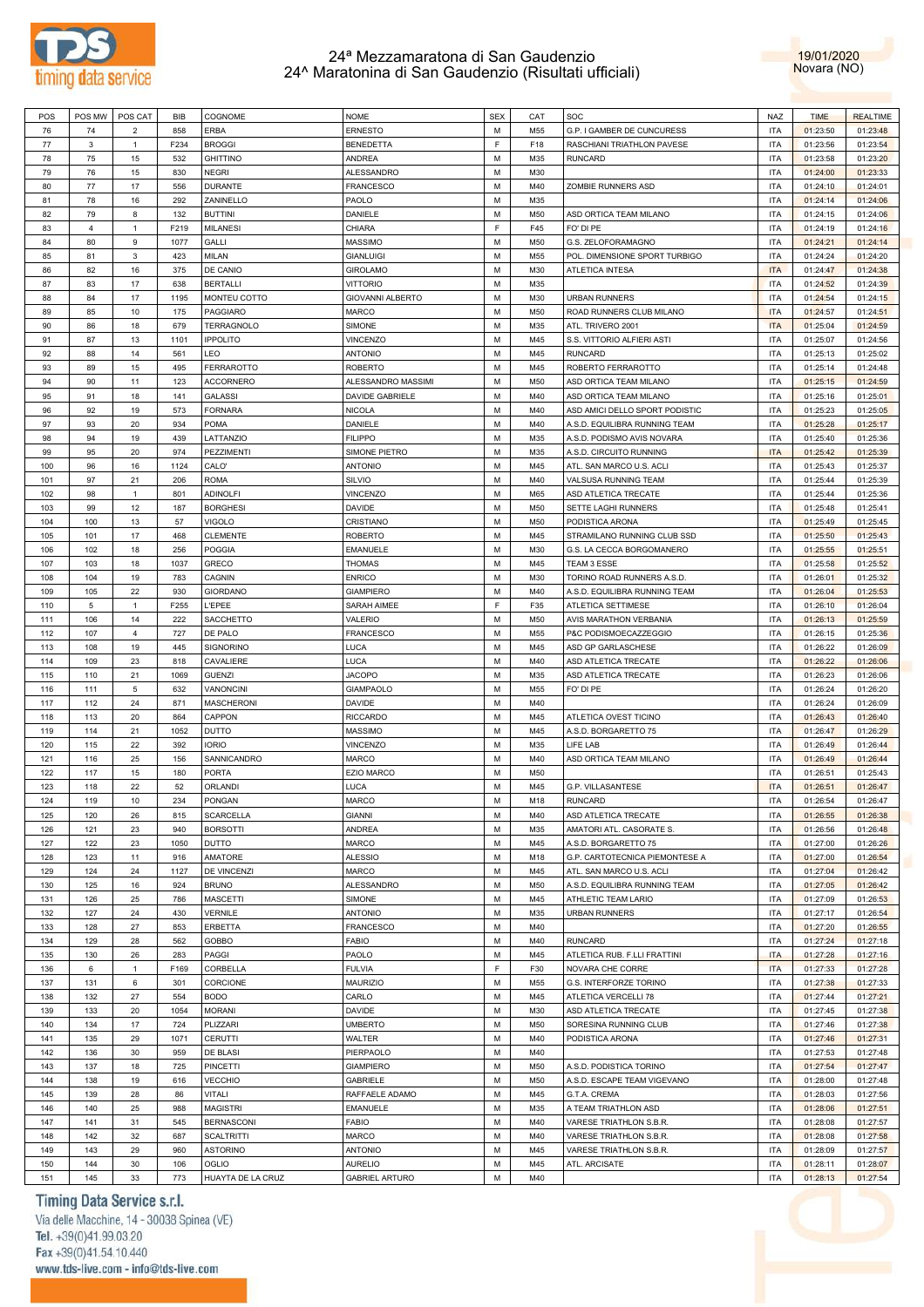



| POS | POS MW         | POS CAT        | BIB  | COGNOME           | <b>NOME</b>           | <b>SEX</b> | CAT | SOC                            | <b>NAZ</b> | <b>TIME</b> | <b>REALTIME</b> |
|-----|----------------|----------------|------|-------------------|-----------------------|------------|-----|--------------------------------|------------|-------------|-----------------|
| 76  | 74             | $\overline{2}$ | 858  | <b>ERBA</b>       | <b>ERNESTO</b>        | М          | M55 | G.P. I GAMBER DE CUNCURESS     | <b>ITA</b> | 01:23:50    | 01:23:48        |
|     |                |                |      |                   |                       |            |     |                                |            |             |                 |
| 77  | $\mathbf{3}$   | $\mathbf{1}$   | F234 | <b>BROGGI</b>     | <b>BENEDETTA</b>      | F.         | F18 | RASCHIANI TRIATHLON PAVESE     | <b>ITA</b> | 01:23:56    | 01:23:54        |
| 78  | 75             | 15             | 532  | <b>GHITTINO</b>   | <b>ANDREA</b>         | M          | M35 | <b>RUNCARD</b>                 | <b>ITA</b> | 01:23:58    | 01:23:20        |
| 79  | 76             | 15             | 830  | <b>NEGRI</b>      | ALESSANDRO            | M          | M30 |                                | <b>ITA</b> | 01:24:00    | 01:23:33        |
| 80  | 77             | 17             | 556  | <b>DURANTE</b>    | <b>FRANCESCO</b>      | M          | M40 | ZOMBIE RUNNERS ASD             | <b>ITA</b> | 01:24:10    | 01:24:01        |
| 81  | 78             | 16             | 292  | ZANINELLO         | PAOLO                 | M          | M35 |                                | <b>ITA</b> | 01:24:14    | 01:24:06        |
| 82  | 79             | 8              | 132  | <b>BUTTINI</b>    | DANIELE               | М          | M50 | ASD ORTICA TEAM MILANO         | <b>ITA</b> | 01:24:15    | 01:24:06        |
|     |                |                |      |                   |                       |            |     |                                |            |             |                 |
| 83  | $\overline{4}$ | $\mathbf{1}$   | F219 | <b>MILANESI</b>   | CHIARA                | F          | F45 | FO' DI PE                      | <b>ITA</b> | 01:24:19    | 01:24:16        |
| 84  | 80             | 9              | 1077 | GALLI             | <b>MASSIMO</b>        | M          | M50 | G.S. ZELOFORAMAGNO             | <b>ITA</b> | 01:24:21    | 01:24:14        |
| 85  | 81             | 3              | 423  | <b>MILAN</b>      | <b>GIANLUIGI</b>      | M          | M55 | POL. DIMENSIONE SPORT TURBIGO  | <b>ITA</b> | 01:24:24    | 01:24:20        |
| 86  | 82             | 16             | 375  | DE CANIO          | <b>GIROLAMO</b>       | M          | M30 | <b>ATLETICA INTESA</b>         | <b>ITA</b> | 01:24:47    | 01:24:38        |
| 87  | 83             | 17             | 638  | <b>BERTALLI</b>   | <b>VITTORIO</b>       | M          | M35 |                                | <b>ITA</b> | 01:24:52    | 01:24:39        |
|     | 84             | 17             | 1195 |                   |                       | M          | M30 | <b>URBAN RUNNERS</b>           | <b>ITA</b> |             |                 |
| 88  |                |                |      | MONTEU COTTO      | GIOVANNI ALBERTO      |            |     |                                |            | 01:24:54    | 01:24:15        |
| 89  | 85             | 10             | 175  | PAGGIARO          | <b>MARCO</b>          | M          | M50 | ROAD RUNNERS CLUB MILANO       | <b>ITA</b> | 01:24:57    | 01:24:51        |
| 90  | 86             | 18             | 679  | <b>TERRAGNOLO</b> | SIMONE                | M          | M35 | ATL. TRIVERO 2001              | <b>ITA</b> | 01:25:04    | 01:24:59        |
| 91  | 87             | 13             | 1101 | <b>IPPOLITO</b>   | VINCENZO              | M          | M45 | S.S. VITTORIO ALFIERI ASTI     | <b>ITA</b> | 01:25:07    | 01:24:56        |
| 92  | 88             | 14             | 561  | <b>LEO</b>        | <b>ANTONIO</b>        | M          | M45 | <b>RUNCARD</b>                 | <b>ITA</b> | 01:25:13    | 01:25:02        |
| 93  | 89             | 15             | 495  | <b>FERRAROTTO</b> | <b>ROBERTO</b>        | M          | M45 | ROBERTO FERRAROTTO             | <b>ITA</b> | 01:25:14    | 01:24:48        |
|     |                |                |      |                   |                       |            |     |                                |            |             |                 |
| 94  | 90             | 11             | 123  | <b>ACCORNERO</b>  | ALESSANDRO MASSIMI    | M          | M50 | ASD ORTICA TEAM MILANO         | <b>ITA</b> | 01:25:15    | 01:24:59        |
| 95  | 91             | 18             | 141  | <b>GALASSI</b>    | DAVIDE GABRIELE       | M          | M40 | ASD ORTICA TEAM MILANO         | <b>ITA</b> | 01:25:16    | 01:25:01        |
| 96  | 92             | 19             | 573  | <b>FORNARA</b>    | <b>NICOLA</b>         | М          | M40 | ASD AMICI DELLO SPORT PODISTIC | <b>ITA</b> | 01:25:23    | 01:25:05        |
| 97  | 93             | 20             | 934  | <b>POMA</b>       | DANIELE               | M          | M40 | A.S.D. EQUILIBRA RUNNING TEAM  | <b>ITA</b> | 01:25:28    | 01:25:17        |
| 98  | 94             | 19             | 439  | LATTANZIO         | <b>FILIPPO</b>        | M          | M35 | A.S.D. PODISMO AVIS NOVARA     | <b>ITA</b> | 01:25:40    | 01:25:36        |
|     |                |                |      |                   |                       |            |     | A.S.D. CIRCUITO RUNNING        |            |             |                 |
| 99  | 95             | 20             | 974  | PEZZIMENTI        | SIMONE PIETRO         | M          | M35 |                                | <b>ITA</b> | 01:25:42    | 01:25:39        |
| 100 | 96             | 16             | 1124 | CALO'             | <b>ANTONIO</b>        | M          | M45 | ATL. SAN MARCO U.S. ACLI       | <b>ITA</b> | 01:25:43    | 01:25:37        |
| 101 | 97             | 21             | 206  | <b>ROMA</b>       | SILVIO                | M          | M40 | VALSUSA RUNNING TEAM           | <b>ITA</b> | 01:25:44    | 01:25:39        |
| 102 | 98             | $\mathbf{1}$   | 801  | <b>ADINOLFI</b>   | <b>VINCENZO</b>       | M          | M65 | ASD ATLETICA TRECATE           | <b>ITA</b> | 01:25:44    | 01:25:36        |
| 103 | 99             | 12             | 187  | <b>BORGHESI</b>   | DAVIDE                | M          | M50 | SETTE LAGHI RUNNERS            | <b>ITA</b> | 01:25:48    | 01:25:41        |
|     |                |                |      |                   |                       |            |     |                                |            |             |                 |
| 104 | 100            | 13             | 57   | <b>VIGOLO</b>     | CRISTIANO             | M          | M50 | PODISTICA ARONA                | <b>ITA</b> | 01:25:49    | 01:25:45        |
| 105 | 101            | 17             | 468  | <b>CLEMENTE</b>   | <b>ROBERTO</b>        | M          | M45 | STRAMILANO RUNNING CLUB SSD    | <b>ITA</b> | 01:25:50    | 01:25:43        |
| 106 | 102            | 18             | 256  | <b>POGGIA</b>     | <b>EMANUELE</b>       | M          | M30 | G.S. LA CECCA BORGOMANERO      | <b>ITA</b> | 01:25:55    | 01:25:51        |
| 107 | 103            | 18             | 1037 | <b>GRECO</b>      | <b>THOMAS</b>         | M          | M45 | TEAM 3 ESSE                    | <b>ITA</b> | 01:25:58    | 01:25:52        |
| 108 | 104            | 19             | 783  | CAGNIN            | <b>ENRICO</b>         | M          | M30 | TORINO ROAD RUNNERS A.S.D.     | <b>ITA</b> | 01:26:01    | 01:25:32        |
|     |                |                |      |                   |                       |            |     |                                |            |             |                 |
| 109 | 105            | 22             | 930  | <b>GIORDANO</b>   | <b>GIAMPIERO</b>      | M          | M40 | A.S.D. EQUILIBRA RUNNING TEAM  | <b>ITA</b> | 01:26:04    | 01:25:53        |
| 110 | 5              | $\mathbf{1}$   | F255 | <b>L'EPEE</b>     | SARAH AIMEE           | F          | F35 | ATLETICA SETTIMESE             | <b>ITA</b> | 01:26:10    | 01:26:04        |
| 111 | 106            | 14             | 222  | SACCHETTO         | VALERIO               | M          | M50 | AVIS MARATHON VERBANIA         | <b>ITA</b> | 01:26:13    | 01:25:59        |
| 112 | 107            | $\overline{4}$ | 727  | DE PALO           | <b>FRANCESCO</b>      | M          | M55 | P&C PODISMOECAZZEGGIO          | <b>ITA</b> | 01:26:15    | 01:25:36        |
| 113 | 108            | 19             | 445  | SIGNORINO         | LUCA                  | M          | M45 | ASD GP GARLASCHESE             | <b>ITA</b> | 01:26:22    | 01:26:09        |
|     |                |                |      |                   | <b>LUCA</b>           | M          |     |                                | <b>ITA</b> |             |                 |
| 114 | 109            | 23             | 818  | CAVALIERE         |                       |            | M40 | ASD ATLETICA TRECATE           |            | 01:26:22    | 01:26:06        |
| 115 | 110            | 21             | 1069 | <b>GUENZI</b>     | <b>JACOPO</b>         | M          | M35 | ASD ATLETICA TRECATE           | <b>ITA</b> | 01:26:23    | 01:26:06        |
| 116 | 111            | 5              | 632  | <b>VANONCINI</b>  | GIAMPAOLO             | M          | M55 | FO' DI PE                      | <b>ITA</b> | 01:26:24    | 01:26:20        |
| 117 | 112            | 24             | 871  | <b>MASCHERONI</b> | DAVIDE                | M          | M40 |                                | <b>ITA</b> | 01:26:24    | 01:26:09        |
| 118 | 113            | 20             | 864  | CAPPON            | <b>RICCARDO</b>       | M          | M45 | ATLETICA OVEST TICINO          | <b>ITA</b> | 01:26:43    | 01:26:40        |
| 119 | 114            | 21             | 1052 | <b>DUTTO</b>      | <b>MASSIMO</b>        | M          | M45 | A.S.D. BORGARETTO 75           | <b>ITA</b> | 01:26:47    | 01:26:29        |
|     |                |                |      |                   |                       |            |     |                                |            |             |                 |
| 120 | 115            | 22             | 392  | <b>IORIO</b>      | VINCENZO              | M          | M35 | LIFE LAB                       | <b>ITA</b> | 01:26:49    | 01:26:44        |
| 121 | 116            | 25             | 156  | SANNICANDRO       | <b>MARCO</b>          | M          | M40 | ASD ORTICA TEAM MILANO         | <b>ITA</b> | 01:26:49    | 01:26:44        |
| 122 | 117            | 15             | 180  | <b>PORTA</b>      | <b>EZIO MARCO</b>     | M          | M50 |                                | <b>ITA</b> | 01:26:51    | 01:25:43        |
| 123 | 118            | 22             | 52   | ORLANDI           | LUCA                  | M          | M45 | G.P. VILLASANTESE              | <b>ITA</b> | 01:26:51    | 01:26:47        |
| 124 | 119            | 10             | 234  | <b>PONGAN</b>     | <b>MARCO</b>          | M          | M18 | <b>RUNCARD</b>                 | <b>ITA</b> | 01:26:54    | 01:26:47        |
|     |                |                |      |                   |                       |            |     |                                |            |             |                 |
| 125 | 120            | 26             | 815  | <b>SCARCELLA</b>  | <b>GIANNI</b>         | М          | M40 | ASD ATLETICA TRECATE           | <b>ITA</b> | 01:26:55    | 01:26:38        |
| 126 | 121            | 23             | 940  | <b>BORSOTTI</b>   | ANDREA                | М          | M35 | AMATORI ATL. CASORATE S.       | <b>ITA</b> | 01:26:56    | 01:26:48        |
| 127 | 122            | 23             | 1050 | DUTTO             | MARCO                 | M          | M45 | A.S.D. BORGARETTO 75           | <b>ITA</b> | 01:27:00    | 01:26:26        |
| 128 | 123            | 11             | 916  | AMATORE           | <b>ALESSIO</b>        | M          | M18 | G.P. CARTOTECNICA PIEMONTESE A | <b>ITA</b> | 01:27:00    | 01:26:54        |
| 129 | 124            | 24             | 1127 | DE VINCENZI       | <b>MARCO</b>          | M          | M45 | ATL. SAN MARCO U.S. ACLI       | <b>ITA</b> | 01:27:04    | 01:26:42        |
| 130 | 125            | 16             | 924  | <b>BRUNO</b>      | ALESSANDRO            | M          | M50 | A.S.D. EQUILIBRA RUNNING TEAM  | <b>ITA</b> | 01:27:05    | 01:26:42        |
|     |                |                |      |                   |                       |            |     |                                |            |             |                 |
| 131 | 126            | 25             | 786  | <b>MASCETTI</b>   | SIMONE                | M          | M45 | ATHLETIC TEAM LARIO            | <b>ITA</b> | 01:27:09    | 01:26:53        |
| 132 | 127            | 24             | 430  | VERNILE           | <b>ANTONIO</b>        | М          | M35 | <b>URBAN RUNNERS</b>           | <b>ITA</b> | 01:27:17    | 01:26:54        |
| 133 | 128            | 27             | 853  | ERBETTA           | <b>FRANCESCO</b>      | M          | M40 |                                | <b>ITA</b> | 01:27:20    | 01:26:55        |
| 134 | 129            | 28             | 562  | GOBBO             | <b>FABIO</b>          | М          | M40 | <b>RUNCARD</b>                 | <b>ITA</b> | 01:27:24    | 01:27:18        |
|     |                |                |      |                   |                       |            |     |                                |            |             |                 |
| 135 | 130            | 26             | 283  | PAGGI             | PAOLO                 | M          | M45 | ATLETICA RUB. F.LLI FRATTINI   | <b>ITA</b> | 01:27:28    | 01:27:16        |
| 136 | 6              | $\mathbf{1}$   | F169 | CORBELLA          | <b>FULVIA</b>         | F          | F30 | NOVARA CHE CORRE               | <b>ITA</b> | 01:27:33    | 01:27:28        |
| 137 | 131            | 6              | 301  | CORCIONE          | <b>MAURIZIO</b>       | M          | M55 | G.S. INTERFORZE TORINO         | <b>ITA</b> | 01:27:38    | 01:27:33        |
| 138 | 132            | 27             | 554  | <b>BODO</b>       | CARLO                 | М          | M45 | ATLETICA VERCELLI 78           | <b>ITA</b> | 01:27:44    | 01:27:21        |
| 139 | 133            | 20             | 1054 | <b>MORANI</b>     | DAVIDE                | M          | M30 | ASD ATLETICA TRECATE           | <b>ITA</b> | 01:27:45    | 01:27:38        |
|     |                | 17             |      |                   |                       |            |     |                                |            |             |                 |
| 140 | 134            |                | 724  | PLIZZARI          | <b>UMBERTO</b>        | М          | M50 | SORESINA RUNNING CLUB          | <b>ITA</b> | 01:27:46    | 01:27:38        |
| 141 | 135            | 29             | 1071 | <b>CERUTTI</b>    | WALTER                | M          | M40 | PODISTICA ARONA                | <b>ITA</b> | 01:27:46    | 01:27:31        |
| 142 | 136            | 30             | 959  | DE BLASI          | PIERPAOLO             | M          | M40 |                                | <b>ITA</b> | 01:27:53    | 01:27:48        |
| 143 | 137            | 18             | 725  | <b>PINCETTI</b>   | <b>GIAMPIERO</b>      | M          | M50 | A.S.D. PODISTICA TORINO        | <b>ITA</b> | 01:27:54    | 01:27:47        |
| 144 | 138            | 19             | 616  | <b>VECCHIO</b>    | <b>GABRIELE</b>       | M          | M50 | A.S.D. ESCAPE TEAM VIGEVANO    | <b>ITA</b> | 01:28:00    | 01:27:48        |
|     |                |                |      |                   |                       |            |     |                                |            |             |                 |
| 145 | 139            | 28             | 86   | VITALI            | RAFFAELE ADAMO        | M          | M45 | G.T.A. CREMA                   | <b>ITA</b> | 01:28:03    | 01:27:56        |
| 146 | 140            | 25             | 988  | <b>MAGISTRI</b>   | <b>EMANUELE</b>       | M          | M35 | A TEAM TRIATHLON ASD           | <b>ITA</b> | 01:28:06    | 01:27:51        |
| 147 | 141            | 31             | 545  | <b>BERNASCONI</b> | <b>FABIO</b>          | M          | M40 | VARESE TRIATHLON S.B.R.        | <b>ITA</b> | 01:28:08    | 01:27:57        |
| 148 | 142            | 32             | 687  | <b>SCALTRITTI</b> | MARCO                 | M          | M40 | VARESE TRIATHLON S.B.R.        | <b>ITA</b> | 01:28:08    | 01:27:58        |
| 149 | 143            | 29             | 960  | <b>ASTORINO</b>   | <b>ANTONIO</b>        | M          | M45 | VARESE TRIATHLON S.B.R.        | <b>ITA</b> | 01:28:09    | 01:27:57        |
|     |                |                |      |                   |                       |            |     |                                |            |             |                 |
| 150 | 144            | 30             | 106  | OGLIO             | <b>AURELIO</b>        | М          | M45 | ATL. ARCISATE                  | <b>ITA</b> | 01:28:11    | 01:28:07        |
| 151 | 145            | 33             | 773  | HUAYTA DE LA CRUZ | <b>GABRIEL ARTURO</b> | M          | M40 |                                | <b>ITA</b> | 01:28:13    | 01:27:54        |

### Timing Data Service s.r.l.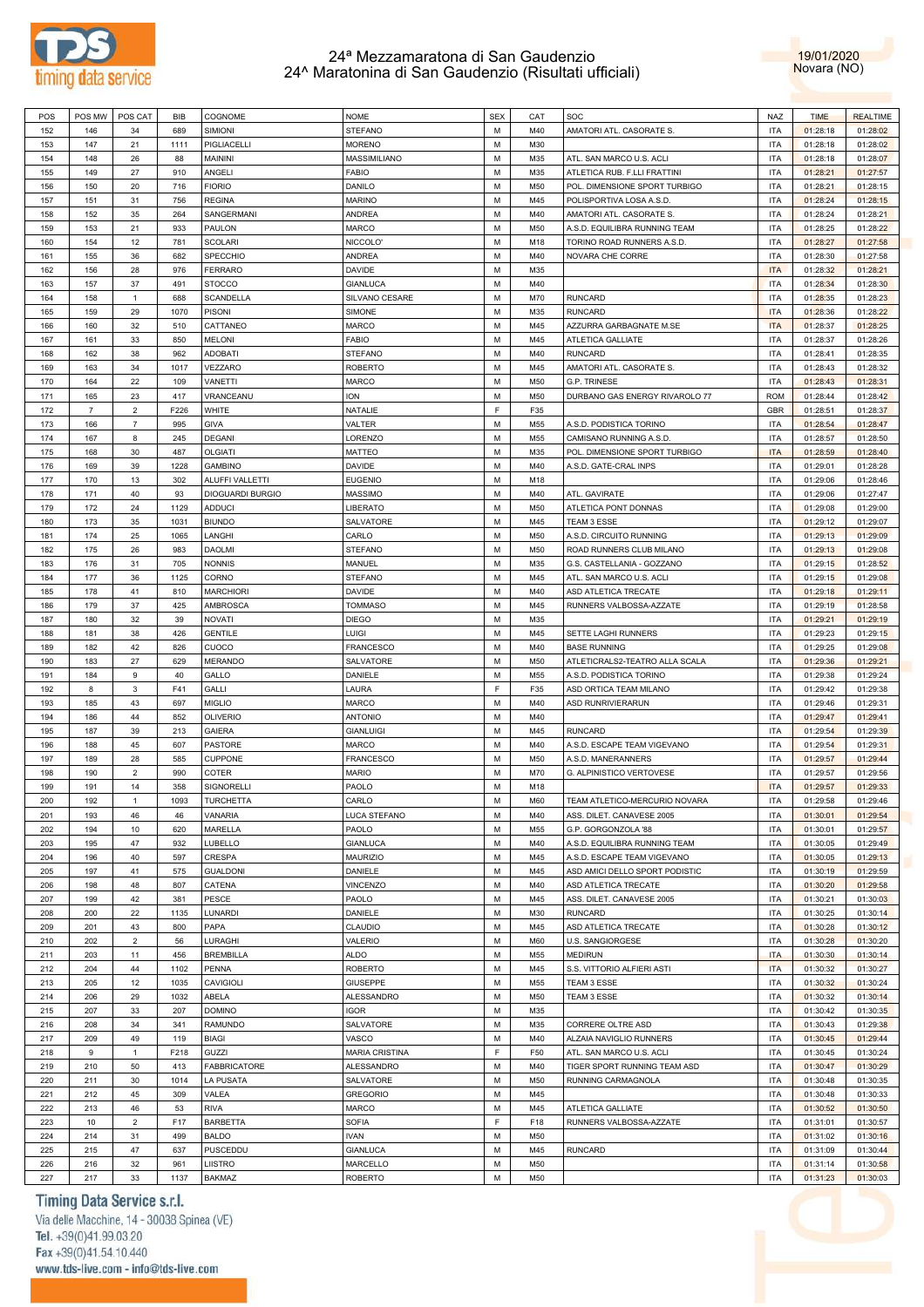



| POS | POS MW         | POS CAT        | BIB  | COGNOME                 | <b>NOME</b>           | <b>SEX</b> | CAT | SOC                            | NAZ        | <b>TIME</b> | <b>REALTIME</b> |
|-----|----------------|----------------|------|-------------------------|-----------------------|------------|-----|--------------------------------|------------|-------------|-----------------|
| 152 | 146            | 34             | 689  | SIMIONI                 | STEFANO               | M          | M40 | AMATORI ATL. CASORATE S.       | <b>ITA</b> | 01:28:18    | 01:28:02        |
| 153 | 147            | 21             | 1111 | PIGLIACELLI             | <b>MORENO</b>         | М          | M30 |                                | <b>ITA</b> | 01:28:18    | 01:28:02        |
| 154 | 148            | 26             | 88   | MAININI                 | MASSIMILIANO          | М          | M35 | ATL. SAN MARCO U.S. ACLI       | <b>ITA</b> | 01:28:18    | 01:28:07        |
| 155 | 149            | 27             | 910  | ANGELI                  | FABIO                 | М          | M35 | ATLETICA RUB. F.LLI FRATTINI   | <b>ITA</b> | 01:28:21    | 01:27:57        |
| 156 | 150            | 20             | 716  | <b>FIORIO</b>           | DANILO                | M          | M50 | POL. DIMENSIONE SPORT TURBIGO  | <b>ITA</b> | 01:28:21    | 01:28:15        |
| 157 | 151            | 31             | 756  | <b>REGINA</b>           | <b>MARINO</b>         | М          | M45 | POLISPORTIVA LOSA A.S.D.       | <b>ITA</b> | 01:28:24    | 01:28:15        |
| 158 | 152            | 35             | 264  | SANGERMANI              | ANDREA                | M          | M40 | AMATORI ATL. CASORATE S.       | <b>ITA</b> | 01:28:24    | 01:28:21        |
| 159 | 153            | 21             | 933  | PAULON                  | MARCO                 | М          | M50 | A.S.D. EQUILIBRA RUNNING TEAM  | <b>ITA</b> | 01:28:25    | 01:28:22        |
| 160 | 154            | 12             | 781  | <b>SCOLARI</b>          | NICCOLO'              | M          | M18 | TORINO ROAD RUNNERS A.S.D.     | <b>ITA</b> | 01:28:27    | 01:27:58        |
| 161 | 155            | 36             | 682  | SPECCHIO                | ANDREA                | М          | M40 | NOVARA CHE CORRE               | <b>ITA</b> | 01:28:30    | 01:27:58        |
| 162 | 156            | 28             | 976  | <b>FERRARO</b>          | DAVIDE                | M          | M35 |                                | <b>ITA</b> | 01:28:32    | 01:28:21        |
| 163 | 157            | 37             | 491  | <b>STOCCO</b>           | <b>GIANLUCA</b>       | М          | M40 |                                | <b>ITA</b> | 01:28:34    | 01:28:30        |
| 164 | 158            | $\mathbf{1}$   | 688  | <b>SCANDELLA</b>        | SILVANO CESARE        | M          | M70 | <b>RUNCARD</b>                 | <b>ITA</b> | 01:28:35    | 01:28:23        |
| 165 | 159            | 29             | 1070 | <b>PISONI</b>           | SIMONE                | М          | M35 | <b>RUNCARD</b>                 | <b>ITA</b> | 01:28:36    | 01:28:22        |
| 166 | 160            | 32             | 510  | CATTANEO                | MARCO                 | М          | M45 | AZZURRA GARBAGNATE M.SE        | <b>ITA</b> | 01:28:37    | 01:28:25        |
| 167 | 161            | 33             | 850  | <b>MELONI</b>           | <b>FABIO</b>          | М          | M45 | ATLETICA GALLIATE              | <b>ITA</b> | 01:28:37    | 01:28:26        |
| 168 | 162            | 38             | 962  | <b>ADOBATI</b>          | <b>STEFANO</b>        | M          | M40 | <b>RUNCARD</b>                 | <b>ITA</b> | 01:28:41    | 01:28:35        |
| 169 | 163            | 34             | 1017 | VEZZARO                 | <b>ROBERTO</b>        | М          | M45 | AMATORI ATL. CASORATE S.       | <b>ITA</b> | 01:28:43    | 01:28:32        |
| 170 | 164            | 22             | 109  | VANETTI                 | MARCO                 | M          | M50 | <b>G.P. TRINESE</b>            | <b>ITA</b> | 01:28:43    | 01:28:31        |
| 171 | 165            | 23             | 417  | VRANCEANU               | ION                   | М          | M50 | DURBANO GAS ENERGY RIVAROLO 77 | <b>ROM</b> | 01:28:44    | 01:28:42        |
| 172 | $\overline{7}$ | $\overline{2}$ | F226 | <b>WHITE</b>            | NATALIE               | F          |     |                                | <b>GBR</b> |             |                 |
|     |                |                |      |                         |                       |            | F35 |                                |            | 01:28:51    | 01:28:37        |
| 173 | 166            | $\overline{7}$ | 995  | <b>GIVA</b>             | VALTER                | M          | M55 | A.S.D. PODISTICA TORINO        | <b>ITA</b> | 01:28:54    | 01:28:47        |
| 174 | 167            | 8              | 245  | <b>DEGANI</b>           | LORENZO               | M          | M55 | CAMISANO RUNNING A.S.D.        | <b>ITA</b> | 01:28:57    | 01:28:50        |
| 175 | 168            | 30             | 487  | <b>OLGIATI</b>          | MATTEO                | М          | M35 | POL. DIMENSIONE SPORT TURBIGO  | <b>ITA</b> | 01:28:59    | 01:28:40        |
| 176 | 169            | 39             | 1228 | <b>GAMBINO</b>          | DAVIDE                | M          | M40 | A.S.D. GATE-CRAL INPS          | <b>ITA</b> | 01:29:01    | 01:28:28        |
| 177 | 170            | 13             | 302  | ALUFFI VALLETTI         | <b>EUGENIO</b>        | М          | M18 |                                | <b>ITA</b> | 01:29:06    | 01:28:46        |
| 178 | 171            | 40             | 93   | <b>DIOGUARDI BURGIO</b> | MASSIMO               | М          | M40 | ATL. GAVIRATE                  | <b>ITA</b> | 01:29:06    | 01:27:47        |
| 179 | 172            | 24             | 1129 | <b>ADDUCI</b>           | LIBERATO              | М          | M50 | ATLETICA PONT DONNAS           | <b>ITA</b> | 01:29:08    | 01:29:00        |
| 180 | 173            | 35             | 1031 | <b>BIUNDO</b>           | SALVATORE             | M          | M45 | TEAM 3 ESSE                    | <b>ITA</b> | 01:29:12    | 01:29:07        |
| 181 | 174            | 25             | 1065 | LANGHI                  | CARLO                 | М          | M50 | A.S.D. CIRCUITO RUNNING        | <b>ITA</b> | 01:29:13    | 01:29:09        |
| 182 | 175            | 26             | 983  | <b>DAOLMI</b>           | STEFANO               | M          | M50 | ROAD RUNNERS CLUB MILANO       | <b>ITA</b> | 01:29:13    | 01:29:08        |
| 183 | 176            | 31             | 705  | <b>NONNIS</b>           | MANUEL                | М          | M35 | G.S. CASTELLANIA - GOZZANO     | <b>ITA</b> | 01:29:15    | 01:28:52        |
| 184 | 177            | 36             | 1125 | CORNO                   | <b>STEFANO</b>        | M          | M45 | ATL. SAN MARCO U.S. ACLI       | <b>ITA</b> | 01:29:15    | 01:29:08        |
| 185 | 178            | 41             | 810  | <b>MARCHIORI</b>        | DAVIDE                | М          | M40 | ASD ATLETICA TRECATE           | <b>ITA</b> | 01:29:18    | 01:29:11        |
| 186 | 179            | 37             | 425  | AMBROSCA                | <b>TOMMASO</b>        | М          | M45 | RUNNERS VALBOSSA-AZZATE        | <b>ITA</b> | 01:29:19    | 01:28:58        |
| 187 | 180            | 32             | 39   | NOVATI                  | <b>DIEGO</b>          | М          | M35 |                                | <b>ITA</b> | 01:29:21    | 01:29:19        |
| 188 | 181            | 38             | 426  | <b>GENTILE</b>          | LUIGI                 | M          | M45 | SETTE LAGHI RUNNERS            | <b>ITA</b> | 01:29:23    | 01:29:15        |
| 189 | 182            | 42             | 826  | CUOCO                   | FRANCESCO             | М          | M40 | <b>BASE RUNNING</b>            | <b>ITA</b> | 01:29:25    | 01:29:08        |
| 190 | 183            | 27             | 629  | <b>MERANDO</b>          | SALVATORE             | M          | M50 | ATLETICRALS2-TEATRO ALLA SCALA | <b>ITA</b> | 01:29:36    | 01:29:21        |
| 191 | 184            | $9$            | 40   | GALLO                   | DANIELE               | М          | M55 | A.S.D. PODISTICA TORINO        | <b>ITA</b> | 01:29:38    | 01:29:24        |
| 192 | 8              | 3              | F41  | GALLI                   | LAURA                 | F          | F35 | ASD ORTICA TEAM MILANO         | <b>ITA</b> | 01:29:42    | 01:29:38        |
| 193 | 185            | 43             | 697  | <b>MIGLIO</b>           | MARCO                 | M          | M40 | ASD RUNRIVIERARUN              | <b>ITA</b> | 01:29:46    | 01:29:31        |
| 194 | 186            | 44             | 852  | <b>OLIVERIO</b>         | <b>ANTONIO</b>        | М          | M40 |                                | <b>ITA</b> | 01:29:47    | 01:29:41        |
| 195 | 187            | 39             | 213  | <b>GAIERA</b>           | <b>GIANLUIGI</b>      | М          | M45 | <b>RUNCARD</b>                 | <b>ITA</b> | 01:29:54    | 01:29:39        |
| 196 | 188            | 45             | 607  | PASTORE                 | MARCO                 | M          | M40 | A.S.D. ESCAPE TEAM VIGEVANO    | <b>ITA</b> | 01:29:54    | 01:29:31        |
| 197 | 189            | 28             | 585  | CUPPONE                 | <b>FRANCESCO</b>      | М          | M50 | A.S.D. MANERANNERS             | <b>ITA</b> | 01:29:57    | 01:29:44        |
| 198 | 190            | $\overline{2}$ | 990  | COTER                   | <b>MARIO</b>          | М          | M70 | G. ALPINISTICO VERTOVESE       | <b>ITA</b> | 01:29:57    | 01:29:56        |
| 199 | 191            | 14             | 358  | SIGNORELLI              | PAOLO                 | М          | M18 |                                | <b>ITA</b> | 01:29:57    | 01:29:33        |
| 200 | 192            | $\mathbf{1}$   | 1093 | <b>TURCHETTA</b>        | CARLO                 | M          | M60 | TEAM ATLETICO-MERCURIO NOVARA  | <b>ITA</b> | 01:29:58    | 01:29:46        |
| 201 | 193            | 46             | 46   | VANARIA                 | LUCA STEFANO          | M          | M40 | ASS. DILET. CANAVESE 2005      | <b>ITA</b> | 01:30:01    | 01:29:54        |
| 202 | 194            | 10             | 620  | MARELLA                 | PAOLO                 | М          | M55 | G.P. GORGONZOLA '88            | <b>ITA</b> | 01:30:01    | 01:29:57        |
| 203 | 195            | 47             | 932  | LUBELLO                 | <b>GIANLUCA</b>       | М          | M40 | A.S.D. EQUILIBRA RUNNING TEAM  | <b>ITA</b> | 01:30:05    | 01:29:49        |
| 204 | 196            | 40             | 597  | CRESPA                  | MAURIZIO              | М          | M45 | A.S.D. ESCAPE TEAM VIGEVANO    | <b>ITA</b> | 01:30:05    | 01:29:13        |
| 205 | 197            | 41             | 575  | <b>GUALDONI</b>         | DANIELE               | М          | M45 | ASD AMICI DELLO SPORT PODISTIC | <b>ITA</b> | 01:30:19    | 01:29:59        |
| 206 | 198            | 48             | 807  | CATENA                  | VINCENZO              | М          | M40 | ASD ATLETICA TRECATE           | <b>ITA</b> | 01:30:20    | 01:29:58        |
| 207 | 199            | 42             | 381  | PESCE                   | PAOLO                 | М          | M45 | ASS. DILET. CANAVESE 2005      | <b>ITA</b> | 01:30:21    | 01:30:03        |
| 208 | 200            | 22             | 1135 | LUNARDI                 | DANIELE               | М          | M30 | <b>RUNCARD</b>                 | <b>ITA</b> | 01:30:25    | 01:30:14        |
| 209 | 201            | 43             | 800  | PAPA                    | CLAUDIO               | М          | M45 | ASD ATLETICA TRECATE           | <b>ITA</b> | 01:30:28    | 01:30:12        |
| 210 | 202            | $\mathbf 2$    | 56   | LURAGHI                 | VALERIO               | М          | M60 | <b>U.S. SANGIORGESE</b>        | <b>ITA</b> | 01:30:28    | 01:30:20        |
| 211 | 203            | 11             | 456  | <b>BREMBILLA</b>        | <b>ALDO</b>           | М          | M55 | <b>MEDIRUN</b>                 | <b>ITA</b> | 01:30:30    | 01:30:14        |
| 212 | 204            | 44             | 1102 | PENNA                   | <b>ROBERTO</b>        | М          | M45 | S.S. VITTORIO ALFIERI ASTI     | <b>ITA</b> | 01:30:32    | 01:30:27        |
| 213 | 205            | 12             | 1035 | CAVIGIOLI               | <b>GIUSEPPE</b>       | М          | M55 | TEAM 3 ESSE                    | <b>ITA</b> | 01:30:32    | 01:30:24        |
| 214 | 206            | 29             | 1032 | ABELA                   | ALESSANDRO            | М          | M50 | TEAM 3 ESSE                    | <b>ITA</b> | 01:30:32    | 01:30:14        |
| 215 | 207            | 33             | 207  | <b>DOMINO</b>           | IGOR                  | М          | M35 |                                | <b>ITA</b> | 01:30:42    | 01:30:35        |
| 216 | 208            | 34             | 341  | RAMUNDO                 | SALVATORE             | М          | M35 | CORRERE OLTRE ASD              | <b>ITA</b> | 01:30:43    | 01:29:38        |
| 217 | 209            | 49             | 119  | <b>BIAGI</b>            | VASCO                 | М          | M40 | ALZAIA NAVIGLIO RUNNERS        | <b>ITA</b> | 01:30:45    | 01:29:44        |
| 218 | 9              | $\mathbf{1}$   | F218 | GUZZI                   | <b>MARIA CRISTINA</b> | F          | F50 | ATL. SAN MARCO U.S. ACLI       | <b>ITA</b> | 01:30:45    | 01:30:24        |
|     | 210            | 50             | 413  | <b>FABBRICATORE</b>     | ALESSANDRO            | М          | M40 | TIGER SPORT RUNNING TEAM ASD   | <b>ITA</b> | 01:30:47    | 01:30:29        |
| 219 |                |                |      |                         |                       | М          |     |                                |            |             |                 |
| 220 | 211            | 30             | 1014 | LA PUSATA               | SALVATORE             |            | M50 | RUNNING CARMAGNOLA             | <b>ITA</b> | 01:30:48    | 01:30:35        |
| 221 | 212            | 45             | 309  | VALEA                   | <b>GREGORIO</b>       | М          | M45 |                                | <b>ITA</b> | 01:30:48    | 01:30:33        |
| 222 | 213            | 46             | 53   | <b>RIVA</b>             | MARCO                 | М          | M45 | ATLETICA GALLIATE              | <b>ITA</b> | 01:30:52    | 01:30:50        |
| 223 | 10             | $\overline{2}$ | F17  | <b>BARBETTA</b>         | <b>SOFIA</b>          | F          | F18 | RUNNERS VALBOSSA-AZZATE        | <b>ITA</b> | 01:31:01    | 01:30:57        |
| 224 | 214            | 31             | 499  | <b>BALDO</b>            | <b>IVAN</b>           | М          | M50 |                                | <b>ITA</b> | 01:31:02    | 01:30:16        |
| 225 | 215            | 47             | 637  | PUSCEDDU                | <b>GIANLUCA</b>       | М          | M45 | <b>RUNCARD</b>                 | <b>ITA</b> | 01:31:09    | 01:30:44        |
| 226 | 216            | 32             | 961  | LIISTRO                 | MARCELLO              | М          | M50 |                                | <b>ITA</b> | 01:31:14    | 01:30:58        |
| 227 | 217            | 33             | 1137 | BAKMAZ                  | ROBERTO               | М          | M50 |                                | <b>ITA</b> | 01:31:23    | 01:30:03        |

## Timing Data Service s.r.l.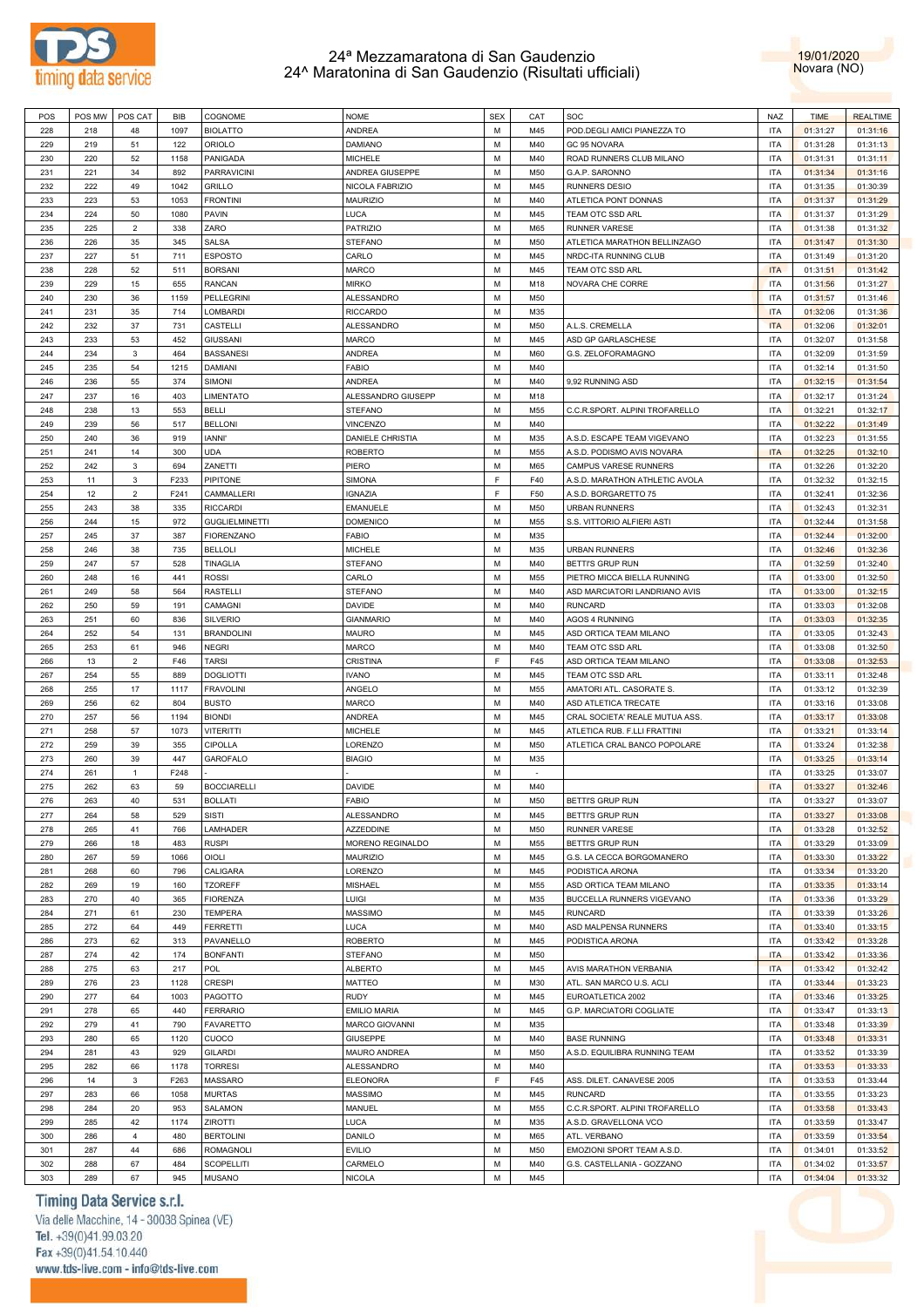



| POS        | POS MW     | POS CAT        | <b>BIB</b> | COGNOME                            | <b>NOME</b>              | <b>SEX</b> | CAT        | SOC                            | NAZ                      | <b>TIME</b>          | <b>REALTIME</b>      |
|------------|------------|----------------|------------|------------------------------------|--------------------------|------------|------------|--------------------------------|--------------------------|----------------------|----------------------|
| 228        | 218        | 48             | 1097       | <b>BIOLATTO</b>                    | ANDREA                   | М          | M45        | POD.DEGLI AMICI PIANEZZA TO    | <b>ITA</b>               | 01:31:27             | 01:31:16             |
| 229        | 219        | 51             | 122        | <b>ORIOLO</b>                      | DAMIANO                  | М          | M40        | GC 95 NOVARA                   | <b>ITA</b>               | 01:31:28             | 01:31:13             |
|            |            |                |            |                                    |                          |            |            |                                |                          |                      |                      |
| 230        | 220        | 52             | 1158       | PANIGADA                           | <b>MICHELE</b>           | М          | M40        | ROAD RUNNERS CLUB MILANO       | ITA                      | 01:31:31             | 01:31:11             |
| 231        | 221        | 34             | 892        | <b>PARRAVICINI</b>                 | ANDREA GIUSEPPE          | M          | M50        | G.A.P. SARONNO                 | <b>ITA</b>               | 01:31:34             | 01:31:16             |
| 232        | 222        | 49             | 1042       | <b>GRILLO</b>                      | NICOLA FABRIZIO          | М          | M45        | <b>RUNNERS DESIO</b>           | <b>ITA</b>               | 01:31:35             | 01:30:39             |
| 233        | 223        | 53             | 1053       | <b>FRONTINI</b>                    | MAURIZIO                 | M          | M40        | ATLETICA PONT DONNAS           | <b>ITA</b>               | 01:31:37             | 01:31:29             |
| 234        | 224        | 50             | 1080       | <b>PAVIN</b>                       | LUCA                     | M          | M45        | TEAM OTC SSD ARL               | <b>ITA</b>               | 01:31:37             | 01:31:29             |
|            |            |                |            |                                    |                          |            |            |                                |                          |                      |                      |
| 235        | 225        | $\overline{2}$ | 338        | ZARO                               | <b>PATRIZIO</b>          | M          | M65        | <b>RUNNER VARESE</b>           | <b>ITA</b>               | 01:31:38             | 01:31:32             |
| 236        | 226        | 35             | 345        | SALSA                              | <b>STEFANO</b>           | М          | M50        | ATLETICA MARATHON BELLINZAGO   | <b>ITA</b>               | 01:31:47             | 01:31:30             |
| 237        | 227        | 51             | 711        | <b>ESPOSTO</b>                     | CARLO                    | M          | M45        | NRDC-ITA RUNNING CLUB          | <b>ITA</b>               | 01:31:49             | 01:31:20             |
| 238        | 228        | 52             | 511        | <b>BORSANI</b>                     | <b>MARCO</b>             | М          | M45        | TEAM OTC SSD ARL               | <b>ITA</b>               | 01:31:51             | 01:31:42             |
| 239        | 229        | 15             | 655        | <b>RANCAN</b>                      | <b>MIRKO</b>             | M          | M18        | NOVARA CHE CORRE               | <b>ITA</b>               | 01:31:56             | 01:31:27             |
|            |            |                |            |                                    |                          |            |            |                                |                          |                      |                      |
| 240        | 230        | 36             | 1159       | PELLEGRINI                         | ALESSANDRO               | М          | M50        |                                | <b>ITA</b>               | 01:31:57             | 01:31:46             |
| 241        | 231        | 35             | 714        | LOMBARDI                           | <b>RICCARDO</b>          | М          | M35        |                                | <b>ITA</b>               | 01:32:06             | 01:31:36             |
| 242        | 232        | 37             | 731        | CASTELLI                           | ALESSANDRO               | М          | M50        | A.L.S. CREMELLA                | <b>ITA</b>               | 01:32:06             | 01:32:01             |
| 243        | 233        | 53             | 452        | <b>GIUSSANI</b>                    | MARCO                    | M          | M45        | ASD GP GARLASCHESE             | <b>ITA</b>               | 01:32:07             | 01:31:58             |
| 244        | 234        | 3              | 464        | <b>BASSANESI</b>                   | ANDREA                   | М          | M60        | G.S. ZELOFORAMAGNO             | ITA                      | 01:32:09             | 01:31:59             |
|            |            |                |            |                                    |                          |            |            |                                |                          |                      |                      |
| 245        | 235        | 54             | 1215       | DAMIANI                            | <b>FABIO</b>             | M          | M40        |                                | <b>ITA</b>               | 01:32:14             | 01:31:50             |
| 246        | 236        | 55             | 374        | <b>SIMONI</b>                      | ANDREA                   | M          | M40        | 9,92 RUNNING ASD               | <b>ITA</b>               | 01:32:15             | 01:31:54             |
| 247        | 237        | 16             | 403        | LIMENTATO                          | ALESSANDRO GIUSEPP       | M          | M18        |                                | <b>ITA</b>               | 01:32:17             | 01:31:24             |
| 248        | 238        | 13             | 553        | <b>BELLI</b>                       | <b>STEFANO</b>           | М          | M55        | C.C.R.SPORT. ALPINI TROFARELLO | <b>ITA</b>               | 01:32:21             | 01:32:17             |
| 249        | 239        | 56             | 517        | <b>BELLONI</b>                     |                          | M          |            |                                | <b>ITA</b>               |                      |                      |
|            |            |                |            |                                    | <b>VINCENZO</b>          |            | M40        |                                |                          | 01:32:22             | 01:31:49             |
| 250        | 240        | 36             | 919        | <b>IANNI'</b>                      | <b>DANIELE CHRISTIA</b>  | М          | M35        | A.S.D. ESCAPE TEAM VIGEVANO    | <b>ITA</b>               | 01:32:23             | 01:31:55             |
| 251        | 241        | 14             | 300        | <b>UDA</b>                         | <b>ROBERTO</b>           | M          | M55        | A.S.D. PODISMO AVIS NOVARA     | <b>ITA</b>               | 01:32:25             | 01:32:10             |
| 252        | 242        | 3              | 694        | ZANETTI                            | PIERO                    | М          | M65        | CAMPUS VARESE RUNNERS          | <b>ITA</b>               | 01:32:26             | 01:32:20             |
| 253        | 11         | 3              | F233       | PIPITONE                           | SIMONA                   | F          | F40        | A.S.D. MARATHON ATHLETIC AVOLA | <b>ITA</b>               | 01:32:32             | 01:32:15             |
| 254        |            | $\overline{2}$ | F241       |                                    |                          | F          |            |                                |                          |                      |                      |
|            | 12         |                |            | CAMMALLERI                         | IGNAZIA                  |            | F50        | A.S.D. BORGARETTO 75           | ITA                      | 01:32:41             | 01:32:36             |
| 255        | 243        | 38             | 335        | <b>RICCARDI</b>                    | EMANUELE                 | M          | M50        | <b>URBAN RUNNERS</b>           | <b>ITA</b>               | 01:32:43             | 01:32:31             |
| 256        | 244        | 15             | 972        | <b>GUGLIELMINETTI</b>              | <b>DOMENICO</b>          | М          | M55        | S.S. VITTORIO ALFIERI ASTI     | <b>ITA</b>               | 01:32:44             | 01:31:58             |
| 257        | 245        | 37             | 387        | <b>FIORENZANO</b>                  | <b>FABIO</b>             | M          | M35        |                                | <b>ITA</b>               | 01:32:44             | 01:32:00             |
| 258        | 246        | 38             | 735        | <b>BELLOLI</b>                     | <b>MICHELE</b>           | М          | M35        | <b>URBAN RUNNERS</b>           | <b>ITA</b>               | 01:32:46             | 01:32:36             |
|            |            |                |            |                                    |                          |            |            |                                |                          |                      |                      |
| 259        | 247        | 57             | 528        | TINAGLIA                           | <b>STEFANO</b>           | M          | M40        | BETTI'S GRUP RUN               | <b>ITA</b>               | 01:32:59             | 01:32:40             |
| 260        | 248        | 16             | 441        | <b>ROSSI</b>                       | CARLO                    | M          | M55        | PIETRO MICCA BIELLA RUNNING    | <b>ITA</b>               | 01:33:00             | 01:32:50             |
| 261        | 249        | 58             | 564        | <b>RASTELLI</b>                    | <b>STEFANO</b>           | M          | M40        | ASD MARCIATORI LANDRIANO AVIS  | <b>ITA</b>               | 01:33:00             | 01:32:15             |
| 262        | 250        | 59             | 191        | CAMAGNI                            | DAVIDE                   | М          | M40        | <b>RUNCARD</b>                 | <b>ITA</b>               | 01:33:03             | 01:32:08             |
| 263        | 251        | 60             | 836        | <b>SILVERIO</b>                    | <b>GIANMARIO</b>         | M          | M40        | AGOS 4 RUNNING                 | <b>ITA</b>               | 01:33:03             | 01:32:35             |
|            |            |                |            |                                    |                          |            |            |                                |                          |                      |                      |
| 264        | 252        | 54             | 131        | <b>BRANDOLINI</b>                  | <b>MAURO</b>             | М          | M45        | ASD ORTICA TEAM MILANO         | <b>ITA</b>               | 01:33:05             | 01:32:43             |
| 265        | 253        | 61             | 946        | <b>NEGRI</b>                       | <b>MARCO</b>             | M          | M40        | TEAM OTC SSD ARL               | <b>ITA</b>               | 01:33:08             | 01:32:50             |
| 266        | 13         | $\overline{2}$ | F46        | <b>TARSI</b>                       | <b>CRISTINA</b>          | F          | F45        | ASD ORTICA TEAM MILANO         | <b>ITA</b>               | 01:33:08             | 01:32:53             |
| 267        | 254        | 55             | 889        | <b>DOGLIOTTI</b>                   | <b>IVANO</b>             | M          | M45        | TEAM OTC SSD ARL               | <b>ITA</b>               | 01:33:11             | 01:32:48             |
| 268        | 255        | 17             | 1117       | <b>FRAVOLINI</b>                   | ANGELO                   | М          | M55        | AMATORI ATL. CASORATE S.       | <b>ITA</b>               | 01:33:12             | 01:32:39             |
| 269        | 256        | 62             | 804        | <b>BUSTO</b>                       | <b>MARCO</b>             | M          | M40        | ASD ATLETICA TRECATE           | <b>ITA</b>               | 01:33:16             | 01:33:08             |
|            |            |                |            |                                    |                          |            |            |                                |                          |                      |                      |
| 270        | 257        | 56             | 1194       | <b>BIONDI</b>                      | ANDREA                   | М          | M45        | CRAL SOCIETA' REALE MUTUA ASS  | <b>ITA</b>               | 01:33:17             | 01:33:08             |
| 271        | 258        | 57             | 1073       | <b>VITERITTI</b>                   | <b>MICHELE</b>           | M          | M45        | ATLETICA RUB. F.LLI FRATTINI   | <b>ITA</b>               | 01:33:21             | 01:33:14             |
| 272        | 259        | 39             | 355        | CIPOLLA                            | LORENZO                  | М          | M50        | ATLETICA CRAL BANCO POPOLARE   | <b>ITA</b>               | 01:33:24             | 01:32:38             |
| 273        | 260        | 39             | 447        | <b>GAROFALO</b>                    | <b>BIAGIO</b>            | М          | M35        |                                | <b>ITA</b>               | 01:33:25             | 01:33:14             |
| 274        | 261        | $\mathbf{1}$   | F248       |                                    |                          | М          | $\sim$     |                                | <b>ITA</b>               |                      |                      |
|            |            |                |            |                                    |                          |            |            |                                |                          | 01:33:25             | 01:33:07             |
| 275        | 262        | 63             | 59         | <b>BOCCIARELLI</b>                 | DAVIDE                   | М          | M40        |                                | <b>ITA</b>               | 01:33:27             | 01:32:46             |
| 276        | 263        | 40             | 531        | <b>BOLLATI</b>                     | <b>FABIO</b>             | M          | M50        | <b>BETTI'S GRUP RUN</b>        | <b>ITA</b>               | 01:33:27             | 01:33:07             |
| 277        | 264        | 58             | 529        | <b>SISTI</b>                       | ALESSANDRO               | М          | M45        | BETTI'S GRUP RUN               | ITA                      | 01:33:27             | 01:33:08             |
| 278        | 265        | 41             | 766        | LAMHADER                           | AZZEDDINE                | M          | M50        | RUNNER VARESE                  | <b>ITA</b>               | 01:33:28             | 01:32:52             |
|            |            |                |            |                                    |                          | М          | M55        |                                | ITA                      |                      |                      |
| 279        | 266        | 18             | 483        | <b>RUSPI</b>                       | MORENO REGINALDO         |            |            | BETTI'S GRUP RUN               |                          | 01:33:29             | 01:33:09             |
| 280        | 267        | 59             | 1066       | OIOLI                              | <b>MAURIZIO</b>          | M          | M45        | G.S. LA CECCA BORGOMANERO      | <b>ITA</b>               | 01:33:30             | 01:33:22             |
| 281        | 268        | 60             | 796        | CALIGARA                           | LORENZO                  | M          | M45        | PODISTICA ARONA                | <b>ITA</b>               | 01:33:34             | 01:33:20             |
| 282        | 269        | 19             | 160        | <b>TZOREFF</b>                     | MISHAEL                  | M          | M55        | ASD ORTICA TEAM MILANO         | <b>ITA</b>               | 01:33:35             | 01:33:14             |
| 283        | 270        | 40             | 365        | <b>FIORENZA</b>                    | LUIGI                    | М          | M35        | BUCCELLA RUNNERS VIGEVANO      | <b>ITA</b>               | 01:33:36             | 01:33:29             |
|            |            |                |            |                                    |                          |            |            |                                |                          |                      |                      |
| 284        | 271        | 61             | 230        | <b>TEMPERA</b>                     | MASSIMO                  | M          | M45        | <b>RUNCARD</b>                 | ITA                      | 01:33:39             | 01:33:26             |
| 285        |            | 64             | 449        | <b>FERRETTI</b>                    | LUCA                     | M          | M40        | ASD MALPENSA RUNNERS           | <b>ITA</b>               | 01:33:40             | 01:33:15             |
| 286        | 272        |                |            |                                    |                          |            |            |                                |                          |                      |                      |
|            | 273        | 62             | 313        | PAVANELLO                          | <b>ROBERTO</b>           | M          | M45        | PODISTICA ARONA                | <b>ITA</b>               | 01:33:42             | 01:33:28             |
| 287        | 274        | 42             | 174        | <b>BONFANTI</b>                    | <b>STEFANO</b>           | M          | M50        |                                | <b>ITA</b>               | 01:33:42             | 01:33:36             |
|            |            |                |            |                                    |                          |            |            |                                |                          |                      |                      |
| 288        | 275        | 63             | 217        | POL                                | <b>ALBERTO</b>           | М          | M45        | AVIS MARATHON VERBANIA         | <b>ITA</b>               | 01:33:42             | 01:32:42             |
| 289        | 276        | 23             | 1128       | <b>CRESPI</b>                      | <b>MATTEO</b>            | М          | M30        | ATL. SAN MARCO U.S. ACLI       | <b>ITA</b>               | 01:33:44             | 01:33:23             |
| 290        | 277        | 64             | 1003       | PAGOTTO                            | RUDY                     | M          | M45        | EUROATLETICA 2002              | <b>ITA</b>               | 01:33:46             | 01:33:25             |
| 291        | 278        | 65             | 440        | <b>FERRARIO</b>                    | <b>EMILIO MARIA</b>      | M          | M45        | G.P. MARCIATORI COGLIATE       | <b>ITA</b>               | 01:33:47             | 01:33:13             |
| 292        | 279        | 41             | 790        | <b>FAVARETTO</b>                   | MARCO GIOVANNI           | M          | M35        |                                | <b>ITA</b>               | 01:33:48             | 01:33:39             |
|            |            |                |            |                                    |                          |            |            |                                |                          |                      |                      |
| 293        | 280        | 65             | 1120       | CUOCO                              | <b>GIUSEPPE</b>          | M          | M40        | <b>BASE RUNNING</b>            | <b>ITA</b>               | 01:33:48             | 01:33:31             |
| 294        | 281        | 43             | 929        | <b>GILARDI</b>                     | MAURO ANDREA             | M          | M50        | A.S.D. EQUILIBRA RUNNING TEAM  | <b>ITA</b>               | 01:33:52             | 01:33:39             |
| 295        | 282        | 66             | 1178       | <b>TORRESI</b>                     | ALESSANDRO               | M          | M40        |                                | <b>ITA</b>               | 01:33:53             | 01:33:33             |
| 296        | 14         | 3              | F263       | MASSARO                            | <b>ELEONORA</b>          | F          | F45        | ASS. DILET. CANAVESE 2005      | ITA                      | 01:33:53             | 01:33:44             |
|            |            |                |            |                                    |                          |            |            |                                |                          |                      |                      |
| 297        | 283        | 66             | 1058       | <b>MURTAS</b>                      | MASSIMO                  | M          | M45        | <b>RUNCARD</b>                 | <b>ITA</b>               | 01:33:55             | 01:33:23             |
| 298        | 284        | 20             | 953        | SALAMON                            | MANUEL                   | M          | M55        | C.C.R.SPORT. ALPINI TROFARELLO | <b>ITA</b>               | 01:33:58             | 01:33:43             |
| 299        | 285        | 42             | 1174       | ZIROTTI                            | LUCA                     | М          | M35        | A.S.D. GRAVELLONA VCO          | <b>ITA</b>               | 01:33:59             | 01:33:47             |
| 300        | 286        | 4              | 480        | <b>BERTOLINI</b>                   | DANILO                   | М          | M65        | ATL. VERBANO                   | ITA                      | 01:33:59             | 01:33:54             |
| 301        | 287        | 44             | 686        | <b>ROMAGNOLI</b>                   | <b>EVILIO</b>            | М          | M50        | EMOZIONI SPORT TEAM A.S.D.     | <b>ITA</b>               | 01:34:01             | 01:33:52             |
|            |            |                |            |                                    |                          |            |            |                                |                          |                      |                      |
| 302<br>303 | 288<br>289 | 67<br>67       | 484<br>945 | <b>SCOPELLITI</b><br><b>MUSANO</b> | CARMELO<br><b>NICOLA</b> | М<br>М     | M40<br>M45 | G.S. CASTELLANIA - GOZZANO     | <b>ITA</b><br><b>ITA</b> | 01:34:02<br>01:34:04 | 01:33:57<br>01:33:32 |

# Timing Data Service s.r.l.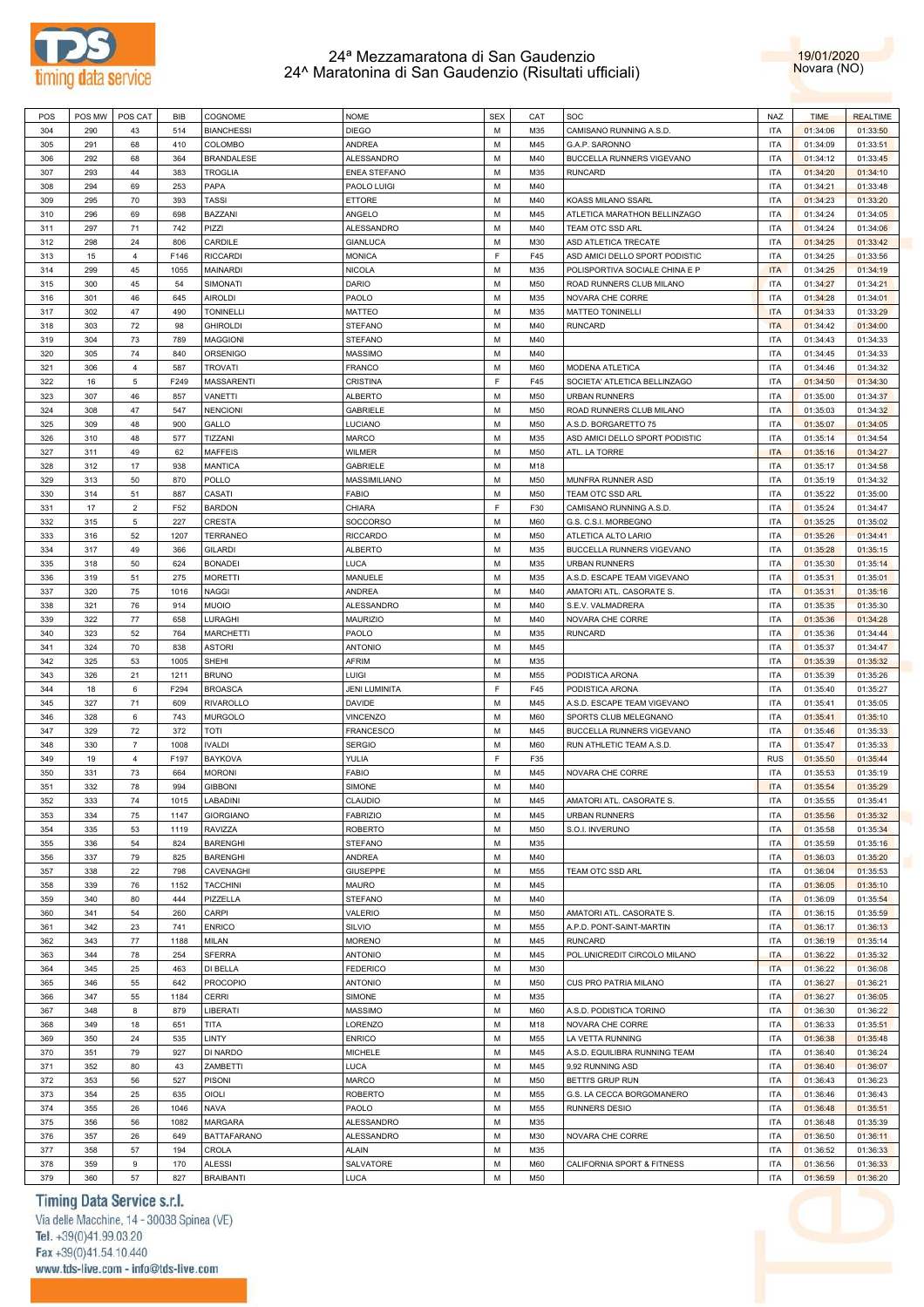



| POS | POS MW | POS CAT        | BIB  | COGNOME            | <b>NOME</b>          | <b>SEX</b> | CAT | SOC                            | NAZ        | <b>TIME</b> | <b>REALTIME</b> |
|-----|--------|----------------|------|--------------------|----------------------|------------|-----|--------------------------------|------------|-------------|-----------------|
| 304 | 290    | 43             | 514  | <b>BIANCHESSI</b>  | DIEGO                | M          | M35 | CAMISANO RUNNING A.S.D.        | <b>ITA</b> | 01:34:06    | 01:33:50        |
| 305 | 291    | 68             | 410  | COLOMBO            | <b>ANDREA</b>        | М          | M45 | G.A.P. SARONNO                 | <b>ITA</b> | 01:34:09    | 01:33:51        |
| 306 | 292    | 68             | 364  | <b>BRANDALESE</b>  | <b>ALESSANDRO</b>    | М          | M40 | BUCCELLA RUNNERS VIGEVANO      | <b>ITA</b> | 01:34:12    | 01:33:45        |
| 307 | 293    | 44             | 383  | <b>TROGLIA</b>     | <b>ENEA STEFANO</b>  | М          | M35 | <b>RUNCARD</b>                 | <b>ITA</b> | 01:34:20    | 01:34:10        |
| 308 | 294    | 69             | 253  | PAPA               | PAOLO LUIGI          | М          | M40 |                                | <b>ITA</b> | 01:34:21    | 01:33:48        |
|     |        |                |      |                    |                      |            |     |                                |            |             |                 |
| 309 | 295    | 70             | 393  | <b>TASSI</b>       | ETTORE               | М          | M40 | KOASS MILANO SSARL             | <b>ITA</b> | 01:34:23    | 01:33:20        |
| 310 | 296    | 69             | 698  | BAZZANI            | ANGELO               | М          | M45 | ATLETICA MARATHON BELLINZAGO   | <b>ITA</b> | 01:34:24    | 01:34:05        |
| 311 | 297    | 71             | 742  | PIZZI              | ALESSANDRO           | М          | M40 | TEAM OTC SSD ARL               | <b>ITA</b> | 01:34:24    | 01:34:06        |
| 312 | 298    | 24             | 806  | CARDILE            | <b>GIANLUCA</b>      | М          | M30 | ASD ATLETICA TRECATE           | <b>ITA</b> | 01:34:25    | 01:33:42        |
| 313 | 15     | $\overline{4}$ | F146 | <b>RICCARDI</b>    | <b>MONICA</b>        | E          | F45 | ASD AMICI DELLO SPORT PODISTIC | <b>ITA</b> | 01:34:25    | 01:33:56        |
| 314 | 299    | 45             | 1055 | MAINARDI           | <b>NICOLA</b>        | М          | M35 | POLISPORTIVA SOCIALE CHINA E P | <b>ITA</b> | 01:34:25    | 01:34:19        |
| 315 | 300    | 45             | 54   | SIMONATI           | DARIO                | М          | M50 | ROAD RUNNERS CLUB MILANO       | <b>ITA</b> | 01:34:27    | 01:34:21        |
| 316 | 301    | 46             | 645  | <b>AIROLDI</b>     | PAOLO                | M          | M35 | NOVARA CHE CORRE               | <b>ITA</b> | 01:34:28    | 01:34:01        |
| 317 | 302    | 47             | 490  | <b>TONINELLI</b>   | MATTEO               | М          | M35 | <b>MATTEO TONINELLI</b>        | <b>ITA</b> | 01:34:33    | 01:33:29        |
| 318 | 303    | 72             | 98   | <b>GHIROLDI</b>    | <b>STEFANO</b>       | М          | M40 | <b>RUNCARD</b>                 | <b>ITA</b> | 01:34:42    | 01:34:00        |
| 319 | 304    | 73             | 789  | <b>MAGGIONI</b>    | <b>STEFANO</b>       | М          | M40 |                                | <b>ITA</b> | 01:34:43    | 01:34:33        |
| 320 | 305    | 74             | 840  | ORSENIGO           | MASSIMO              | М          | M40 |                                | <b>ITA</b> | 01:34:45    | 01:34:33        |
|     |        |                |      |                    |                      |            |     |                                |            |             |                 |
| 321 | 306    | $\overline{4}$ | 587  | <b>TROVATI</b>     | FRANCO               | М          | M60 | MODENA ATLETICA                | <b>ITA</b> | 01:34:46    | 01:34:32        |
| 322 | 16     | 5              | F249 | <b>MASSARENTI</b>  | CRISTINA             | F.         | F45 | SOCIETA' ATLETICA BELLINZAGO   | <b>ITA</b> | 01:34:50    | 01:34:30        |
| 323 | 307    | 46             | 857  | VANETTI            | <b>ALBERTO</b>       | М          | M50 | <b>URBAN RUNNERS</b>           | <b>ITA</b> | 01:35:00    | 01:34:37        |
| 324 | 308    | 47             | 547  | <b>NENCIONI</b>    | <b>GABRIELE</b>      | M          | M50 | ROAD RUNNERS CLUB MILANO       | <b>ITA</b> | 01:35:03    | 01:34:32        |
| 325 | 309    | 48             | 900  | GALLO              | LUCIANO              | М          | M50 | A.S.D. BORGARETTO 75           | <b>ITA</b> | 01:35:07    | 01:34:05        |
| 326 | 310    | 48             | 577  | TIZZANI            | MARCO                | М          | M35 | ASD AMICI DELLO SPORT PODISTIC | <b>ITA</b> | 01:35:14    | 01:34:54        |
| 327 | 311    | 49             | 62   | <b>MAFFEIS</b>     | WILMER               | М          | M50 | ATL. LA TORRE                  | <b>ITA</b> | 01:35:16    | 01:34:27        |
| 328 | 312    | 17             | 938  | <b>MANTICA</b>     | <b>GABRIELE</b>      | М          | M18 |                                | <b>ITA</b> | 01:35:17    | 01:34:58        |
| 329 | 313    | 50             | 870  | POLLO              | MASSIMILIANO         | М          | M50 | MUNFRA RUNNER ASD              | <b>ITA</b> | 01:35:19    | 01:34:32        |
| 330 | 314    | 51             | 887  | CASATI             | FABIO                | М          | M50 | TEAM OTC SSD ARL               | <b>ITA</b> | 01:35:22    | 01:35:00        |
|     |        |                |      |                    |                      |            |     |                                |            |             |                 |
| 331 | 17     | $\overline{2}$ | F52  | <b>BARDON</b>      | CHIARA               | E          | F30 | CAMISANO RUNNING A.S.D.        | <b>ITA</b> | 01:35:24    | 01:34:47        |
| 332 | 315    | 5              | 227  | <b>CRESTA</b>      | <b>SOCCORSO</b>      | М          | M60 | G.S. C.S.I. MORBEGNO           | <b>ITA</b> | 01:35:25    | 01:35:02        |
| 333 | 316    | 52             | 1207 | <b>TERRANEO</b>    | <b>RICCARDO</b>      | М          | M50 | ATLETICA ALTO LARIO            | <b>ITA</b> | 01:35:26    | 01:34:41        |
| 334 | 317    | 49             | 366  | GILARDI            | <b>ALBERTO</b>       | М          | M35 | BUCCELLA RUNNERS VIGEVANO      | <b>ITA</b> | 01:35:28    | 01:35:15        |
| 335 | 318    | 50             | 624  | <b>BONADEI</b>     | LUCA                 | М          | M35 | <b>URBAN RUNNERS</b>           | <b>ITA</b> | 01:35:30    | 01:35:14        |
| 336 | 319    | 51             | 275  | <b>MORETTI</b>     | MANUELE              | М          | M35 | A.S.D. ESCAPE TEAM VIGEVANO    | <b>ITA</b> | 01:35:31    | 01:35:01        |
| 337 | 320    | 75             | 1016 | NAGGI              | ANDREA               | М          | M40 | AMATORI ATL. CASORATE S.       | <b>ITA</b> | 01:35:31    | 01:35:16        |
| 338 | 321    | 76             | 914  | MUOIO              | ALESSANDRO           | М          | M40 | S.E.V. VALMADRERA              | <b>ITA</b> | 01:35:35    | 01:35:30        |
| 339 | 322    | 77             | 658  | LURAGHI            | <b>MAURIZIO</b>      | М          | M40 | NOVARA CHE CORRE               | <b>ITA</b> | 01:35:36    | 01:34:28        |
| 340 | 323    | 52             | 764  | <b>MARCHETTI</b>   | PAOLO                | М          | M35 | <b>RUNCARD</b>                 | <b>ITA</b> | 01:35:36    | 01:34:44        |
| 341 | 324    | 70             | 838  | <b>ASTORI</b>      | <b>ANTONIO</b>       | М          | M45 |                                | <b>ITA</b> |             |                 |
|     |        |                |      |                    |                      |            |     |                                |            | 01:35:37    | 01:34:47        |
| 342 | 325    | 53             | 1005 | SHEHI              | AFRIM                | М          | M35 |                                | <b>ITA</b> | 01:35:39    | 01:35:32        |
| 343 | 326    | 21             | 1211 | <b>BRUNO</b>       | LUIGI                | М          | M55 | PODISTICA ARONA                | <b>ITA</b> | 01:35:39    | 01:35:26        |
| 344 | 18     | 6              | F294 | <b>BROASCA</b>     | <b>JENI LUMINITA</b> | F          | F45 | PODISTICA ARONA                | <b>ITA</b> | 01:35:40    | 01:35:27        |
| 345 | 327    | 71             | 609  | RIVAROLLO          | DAVIDE               | М          | M45 | A.S.D. ESCAPE TEAM VIGEVANO    | <b>ITA</b> | 01:35:41    | 01:35:05        |
| 346 | 328    | 6              | 743  | <b>MURGOLO</b>     | VINCENZO             | М          | M60 | SPORTS CLUB MELEGNANO          | <b>ITA</b> | 01:35:41    | 01:35:10        |
| 347 | 329    | 72             | 372  | TOTI               | FRANCESCO            | М          | M45 | BUCCELLA RUNNERS VIGEVANO      | <b>ITA</b> | 01:35:46    | 01:35:33        |
| 348 | 330    | $\overline{7}$ | 1008 | <b>IVALDI</b>      | <b>SERGIO</b>        | М          | M60 | RUN ATHLETIC TEAM A.S.D.       | <b>ITA</b> | 01:35:47    | 01:35:33        |
| 349 | 19     | $\overline{4}$ | F197 | <b>BAYKOVA</b>     | YULIA                | E          | F35 |                                | <b>RUS</b> | 01:35:50    | 01:35:44        |
| 350 | 331    | 73             | 664  | <b>MORONI</b>      | <b>FABIO</b>         | М          | M45 | NOVARA CHE CORRE               | <b>ITA</b> | 01:35:53    | 01:35:19        |
| 351 | 332    | 78             | 994  | <b>GIBBONI</b>     | SIMONE               | М          | M40 |                                | <b>ITA</b> | 01:35:54    | 01:35:29        |
| 352 | 333    |                |      |                    |                      | M          |     |                                | <b>ITA</b> |             |                 |
|     |        | 74             | 1015 | LABADINI           | CLAUDIO              |            | M45 | AMATORI ATL. CASORATE S.       |            | 01:35:55    | 01:35:41        |
| 353 | 334    | 75             | 1147 | <b>GIORGIANO</b>   | <b>FABRIZIO</b>      | М          | M45 | <b>URBAN RUNNERS</b>           | <b>ITA</b> | 01:35:56    | 01:35:32        |
| 354 | 335    | 53             | 1119 | <b>RAVIZZA</b>     | <b>ROBERTO</b>       | М          | M50 | S.O.I. INVERUNO                | <b>ITA</b> | 01:35:58    | 01:35:34        |
| 355 | 336    | 54             | 824  | <b>BARENGHI</b>    | <b>STEFANO</b>       | М          | M35 |                                | <b>ITA</b> | 01:35:59    | 01:35:16        |
| 356 | 337    | 79             | 825  | <b>BARENGHI</b>    | ANDREA               | М          | M40 |                                | <b>ITA</b> | 01:36:03    | 01:35:20        |
| 357 | 338    | 22             | 798  | CAVENAGHI          | <b>GIUSEPPE</b>      | М          | M55 | TEAM OTC SSD ARL               | <b>ITA</b> | 01:36:04    | 01:35:53        |
| 358 | 339    | 76             | 1152 | <b>TACCHINI</b>    | MAURO                | М          | M45 |                                | <b>ITA</b> | 01:36:05    | 01:35:10        |
| 359 | 340    | 80             | 444  | PIZZELLA           | <b>STEFANO</b>       | М          | M40 |                                | <b>ITA</b> | 01:36:09    | 01:35:54        |
| 360 | 341    | 54             | 260  | CARPI              | VALERIO              | М          | M50 | AMATORI ATL. CASORATE S.       | <b>ITA</b> | 01:36:15    | 01:35:59        |
| 361 | 342    | 23             | 741  | <b>ENRICO</b>      | SILVIO               | М          | M55 | A.P.D. PONT-SAINT-MARTIN       | <b>ITA</b> | 01:36:17    | 01:36:13        |
|     | 343    | 77             | 1188 | MILAN              | <b>MORENO</b>        | М          | M45 | <b>RUNCARD</b>                 |            |             |                 |
| 362 |        |                |      |                    |                      |            |     |                                | <b>ITA</b> | 01:36:19    | 01:35:14        |
| 363 | 344    | 78             | 254  | <b>SFERRA</b>      | <b>ANTONIO</b>       | М          | M45 | POL.UNICREDIT CIRCOLO MILANO   | <b>ITA</b> | 01:36:22    | 01:35:32        |
| 364 | 345    | 25             | 463  | DI BELLA           | <b>FEDERICO</b>      | М          | M30 |                                | <b>ITA</b> | 01:36:22    | 01:36:08        |
| 365 | 346    | 55             | 642  | <b>PROCOPIO</b>    | <b>ANTONIO</b>       | М          | M50 | CUS PRO PATRIA MILANO          | <b>ITA</b> | 01:36:27    | 01:36:21        |
| 366 | 347    | 55             | 1184 | <b>CERRI</b>       | SIMONE               | М          | M35 |                                | <b>ITA</b> | 01:36:27    | 01:36:05        |
| 367 | 348    | 8              | 879  | LIBERATI           | MASSIMO              | М          | M60 | A.S.D. PODISTICA TORINO        | <b>ITA</b> | 01:36:30    | 01:36:22        |
| 368 | 349    | 18             | 651  | TITA               | LORENZO              | М          | M18 | NOVARA CHE CORRE               | <b>ITA</b> | 01:36:33    | 01:35:51        |
| 369 | 350    | 24             | 535  | LINTY              | <b>ENRICO</b>        | М          | M55 | LA VETTA RUNNING               | <b>ITA</b> | 01:36:38    | 01:35:48        |
| 370 | 351    | 79             | 927  | DI NARDO           | MICHELE              | М          | M45 | A.S.D. EQUILIBRA RUNNING TEAM  | <b>ITA</b> | 01:36:40    | 01:36:24        |
| 371 | 352    | 80             | 43   | ZAMBETTI           | LUCA                 | М          | M45 | 9,92 RUNNING ASD               | <b>ITA</b> | 01:36:40    | 01:36:07        |
|     |        |                |      |                    |                      |            |     |                                |            |             |                 |
| 372 | 353    | 56             | 527  | PISONI             | MARCO                | М          | M50 | BETTI'S GRUP RUN               | <b>ITA</b> | 01:36:43    | 01:36:23        |
| 373 | 354    | 25             | 635  | OIOLI              | <b>ROBERTO</b>       | М          | M55 | G.S. LA CECCA BORGOMANERO      | <b>ITA</b> | 01:36:46    | 01:36:43        |
| 374 | 355    | 26             | 1046 | NAVA               | PAOLO                | М          | M55 | <b>RUNNERS DESIO</b>           | <b>ITA</b> | 01:36:48    | 01:35:51        |
| 375 | 356    | 56             | 1082 | MARGARA            | ALESSANDRO           | М          | M35 |                                | <b>ITA</b> | 01:36:48    | 01:35:39        |
| 376 | 357    | 26             | 649  | <b>BATTAFARANO</b> | ALESSANDRO           | М          | M30 | NOVARA CHE CORRE               | <b>ITA</b> | 01:36:50    | 01:36:11        |
| 377 | 358    | 57             | 194  | CROLA              | <b>ALAIN</b>         | М          | M35 |                                | <b>ITA</b> | 01:36:52    | 01:36:33        |
| 378 | 359    | 9              | 170  | ALESSI             | SALVATORE            | М          | M60 | CALIFORNIA SPORT & FITNESS     | <b>ITA</b> | 01:36:56    | 01:36:33        |
| 379 | 360    | 57             | 827  | <b>BRAIBANTI</b>   | LUCA                 | М          | M50 |                                | <b>ITA</b> | 01:36:59    | 01:36:20        |
|     |        |                |      |                    |                      |            |     |                                |            |             |                 |

### Timing Data Service s.r.l.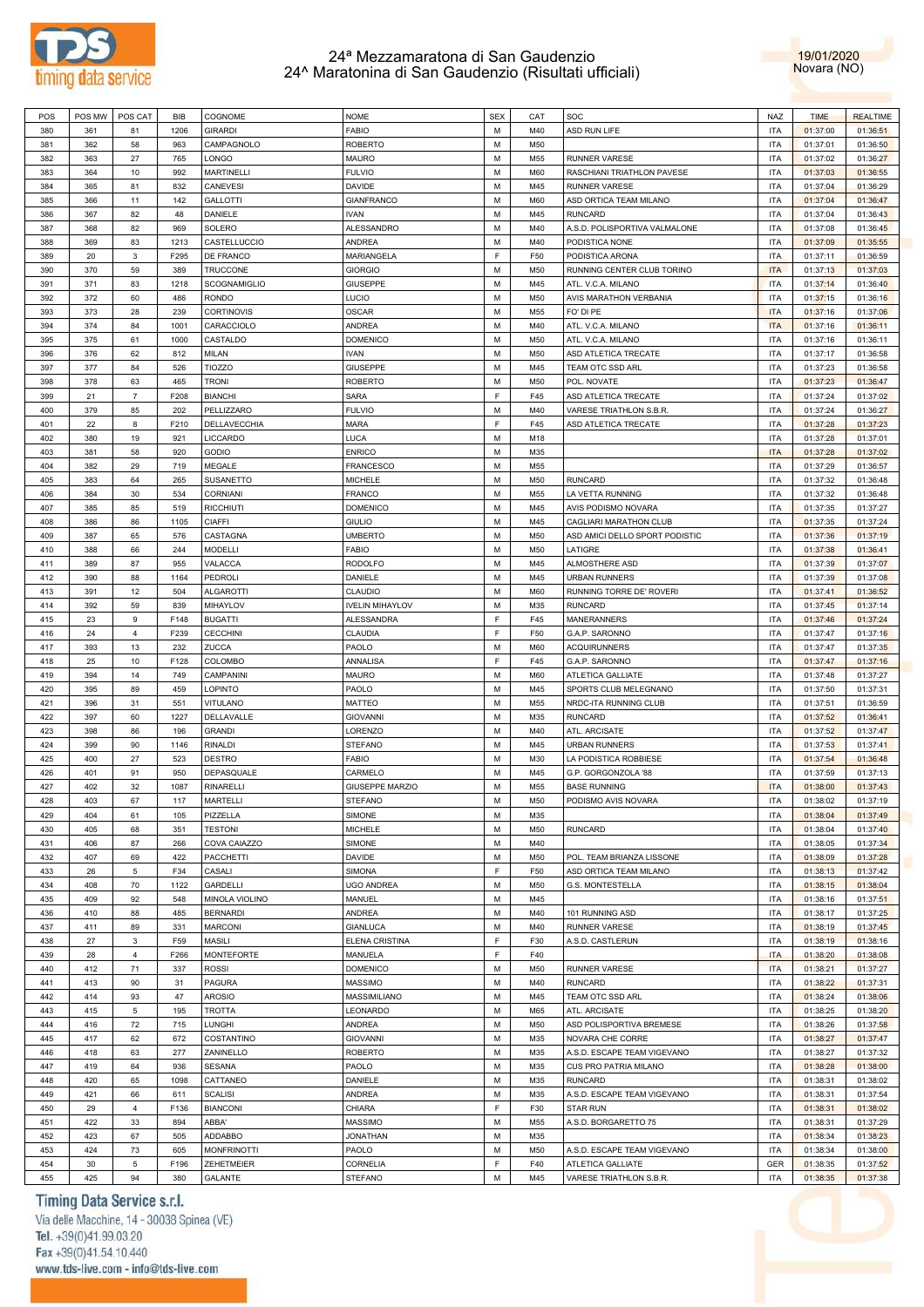



| POS        | POS MW    | POS CAT        | BIB         | COGNOME               | <b>NOME</b>            | <b>SEX</b> | CAT        | SOC                                          | NAZ               | <b>TIME</b>          | <b>REALTIME</b>      |
|------------|-----------|----------------|-------------|-----------------------|------------------------|------------|------------|----------------------------------------------|-------------------|----------------------|----------------------|
| 380        | 361       | 81             | 1206        | <b>GIRARDI</b>        | FABIO                  | M          | M40        | ASD RUN LIFE                                 | <b>ITA</b>        | 01:37:00             | 01:36:51             |
| 381        | 362       | 58             | 963         | CAMPAGNOLO            | <b>ROBERTO</b>         | М          | M50        |                                              | <b>ITA</b>        | 01:37:01             | 01:36:50             |
| 382        | 363       | 27             | 765         | LONGO                 | MAURO                  | М          | M55        | <b>RUNNER VARESE</b>                         | <b>ITA</b>        | 01:37:02             | 01:36:27             |
| 383        | 364       | 10             | 992         | <b>MARTINELLI</b>     | <b>FULVIO</b>          | М          | M60        | RASCHIANI TRIATHLON PAVESE                   | <b>ITA</b>        | 01:37:03             | 01:36:55             |
| 384        | 365       | 81             | 832         |                       | DAVIDE                 | M          | M45        | <b>RUNNER VARESE</b>                         | <b>ITA</b>        |                      |                      |
|            |           |                |             | CANEVESI              |                        |            |            |                                              |                   | 01:37:04             | 01:36:29             |
| 385        | 366       | 11             | 142         | <b>GALLOTTI</b>       | <b>GIANFRANCO</b>      | М          | M60        | ASD ORTICA TEAM MILANO                       | <b>ITA</b>        | 01:37:04             | 01:36:47             |
| 386        | 367       | 82             | 48          | DANIELE               | <b>IVAN</b>            | М          | M45        | <b>RUNCARD</b>                               | <b>ITA</b>        | 01:37:04             | 01:36:43             |
| 387        | 368       | 82             | 969         | SOLERO                | ALESSANDRO             | М          | M40        | A.S.D. POLISPORTIVA VALMALONE                | <b>ITA</b>        | 01:37:08             | 01:36:45             |
| 388        | 369       | 83             | 1213        | CASTELLUCCIO          | ANDREA                 | М          | M40        | PODISTICA NONE                               | <b>ITA</b>        | 01:37:09             | 01:35:55             |
| 389        | 20        | 3              | F295        | DE FRANCO             | MARIANGELA             | E          | F50        | PODISTICA ARONA                              | <b>ITA</b>        | 01:37:11             | 01:36:59             |
| 390        | 370       | 59             | 389         | <b>TRUCCONE</b>       | <b>GIORGIO</b>         | М          | M50        | RUNNING CENTER CLUB TORINO                   | <b>ITA</b>        | 01:37:13             | 01:37:03             |
| 391        | 371       | 83             | 1218        | SCOGNAMIGLIO          | <b>GIUSEPPE</b>        | М          | M45        | ATL. V.C.A. MILANO                           | <b>ITA</b>        | 01:37:14             | 01:36:40             |
| 392        | 372       | 60             | 486         | <b>RONDO</b>          | LUCIO                  | M          | M50        | AVIS MARATHON VERBANIA                       | <b>ITA</b>        | 01:37:15             | 01:36:16             |
| 393        | 373       | 28             | 239         | <b>CORTINOVIS</b>     | <b>OSCAR</b>           | М          | M55        | FO' DI PE                                    | <b>ITA</b>        | 01:37:16             | 01:37:06             |
|            |           |                |             |                       |                        |            |            |                                              |                   |                      |                      |
| 394        | 374       | 84             | 1001        | CARACCIOLO            | ANDREA                 | М          | M40        | ATL. V.C.A. MILANO                           | <b>ITA</b>        | 01:37:16             | 01:36:11             |
| 395        | 375       | 61             | 1000        | CASTALDO              | <b>DOMENICO</b>        | М          | M50        | ATL. V.C.A. MILANO                           | <b>ITA</b>        | 01:37:16             | 01:36:11             |
| 396        | 376       | 62             | 812         | MILAN                 | <b>IVAN</b>            | М          | M50        | ASD ATLETICA TRECATE                         | <b>ITA</b>        | 01:37:17             | 01:36:58             |
| 397        | 377       | 84             | 526         | <b>TIOZZO</b>         | <b>GIUSEPPE</b>        | М          | M45        | TEAM OTC SSD ARL                             | <b>ITA</b>        | 01:37:23             | 01:36:58             |
| 398        | 378       | 63             | 465         | <b>TRONI</b>          | <b>ROBERTO</b>         | М          | M50        | POL. NOVATE                                  | <b>ITA</b>        | 01:37:23             | 01:36:47             |
| 399        | 21        | $\overline{7}$ | F208        | <b>BIANCHI</b>        | <b>SARA</b>            | E          | F45        | ASD ATLETICA TRECATE                         | <b>ITA</b>        | 01:37:24             | 01:37:02             |
| 400        | 379       | 85             | 202         | PELLIZZARO            | <b>FULVIO</b>          | М          | M40        | VARESE TRIATHLON S.B.R.                      | <b>ITA</b>        | 01:37:24             | 01:36:27             |
| 401        | 22        | 8              | F210        | DELLAVECCHIA          | <b>MARA</b>            | E          | F45        | ASD ATLETICA TRECATE                         | <b>ITA</b>        | 01:37:28             | 01:37:23             |
| 402        | 380       | 19             | 921         | LICCARDO              | LUCA                   | М          | M18        |                                              | <b>ITA</b>        | 01:37:28             | 01:37:01             |
|            |           |                |             |                       |                        | М          |            |                                              |                   |                      |                      |
| 403        | 381       | 58             | 920         | <b>GODIO</b>          | <b>ENRICO</b>          |            | M35        |                                              | <b>ITA</b>        | 01:37:28             | 01:37:02             |
| 404        | 382       | 29             | 719         | MEGALE                | FRANCESCO              | М          | M55        |                                              | <b>ITA</b>        | 01:37:29             | 01:36:57             |
| 405        | 383       | 64             | 265         | SUSANETTO             | MICHELE                | М          | M50        | <b>RUNCARD</b>                               | <b>ITA</b>        | 01:37:32             | 01:36:48             |
| 406        | 384       | 30             | 534         | <b>CORNIANI</b>       | <b>FRANCO</b>          | М          | M55        | LA VETTA RUNNING                             | <b>ITA</b>        | 01:37:32             | 01:36:48             |
| 407        | 385       | 85             | 519         | <b>RICCHIUTI</b>      | <b>DOMENICO</b>        | М          | M45        | AVIS PODISMO NOVARA                          | <b>ITA</b>        | 01:37:35             | 01:37:27             |
| 408        | 386       | 86             | 1105        | CIAFFI                | <b>GIULIO</b>          | M          | M45        | CAGLIARI MARATHON CLUB                       | <b>ITA</b>        | 01:37:35             | 01:37:24             |
| 409        | 387       | 65             | 576         | CASTAGNA              | <b>UMBERTO</b>         | М          | M50        | ASD AMICI DELLO SPORT PODISTIC               | <b>ITA</b>        | 01:37:36             | 01:37:19             |
| 410        | 388       | 66             | 244         | <b>MODELLI</b>        | FABIO                  | М          | M50        | LATIGRE                                      | <b>ITA</b>        | 01:37:38             | 01:36:41             |
| 411        | 389       | 87             | 955         | VALACCA               | <b>RODOLFO</b>         | М          | M45        | ALMOSTHERE ASD                               | <b>ITA</b>        | 01:37:39             | 01:37:07             |
| 412        | 390       | 88             | 1164        | PEDROLI               | DANIELE                | М          | M45        | <b>URBAN RUNNERS</b>                         | <b>ITA</b>        | 01:37:39             | 01:37:08             |
|            |           |                |             |                       |                        |            |            |                                              |                   |                      |                      |
| 413        | 391       | 12             | 504         | <b>ALGAROTTI</b>      | <b>CLAUDIO</b>         | М          | M60        | RUNNING TORRE DE' ROVERI                     | <b>ITA</b>        | 01:37:41             | 01:36:52             |
| 414        | 392       | 59             | 839         | MIHAYLOV              | <b>IVELIN MIHAYLOV</b> | М          | M35        | <b>RUNCARD</b>                               | <b>ITA</b>        | 01:37:45             | 01:37:14             |
| 415        | 23        | 9              | F148        | <b>BUGATTI</b>        | <b>ALESSANDRA</b>      | E          | F45        | <b>MANERANNERS</b>                           | <b>ITA</b>        | 01:37:46             | 01:37:24             |
| 416        | 24        | $\overline{4}$ | F239        | <b>CECCHINI</b>       | CLAUDIA                | F.         | F50        | G.A.P. SARONNO                               | <b>ITA</b>        | 01:37:47             | 01:37:16             |
| 417        | 393       | 13             | 232         | ZUCCA                 | PAOLO                  | М          | M60        | <b>ACQUIRUNNERS</b>                          | <b>ITA</b>        | 01:37:47             | 01:37:35             |
| 418        | 25        | 10             | F128        | COLOMBO               | ANNALISA               | F          | F45        | G.A.P. SARONNO                               | <b>ITA</b>        | 01:37:47             | 01:37:16             |
| 419        | 394       | 14             | 749         | CAMPANINI             | MAURO                  | М          | M60        | ATLETICA GALLIATE                            | <b>ITA</b>        | 01:37:48             | 01:37:27             |
| 420        | 395       | 89             | 459         | LOPINTO               | PAOLO                  | М          | M45        | SPORTS CLUB MELEGNANO                        | <b>ITA</b>        | 01:37:50             | 01:37:31             |
| 421        | 396       | 31             | 551         | VITULANO              | MATTEO                 | М          | M55        | NRDC-ITA RUNNING CLUB                        | <b>ITA</b>        | 01:37:51             | 01:36:59             |
| 422        | 397       | 60             | 1227        | DELLAVALLE            | <b>GIOVANNI</b>        | М          | M35        | <b>RUNCARD</b>                               | <b>ITA</b>        | 01:37:52             | 01:36:41             |
|            | 398       | 86             | 196         | <b>GRANDI</b>         | LORENZO                | М          | M40        |                                              | <b>ITA</b>        |                      |                      |
| 423        |           |                |             |                       |                        |            |            | ATL. ARCISATE                                |                   | 01:37:52             | 01:37:47             |
| 424        | 399       | 90             | 1146        | <b>RINALDI</b>        | <b>STEFANO</b>         | М          | M45        | <b>URBAN RUNNERS</b>                         | <b>ITA</b>        | 01:37:53             | 01:37:41             |
| 425        | 400       | 27             | 523         | <b>DESTRO</b>         | FABIO                  | М          | M30        | LA PODISTICA ROBBIESE                        | <b>ITA</b>        | 01:37:54             | 01:36:48             |
| 426        | 401       | 91             | 950         | DEPASQUALE            | CARMELO                | М          | M45        | G.P. GORGONZOLA '88                          | <b>ITA</b>        | 01:37:59             | 01:37:13             |
| 427        | 402       | 32             | 1087        | <b>RINARELLI</b>      | GIUSEPPE MARZIO        | М          | M55        | <b>BASE RUNNING</b>                          | <b>ITA</b>        | 01:38:00             | 01:37:43             |
| 428        | 403       | 67             | 117         | <b>MARTELLI</b>       | <b>STEFANO</b>         | M          | M50        | PODISMO AVIS NOVARA                          | <b>ITA</b>        | 01:38:02             | 01:37:19             |
| 429        | 404       | 61             | 105         | PIZZELLA              | SIMONE                 | М          | M35        |                                              | <b>ITA</b>        | 01:38:04             | 01:37:49             |
| 430        | 405       | 68             | 351         | <b>TESTONI</b>        | <b>MICHELE</b>         | М          | M50        | <b>RUNCARD</b>                               | <b>ITA</b>        | 01:38:04             | 01:37:40             |
| 431        | 406       | 87             | 266         | COVA CAIAZZO          | SIMONE                 | М          | M40        |                                              | <b>ITA</b>        | 01:38:05             | 01:37:34             |
| 432        | 407       | 69             | 422         | <b>PACCHETTI</b>      | DAVIDE                 | М          | M50        | POL. TEAM BRIANZA LISSONE                    | <b>ITA</b>        | 01:38:09             | 01:37:28             |
|            |           |                |             |                       |                        | F.         |            |                                              |                   |                      |                      |
| 433        | 26        | 5              | F34         | CASALI                | <b>SIMONA</b>          |            | F50        | ASD ORTICA TEAM MILANO                       | <b>ITA</b>        | 01:38:13             | 01:37:42             |
| 434        | 408       | 70             | 1122        | <b>GARDELLI</b>       | <b>UGO ANDREA</b>      | М          | M50        | G.S. MONTESTELLA                             | <b>ITA</b>        | 01:38:15             | 01:38:04             |
| 435        | 409       | 92             | 548         | MINOLA VIOLINO        | MANUEL                 | М          | M45        |                                              | <b>ITA</b>        | 01:38:16             | 01:37:51             |
| 436        | 410       | 88             | 485         | <b>BERNARDI</b>       | ANDREA                 | М          | M40        | 101 RUNNING ASD                              | <b>ITA</b>        | 01:38:17             | 01:37:25             |
| 437        | 411       | 89             | 331         | <b>MARCONI</b>        | <b>GIANLUCA</b>        | М          | M40        | RUNNER VARESE                                | <b>ITA</b>        | 01:38:19             | 01:37:45             |
| 438        | 27        | 3              | F59         | MASILI                | ELENA CRISTINA         | F          | F30        | A.S.D. CASTLERUN                             | <b>ITA</b>        | 01:38:19             | 01:38:16             |
| 439        | 28        | $\overline{4}$ | F266        | MONTEFORTE            | MANUELA                | E          | F40        |                                              | <b>ITA</b>        | 01:38:20             | 01:38:08             |
| 440        | 412       | 71             | 337         | <b>ROSSI</b>          | <b>DOMENICO</b>        | М          | M50        | <b>RUNNER VARESE</b>                         | <b>ITA</b>        | 01:38:21             | 01:37:27             |
| 441        | 413       | 90             | 31          | PAGURA                | MASSIMO                | М          | M40        | <b>RUNCARD</b>                               | <b>ITA</b>        | 01:38:22             | 01:37:31             |
|            |           |                | 47          |                       |                        | М          |            |                                              |                   |                      |                      |
| 442        | 414       | 93             |             | AROSIO                | MASSIMILIANO           |            | M45        | TEAM OTC SSD ARL                             | <b>ITA</b>        | 01:38:24             | 01:38:06             |
| 443        | 415       | 5              | 195         | <b>TROTTA</b>         | LEONARDO               | М          | M65        | ATL. ARCISATE                                | <b>ITA</b>        | 01:38:25             | 01:38:20             |
| 444        | 416       | 72             | 715         | LUNGHI                | ANDREA                 | М          | M50        | ASD POLISPORTIVA BREMESE                     | <b>ITA</b>        | 01:38:26             | 01:37:58             |
| 445        | 417       | 62             | 672         | COSTANTINO            | <b>GIOVANNI</b>        | М          | M35        | NOVARA CHE CORRE                             | <b>ITA</b>        | 01:38:27             | 01:37:47             |
| 446        |           | 63             | 277         | ZANINELLO             | <b>ROBERTO</b>         | М          | M35        | A.S.D. ESCAPE TEAM VIGEVANO                  | <b>ITA</b>        | 01:38:27             | 01:37:32             |
|            | 418       |                |             | <b>SESANA</b>         | PAOLO                  | М          | M35        | CUS PRO PATRIA MILANO                        | <b>ITA</b>        | 01:38:28             | 01:38:00             |
| 447        | 419       | 64             | 936         |                       |                        |            |            |                                              |                   |                      |                      |
| 448        | 420       | 65             | 1098        | CATTANEO              | DANIELE                | М          | M35        | <b>RUNCARD</b>                               | <b>ITA</b>        | 01:38:31             | 01:38:02             |
| 449        | 421       | 66             | 611         | <b>SCALISI</b>        |                        | М          | M35        |                                              | <b>ITA</b>        | 01:38:31             |                      |
|            |           |                |             |                       | ANDREA                 |            |            | A.S.D. ESCAPE TEAM VIGEVANO                  |                   |                      | 01:37:54             |
| 450        | 29        | $\overline{4}$ | F136        | <b>BIANCONI</b>       | CHIARA                 | E          | F30        | <b>STAR RUN</b>                              | <b>ITA</b>        | 01:38:31             | 01:38:02             |
| 451        | 422       | 33             | 894         | ABBA'                 | MASSIMO                | М          | M55        | A.S.D. BORGARETTO 75                         | <b>ITA</b>        | 01:38:31             | 01:37:29             |
| 452        | 423       | 67             | 505         | ADDABBO               | <b>JONATHAN</b>        | М          | M35        |                                              | <b>ITA</b>        | 01:38:34             | 01:38:23             |
| 453        | 424       | 73             | 605         | <b>MONFRINOTTI</b>    | PAOLO                  | М          | M50        | A.S.D. ESCAPE TEAM VIGEVANO                  | <b>ITA</b>        | 01:38:34             | 01:38:00             |
| 454<br>455 | 30<br>425 | 5<br>94        | F196<br>380 | ZEHETMEIER<br>GALANTE | CORNELIA<br>STEFANO    | F<br>М     | F40<br>M45 | ATLETICA GALLIATE<br>VARESE TRIATHLON S.B.R. | GER<br><b>ITA</b> | 01:38:35<br>01:38:35 | 01:37:52<br>01:37:38 |

## Timing Data Service s.r.l.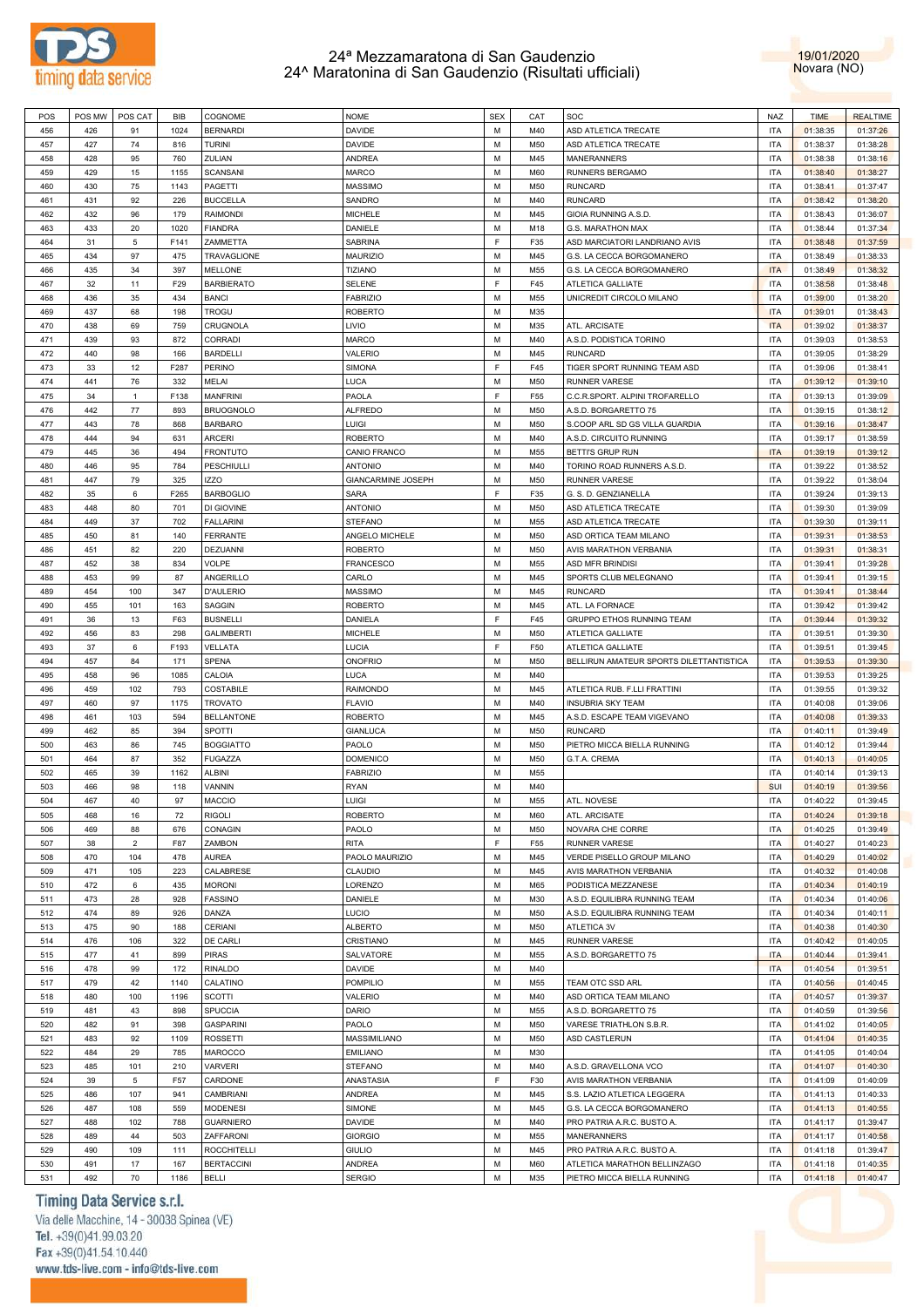



| POS | POS MW | POS CAT        | <b>BIB</b> | COGNOME            | <b>NOME</b>        | <b>SEX</b> | CAT | SOC                                     | NAZ        | <b>TIME</b> | <b>REALTIME</b> |
|-----|--------|----------------|------------|--------------------|--------------------|------------|-----|-----------------------------------------|------------|-------------|-----------------|
| 456 | 426    | 91             | 1024       | <b>BERNARDI</b>    | <b>DAVIDE</b>      | M          | M40 | ASD ATLETICA TRECATE                    | <b>ITA</b> | 01:38:35    | 01:37:26        |
| 457 | 427    | 74             | 816        | <b>TURINI</b>      | <b>DAVIDE</b>      | М          | M50 | ASD ATLETICA TRECATE                    | <b>ITA</b> | 01:38:37    | 01:38:28        |
| 458 | 428    | 95             | 760        | ZULIAN             | ANDREA             | M          | M45 | <b>MANERANNERS</b>                      | <b>ITA</b> | 01:38:38    | 01:38:16        |
| 459 | 429    | 15             | 1155       | <b>SCANSANI</b>    | MARCO              | М          | M60 | RUNNERS BERGAMO                         | <b>ITA</b> | 01:38:40    | 01:38:27        |
|     |        |                |            |                    | <b>MASSIMO</b>     | M          |     |                                         | <b>ITA</b> |             |                 |
| 460 | 430    | 75             | 1143       | PAGETTI            |                    |            | M50 | <b>RUNCARD</b>                          |            | 01:38:41    | 01:37:47        |
| 461 | 431    | 92             | 226        | <b>BUCCELLA</b>    | SANDRO             | М          | M40 | <b>RUNCARD</b>                          | <b>ITA</b> | 01:38:42    | 01:38:20        |
| 462 | 432    | 96             | 179        | RAIMONDI           | <b>MICHELE</b>     | M          | M45 | GIOIA RUNNING A.S.D.                    | <b>ITA</b> | 01:38:43    | 01:36:07        |
| 463 | 433    | 20             | 1020       | <b>FIANDRA</b>     | DANIELE            | M          | M18 | G.S. MARATHON MAX                       | <b>ITA</b> | 01:38:44    | 01:37:34        |
| 464 | 31     | 5              | F141       | ZAMMETTA           | <b>SABRINA</b>     | E          | F35 | ASD MARCIATORI LANDRIANO AVIS           | <b>ITA</b> | 01:38:48    | 01:37:59        |
| 465 | 434    | 97             | 475        | <b>TRAVAGLIONE</b> | <b>MAURIZIO</b>    | M          | M45 | G.S. LA CECCA BORGOMANERO               | <b>ITA</b> | 01:38:49    | 01:38:33        |
| 466 | 435    | 34             | 397        | <b>MELLONE</b>     | <b>TIZIANO</b>     | M          | M55 | G.S. LA CECCA BORGOMANERO               | <b>ITA</b> | 01:38:49    | 01:38:32        |
| 467 | 32     | 11             | F29        | <b>BARBIERATO</b>  | <b>SELENE</b>      | F          | F45 | ATLETICA GALLIATE                       | <b>ITA</b> | 01:38:58    | 01:38:48        |
| 468 | 436    | 35             | 434        | <b>BANCI</b>       | <b>FABRIZIO</b>    | M          | M55 | UNICREDIT CIRCOLO MILANO                | <b>ITA</b> | 01:39:00    | 01:38:20        |
| 469 | 437    | 68             | 198        | <b>TROGU</b>       | <b>ROBERTO</b>     | М          | M35 |                                         | <b>ITA</b> | 01:39:01    | 01:38:43        |
|     |        |                |            |                    |                    |            |     |                                         |            |             |                 |
| 470 | 438    | 69             | 759        | CRUGNOLA           | LIVIO              | M          | M35 | ATL. ARCISATE                           | <b>ITA</b> | 01:39:02    | 01:38:37        |
| 471 | 439    | 93             | 872        | <b>CORRADI</b>     | MARCO              | M          | M40 | A.S.D. PODISTICA TORINO                 | <b>ITA</b> | 01:39:03    | 01:38:53        |
| 472 | 440    | 98             | 166        | <b>BARDELLI</b>    | VALERIO            | M          | M45 | <b>RUNCARD</b>                          | <b>ITA</b> | 01:39:05    | 01:38:29        |
| 473 | 33     | 12             | F287       | PERINO             | <b>SIMONA</b>      | F          | F45 | TIGER SPORT RUNNING TEAM ASD            | <b>ITA</b> | 01:39:06    | 01:38:41        |
| 474 | 441    | 76             | 332        | MELAI              | LUCA               | M          | M50 | <b>RUNNER VARESE</b>                    | <b>ITA</b> | 01:39:12    | 01:39:10        |
| 475 | 34     | 1              | F138       | <b>MANFRINI</b>    | PAOLA              | F          | F55 | C.C.R.SPORT. ALPINI TROFARELLO          | <b>ITA</b> | 01:39:13    | 01:39:09        |
| 476 | 442    | 77             | 893        | <b>BRUOGNOLO</b>   | <b>ALFREDO</b>     | M          | M50 | A.S.D. BORGARETTO 75                    | <b>ITA</b> | 01:39:15    | 01:38:12        |
| 477 | 443    | 78             | 868        | <b>BARBARO</b>     | LUIGI              | М          | M50 | S.COOP ARL SD GS VILLA GUARDIA          | <b>ITA</b> | 01:39:16    | 01:38:47        |
| 478 | 444    | 94             | 631        | <b>ARCERI</b>      | <b>ROBERTO</b>     | M          | M40 | A.S.D. CIRCUITO RUNNING                 | <b>ITA</b> | 01:39:17    | 01:38:59        |
|     |        |                |            | <b>FRONTUTO</b>    |                    |            |     |                                         |            |             |                 |
| 479 | 445    | 36             | 494        |                    | CANIO FRANCO       | M          | M55 | BETTI'S GRUP RUN                        | <b>ITA</b> | 01:39:19    | 01:39:12        |
| 480 | 446    | 95             | 784        | <b>PESCHIULLI</b>  | <b>ANTONIO</b>     | M          | M40 | TORINO ROAD RUNNERS A.S.D.              | <b>ITA</b> | 01:39:22    | 01:38:52        |
| 481 | 447    | 79             | 325        | <b>IZZO</b>        | GIANCARMINE JOSEPH | M          | M50 | <b>RUNNER VARESE</b>                    | <b>ITA</b> | 01:39:22    | 01:38:04        |
| 482 | 35     | 6              | F265       | <b>BARBOGLIO</b>   | <b>SARA</b>        | F          | F35 | G. S. D. GENZIANELLA                    | <b>ITA</b> | 01:39:24    | 01:39:13        |
| 483 | 448    | 80             | 701        | DI GIOVINE         | <b>ANTONIO</b>     | M          | M50 | ASD ATLETICA TRECATE                    | <b>ITA</b> | 01:39:30    | 01:39:09        |
| 484 | 449    | 37             | 702        | <b>FALLARINI</b>   | <b>STEFANO</b>     | M          | M55 | ASD ATLETICA TRECATE                    | <b>ITA</b> | 01:39:30    | 01:39:11        |
| 485 | 450    | 81             | 140        | <b>FERRANTE</b>    | ANGELO MICHELE     | M          | M50 | ASD ORTICA TEAM MILANO                  | <b>ITA</b> | 01:39:31    | 01:38:53        |
| 486 | 451    | 82             | 220        | DEZUANNI           | <b>ROBERTO</b>     | M          | M50 | AVIS MARATHON VERBANIA                  | <b>ITA</b> | 01:39:31    | 01:38:31        |
| 487 | 452    | 38             | 834        | VOLPE              | <b>FRANCESCO</b>   | M          | M55 | ASD MFR BRINDISI                        | <b>ITA</b> | 01:39:41    | 01:39:28        |
|     |        | 99             | 87         |                    | CARLO              | M          |     |                                         |            |             |                 |
| 488 | 453    |                |            | ANGERILLO          |                    |            | M45 | SPORTS CLUB MELEGNANO                   | <b>ITA</b> | 01:39:41    | 01:39:15        |
| 489 | 454    | 100            | 347        | D'AULERIO          | MASSIMO            | М          | M45 | <b>RUNCARD</b>                          | <b>ITA</b> | 01:39:41    | 01:38:44        |
| 490 | 455    | 101            | 163        | SAGGIN             | <b>ROBERTO</b>     | M          | M45 | ATL. LA FORNACE                         | <b>ITA</b> | 01:39:42    | 01:39:42        |
| 491 | 36     | 13             | F63        | <b>BUSNELLI</b>    | DANIELA            | F          | F45 | GRUPPO ETHOS RUNNING TEAM               | <b>ITA</b> | 01:39:44    | 01:39:32        |
| 492 | 456    | 83             | 298        | <b>GALIMBERTI</b>  | <b>MICHELE</b>     | M          | M50 | ATLETICA GALLIATE                       | <b>ITA</b> | 01:39:51    | 01:39:30        |
| 493 | 37     | 6              | F193       | VELLATA            | LUCIA              | E          | F50 | ATLETICA GALLIATE                       | <b>ITA</b> | 01:39:51    | 01:39:45        |
| 494 | 457    | 84             | 171        | <b>SPENA</b>       | ONOFRIO            | M          | M50 | BELLIRUN AMATEUR SPORTS DILETTANTISTICA | <b>ITA</b> | 01:39:53    | 01:39:30        |
| 495 | 458    | 96             | 1085       | CALOIA             | LUCA               | M          | M40 |                                         | <b>ITA</b> | 01:39:53    | 01:39:25        |
| 496 | 459    | 102            | 793        | <b>COSTABILE</b>   | <b>RAIMONDO</b>    | M          | M45 | ATLETICA RUB. F.LLI FRATTINI            | <b>ITA</b> | 01:39:55    | 01:39:32        |
| 497 | 460    | 97             | 1175       | <b>TROVATO</b>     | <b>FLAVIO</b>      | M          | M40 | <b>INSUBRIA SKY TEAM</b>                | <b>ITA</b> | 01:40:08    | 01:39:06        |
|     |        |                |            |                    |                    |            |     |                                         |            |             |                 |
| 498 | 461    | 103            | 594        | <b>BELLANTONE</b>  | <b>ROBERTO</b>     | M          | M45 | A.S.D. ESCAPE TEAM VIGEVANO             | <b>ITA</b> | 01:40:08    | 01:39:33        |
| 499 | 462    | 85             | 394        | SPOTTI             | <b>GIANLUCA</b>    | M          | M50 | <b>RUNCARD</b>                          | <b>ITA</b> | 01:40:11    | 01:39:49        |
| 500 | 463    | 86             | 745        | <b>BOGGIATTO</b>   | PAOLO              | M          | M50 | PIETRO MICCA BIELLA RUNNING             | <b>ITA</b> | 01:40:12    | 01:39:44        |
| 501 | 464    | 87             | 352        | <b>FUGAZZA</b>     | <b>DOMENICO</b>    | М          | M50 | G.T.A. CREMA                            | <b>ITA</b> | 01:40:13    | 01:40:05        |
| 502 | 465    | 39             | 1162       | ALBINI             | <b>FABRIZIO</b>    | M          | M55 |                                         | <b>ITA</b> | 01:40:14    | 01:39:13        |
| 503 | 466    | 98             | 118        | VANNIN             | <b>RYAN</b>        | M          | M40 |                                         | SUI        | 01:40:19    | 01:39:56        |
| 504 | 467    | 40             | 97         | <b>MACCIO</b>      | LUIGI              | M          | M55 | ATL. NOVESE                             | <b>ITA</b> | 01:40:22    | 01:39:45        |
| 505 | 468    | 16             | 72         | RIGOLI             | <b>ROBERTO</b>     | М          | M60 | ATL. ARCISATE                           | <b>ITA</b> | 01:40:24    | 01:39:18        |
| 506 | 469    | 88             | 676        | CONAGIN            | PAOLO              | M          | M50 | NOVARA CHE CORRE                        | <b>ITA</b> | 01:40:25    | 01:39:49        |
| 507 | 38     | $\overline{2}$ | F87        | ZAMBON             | RITA               | F          | F55 | <b>RUNNER VARESE</b>                    | <b>ITA</b> | 01:40:27    | 01:40:23        |
|     |        |                |            |                    |                    |            |     |                                         |            |             |                 |
| 508 | 470    | 104            | 478        | <b>AUREA</b>       | PAOLO MAURIZIO     | M          | M45 | VERDE PISELLO GROUP MILANO              | <b>ITA</b> | 01:40:29    | 01:40:02        |
| 509 | 471    | 105            | 223        | CALABRESE          | CLAUDIO            | M          | M45 | AVIS MARATHON VERBANIA                  | <b>ITA</b> | 01:40:32    | 01:40:08        |
| 510 | 472    | 6              | 435        | <b>MORONI</b>      | LORENZO            | M          | M65 | PODISTICA MEZZANESE                     | <b>ITA</b> | 01:40:34    | 01:40:19        |
| 511 | 473    | 28             | 928        | <b>FASSINO</b>     | <b>DANIELE</b>     | M          | M30 | A.S.D. EQUILIBRA RUNNING TEAM           | <b>ITA</b> | 01:40:34    | 01:40:06        |
| 512 | 474    | 89             | 926        | DANZA              | LUCIO              | M          | M50 | A.S.D. EQUILIBRA RUNNING TEAM           | <b>ITA</b> | 01:40:34    | 01:40:11        |
| 513 | 475    | 90             | 188        | CERIANI            | <b>ALBERTO</b>     | M          | M50 | ATLETICA 3V                             | <b>ITA</b> | 01:40:38    | 01:40:30        |
| 514 | 476    | 106            | 322        | DE CARLI           | CRISTIANO          | M          | M45 | <b>RUNNER VARESE</b>                    | <b>ITA</b> | 01:40:42    | 01:40:05        |
| 515 | 477    | 41             | 899        | <b>PIRAS</b>       | SALVATORE          | M          | M55 | A.S.D. BORGARETTO 75                    | <b>ITA</b> | 01:40:44    | 01:39:41        |
|     |        |                |            |                    |                    |            |     |                                         |            |             |                 |
| 516 | 478    | 99             | 172        | <b>RINALDO</b>     | DAVIDE             | M          | M40 |                                         | <b>ITA</b> | 01:40:54    | 01:39:51        |
| 517 | 479    | 42             | 1140       | CALATINO           | <b>POMPILIO</b>    | М          | M55 | TEAM OTC SSD ARL                        | <b>ITA</b> | 01:40:56    | 01:40:45        |
| 518 | 480    | 100            | 1196       | <b>SCOTTI</b>      | VALERIO            | M          | M40 | ASD ORTICA TEAM MILANO                  | <b>ITA</b> | 01:40:57    | 01:39:37        |
| 519 | 481    | 43             | 898        | SPUCCIA            | <b>DARIO</b>       | М          | M55 | A.S.D. BORGARETTO 75                    | <b>ITA</b> | 01:40:59    | 01:39:56        |
| 520 | 482    | 91             | 398        | <b>GASPARINI</b>   | PAOLO              | M          | M50 | VARESE TRIATHLON S.B.R.                 | <b>ITA</b> | 01:41:02    | 01:40:05        |
| 521 | 483    | 92             | 1109       | <b>ROSSETTI</b>    | MASSIMILIANO       | М          | M50 | ASD CASTLERUN                           | <b>ITA</b> | 01:41:04    | 01:40:35        |
| 522 | 484    | 29             | 785        | MAROCCO            | <b>EMILIANO</b>    | M          | M30 |                                         | <b>ITA</b> | 01:41:05    | 01:40:04        |
| 523 | 485    | 101            | 210        | <b>VARVERI</b>     | <b>STEFANO</b>     | M          | M40 | A.S.D. GRAVELLONA VCO                   | <b>ITA</b> | 01:41:07    | 01:40:30        |
| 524 | 39     | 5              | F57        | CARDONE            | ANASTASIA          | F          | F30 | AVIS MARATHON VERBANIA                  | <b>ITA</b> | 01:41:09    | 01:40:09        |
|     |        |                |            |                    |                    |            |     |                                         |            |             |                 |
| 525 | 486    | 107            | 941        | CAMBRIANI          | <b>ANDREA</b>      | M          | M45 | S.S. LAZIO ATLETICA LEGGERA             | <b>ITA</b> | 01:41:13    | 01:40:33        |
| 526 | 487    | 108            | 559        | <b>MODENESI</b>    | SIMONE             | M          | M45 | G.S. LA CECCA BORGOMANERO               | <b>ITA</b> | 01:41:13    | 01:40:55        |
| 527 | 488    | 102            | 788        | <b>GUARNIERO</b>   | <b>DAVIDE</b>      | М          | M40 | PRO PATRIA A.R.C. BUSTO A.              | <b>ITA</b> | 01:41:17    | 01:39:47        |
| 528 | 489    | 44             | 503        | ZAFFARONI          | <b>GIORGIO</b>     | M          | M55 | <b>MANERANNERS</b>                      | <b>ITA</b> | 01:41:17    | 01:40:58        |
| 529 | 490    | 109            | 111        | <b>ROCCHITELLI</b> | <b>GIULIO</b>      | M          | M45 | PRO PATRIA A.R.C. BUSTO A.              | <b>ITA</b> | 01:41:18    | 01:39:47        |
| 530 | 491    | 17             | 167        | <b>BERTACCINI</b>  | ANDREA             | M          | M60 | ATLETICA MARATHON BELLINZAGO            | <b>ITA</b> | 01:41:18    | 01:40:35        |
| 531 | 492    | 70             | 1186       | <b>BELLI</b>       | <b>SERGIO</b>      | M          | M35 | PIETRO MICCA BIELLA RUNNING             | <b>ITA</b> | 01:41:18    | 01:40:47        |
|     |        |                |            |                    |                    |            |     |                                         |            |             |                 |

### Timing Data Service s.r.l.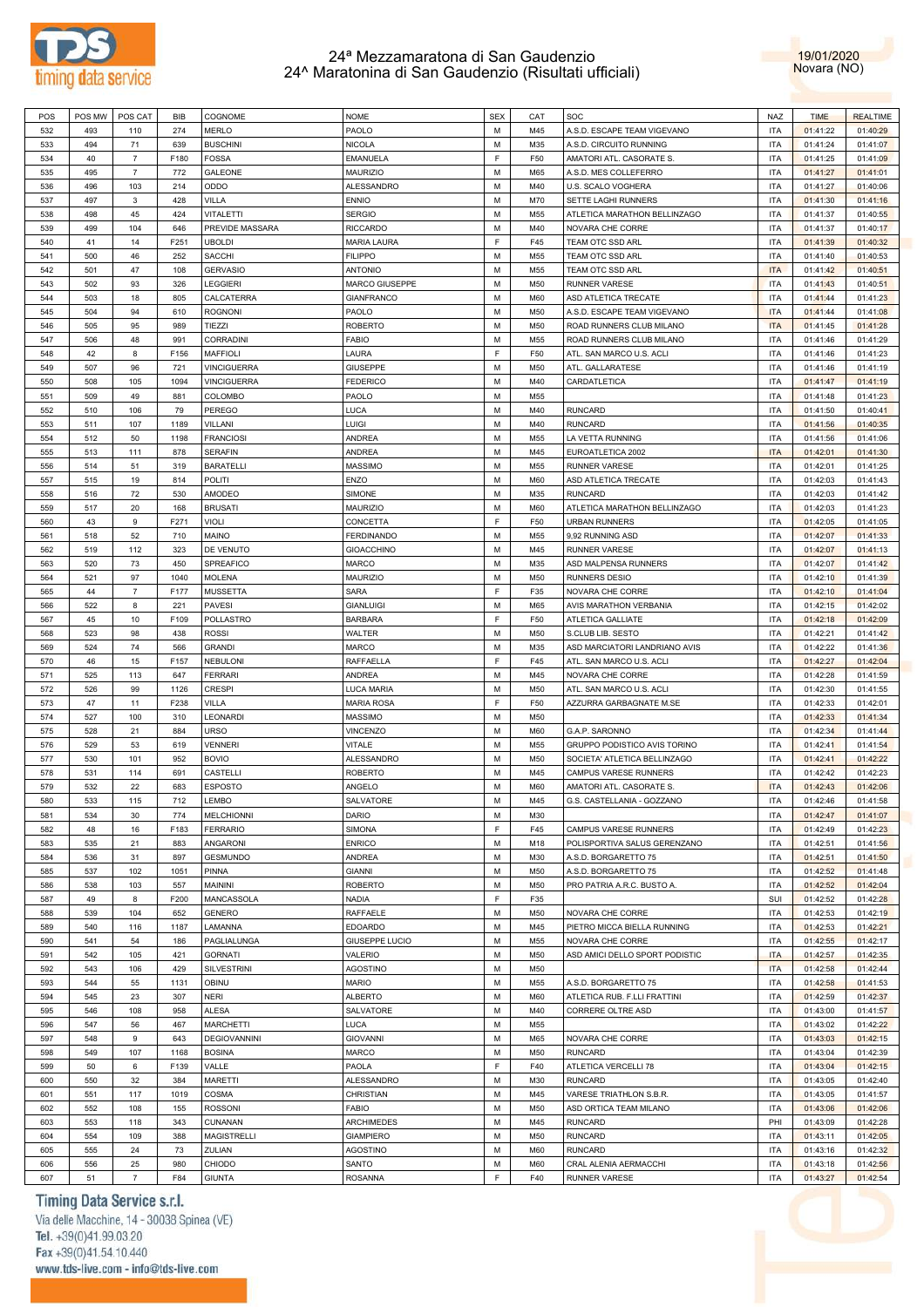



| POS        | POS MW    | POS CAT              | BIB        | COGNOME                        | <b>NOME</b>             | <b>SEX</b> | CAT        | SOC                                           | <b>NAZ</b>               | <b>TIME</b>          | <b>REALTIME</b>      |
|------------|-----------|----------------------|------------|--------------------------------|-------------------------|------------|------------|-----------------------------------------------|--------------------------|----------------------|----------------------|
| 532        | 493       | 110                  | 274        | <b>MERLO</b>                   | PAOLO                   | M          | M45        | A.S.D. ESCAPE TEAM VIGEVANO                   | <b>ITA</b>               | 01:41:22             | 01:40:29             |
| 533        | 494       | 71                   | 639        | <b>BUSCHINI</b>                | <b>NICOLA</b>           | M          | M35        | A.S.D. CIRCUITO RUNNING                       | <b>ITA</b>               | 01:41:24             | 01:41:07             |
| 534        | 40        | $\overline{7}$       | F180       | <b>FOSSA</b>                   | EMANUELA                | F          | F50        | AMATORI ATL. CASORATE S.                      | <b>ITA</b>               | 01:41:25             | 01:41:09             |
|            |           | $\overline{7}$       |            |                                |                         | M          |            |                                               |                          |                      |                      |
| 535        | 495       |                      | 772        | <b>GALEONE</b>                 | <b>MAURIZIO</b>         |            | M65        | A.S.D. MES COLLEFERRO                         | <b>ITA</b>               | 01:41:27             | 01:41:01             |
| 536        | 496       | 103                  | 214        | ODDO                           | ALESSANDRO              | м          | M40        | U.S. SCALO VOGHERA                            | <b>ITA</b>               | 01:41:27             | 01:40:06             |
| 537        | 497       | $\mathbf{3}$         | 428        | <b>VILLA</b>                   | <b>ENNIO</b>            | M          | M70        | SETTE LAGHI RUNNERS                           | ITA                      | 01:41:30             | 01:41:16             |
| 538        | 498       | 45                   | 424        | <b>VITALETTI</b>               | <b>SERGIO</b>           | м          | M55        | ATLETICA MARATHON BELLINZAGO                  | <b>ITA</b>               | 01:41:37             | 01:40:55             |
| 539        | 499       | 104                  | 646        | PREVIDE MASSARA                | <b>RICCARDO</b>         | M          | M40        | NOVARA CHE CORRE                              | ITA                      | 01:41:37             | 01:40:17             |
| 540        | 41        | 14                   | F251       | <b>UBOLDI</b>                  | <b>MARIA LAURA</b>      | F          | F45        | TEAM OTC SSD ARL                              | <b>ITA</b>               | 01:41:39             | 01:40:32             |
| 541        | 500       | 46                   | 252        | <b>SACCHI</b>                  | <b>FILIPPO</b>          | M          | M55        | TEAM OTC SSD ARL                              | ITA                      | 01:41:40             | 01:40:53             |
|            |           |                      |            |                                |                         |            |            |                                               |                          |                      |                      |
| 542        | 501       | 47                   | 108        | <b>GERVASIO</b>                | <b>ANTONIO</b>          | м          | M55        | TEAM OTC SSD ARL                              | <b>ITA</b>               | 01:41:42             | 01:40:51             |
| 543        | 502       | 93                   | 326        | LEGGIERI                       | MARCO GIUSEPPE          | M          | M50        | <b>RUNNER VARESE</b>                          | <b>ITA</b>               | 01:41:43             | 01:40:51             |
| 544        | 503       | 18                   | 805        | CALCATERRA                     | <b>GIANFRANCO</b>       | м          | M60        | ASD ATLETICA TRECATE                          | <b>ITA</b>               | 01:41:44             | 01:41:23             |
| 545        | 504       | 94                   | 610        | <b>ROGNONI</b>                 | PAOLO                   | M          | M50        | A.S.D. ESCAPE TEAM VIGEVANO                   | <b>ITA</b>               | 01:41:44             | 01:41:08             |
| 546        | 505       | 95                   | 989        | TIEZZI                         | <b>ROBERTO</b>          | м          | M50        | ROAD RUNNERS CLUB MILANO                      | <b>ITA</b>               | 01:41:45             | 01:41:28             |
| 547        | 506       | 48                   | 991        | CORRADINI                      | FABIO                   | M          | M55        | ROAD RUNNERS CLUB MILANO                      | <b>ITA</b>               | 01:41:46             | 01:41:29             |
| 548        | 42        | 8                    | F156       | <b>MAFFIOLI</b>                | LAURA                   | F          | F50        | ATL. SAN MARCO U.S. ACLI                      | <b>ITA</b>               | 01:41:46             | 01:41:23             |
|            |           |                      |            |                                |                         |            |            |                                               |                          |                      |                      |
| 549        | 507       | 96                   | 721        | <b>VINCIGUERRA</b>             | <b>GIUSEPPE</b>         | M          | M50        | ATL. GALLARATESE                              | <b>ITA</b>               | 01:41:46             | 01:41:19             |
| 550        | 508       | 105                  | 1094       | <b>VINCIGUERRA</b>             | <b>FEDERICO</b>         | м          | M40        | CARDATLETICA                                  | <b>ITA</b>               | 01:41:47             | 01:41:19             |
| 551        | 509       | 49                   | 881        | <b>COLOMBO</b>                 | PAOLO                   | M          | M55        |                                               | <b>ITA</b>               | 01:41:48             | 01:41:23             |
| 552        | 510       | 106                  | 79         | <b>PEREGO</b>                  | LUCA                    | м          | M40        | <b>RUNCARD</b>                                | <b>ITA</b>               | 01:41:50             | 01:40:41             |
| 553        | 511       | 107                  | 1189       | VILLANI                        | LUIGI                   | M          | M40        | <b>RUNCARD</b>                                | <b>ITA</b>               | 01:41:56             | 01:40:35             |
| 554        | 512       | 50                   | 1198       | <b>FRANCIOSI</b>               | ANDREA                  | м          | M55        | LA VETTA RUNNING                              | <b>ITA</b>               | 01:41:56             | 01:41:06             |
| 555        | 513       | 111                  | 878        | <b>SERAFIN</b>                 | ANDREA                  | M          | M45        | EUROATLETICA 2002                             | <b>ITA</b>               | 01:42:01             | 01:41:30             |
|            |           |                      |            |                                |                         |            |            |                                               |                          |                      |                      |
| 556        | 514       | 51                   | 319        | <b>BARATELLI</b>               | <b>MASSIMO</b>          | м          | M55        | <b>RUNNER VARESE</b>                          | <b>ITA</b>               | 01:42:01             | 01:41:25             |
| 557        | 515       | 19                   | 814        | POLITI                         | <b>ENZO</b>             | М          | M60        | ASD ATLETICA TRECATE                          | ITA                      | 01:42:03             | 01:41:43             |
| 558        | 516       | 72                   | 530        | AMODEO                         | SIMONE                  | м          | M35        | <b>RUNCARD</b>                                | <b>ITA</b>               | 01:42:03             | 01:41:42             |
| 559        | 517       | 20                   | 168        | <b>BRUSATI</b>                 | <b>MAURIZIO</b>         | M          | M60        | ATLETICA MARATHON BELLINZAGO                  | <b>ITA</b>               | 01:42:03             | 01:41:23             |
| 560        | 43        | 9                    | F271       | VIOLI                          | CONCETTA                | F          | F50        | <b>URBAN RUNNERS</b>                          | <b>ITA</b>               | 01:42:05             | 01:41:05             |
| 561        | 518       | 52                   | 710        | MAINO                          | <b>FERDINANDO</b>       | M          | M55        | 9,92 RUNNING ASD                              | <b>ITA</b>               | 01:42:07             | 01:41:33             |
|            | 519       | 112                  | 323        | DE VENUTO                      |                         | м          | M45        | <b>RUNNER VARESE</b>                          | <b>ITA</b>               |                      |                      |
| 562        |           |                      |            |                                | <b>GIOACCHINO</b>       |            |            |                                               |                          | 01:42:07             | 01:41:13             |
| 563        | 520       | 73                   | 450        | SPREAFICO                      | MARCO                   | M          | M35        | ASD MALPENSA RUNNERS                          | <b>ITA</b>               | 01:42:07             | 01:41:42             |
| 564        | 521       | 97                   | 1040       | <b>MOLENA</b>                  | <b>MAURIZIO</b>         | м          | M50        | <b>RUNNERS DESIO</b>                          | <b>ITA</b>               | 01:42:10             | 01:41:39             |
| 565        | 44        | $\overline{7}$       | F177       | <b>MUSSETTA</b>                | <b>SARA</b>             | E          | F35        | NOVARA CHE CORRE                              | <b>ITA</b>               | 01:42:10             | 01:41:04             |
| 566        | 522       | 8                    | 221        | <b>PAVESI</b>                  | <b>GIANLUIGI</b>        | M          | M65        | AVIS MARATHON VERBANIA                        | <b>ITA</b>               | 01:42:15             | 01:42:02             |
| 567        | 45        | 10                   | F109       | POLLASTRO                      | <b>BARBARA</b>          | E          | F50        | ATLETICA GALLIATE                             | <b>ITA</b>               | 01:42:18             | 01:42:09             |
| 568        | 523       | 98                   | 438        | <b>ROSSI</b>                   | WALTER                  | м          | M50        | S.CLUB LIB. SESTO                             | <b>ITA</b>               | 01:42:21             | 01:41:42             |
|            |           |                      |            |                                |                         | M          |            |                                               | <b>ITA</b>               |                      |                      |
| 569        | 524       | 74                   | 566        | <b>GRANDI</b>                  | <b>MARCO</b>            |            | M35        | ASD MARCIATORI LANDRIANO AVIS                 |                          | 01:42:22             | 01:41:36             |
| 570        | 46        | 15                   | F157       | <b>NEBULONI</b>                | RAFFAELLA               | F          | F45        | ATL. SAN MARCO U.S. ACLI                      | <b>ITA</b>               | 01:42:27             | 01:42:04             |
| 571        | 525       | 113                  | 647        | <b>FERRARI</b>                 | ANDREA                  | M          | M45        | NOVARA CHE CORRE                              | ITA                      | 01:42:28             | 01:41:59             |
| 572        | 526       | 99                   | 1126       | <b>CRESPI</b>                  | LUCA MARIA              | м          | M50        | ATL. SAN MARCO U.S. ACLI                      | <b>ITA</b>               | 01:42:30             | 01:41:55             |
| 573        | 47        | 11                   | F238       | VILLA                          | <b>MARIA ROSA</b>       | F          | F50        | AZZURRA GARBAGNATE M.SE                       | <b>ITA</b>               | 01:42:33             | 01:42:01             |
| 574        | 527       | 100                  | 310        | LEONARDI                       | <b>MASSIMO</b>          | м          | M50        |                                               | <b>ITA</b>               | 01:42:33             | 01:41:34             |
| 575        | 528       | 21                   | 884        | <b>URSO</b>                    | VINCENZO                | М          | M60        | G.A.P. SARONNO                                |                          | 01:42:34             | 01:41:44             |
| 576        |           |                      |            |                                |                         |            |            |                                               |                          |                      |                      |
|            |           |                      |            |                                |                         |            |            |                                               | <b>ITA</b>               |                      |                      |
|            | 529       | 53                   | 619        | <b>VENNERI</b>                 | VITALE                  | м          | M55        | GRUPPO PODISTICO AVIS TORINO                  | <b>ITA</b>               | 01:42:41             | 01:41:54             |
| 577        | 530       | 101                  | 952        | <b>BOVIO</b>                   | ALESSANDRO              | М          | M50        | SOCIETA' ATLETICA BELLINZAGO                  | <b>ITA</b>               | 01:42:41             | 01:42:22             |
| 578        | 531       | 114                  | 691        | CASTELLI                       | <b>ROBERTO</b>          | м          | M45        | CAMPUS VARESE RUNNERS                         | <b>ITA</b>               | 01:42:42             | 01:42:23             |
| 579        | 532       | 22                   | 683        | <b>ESPOSTO</b>                 | ANGELO                  | M          | M60        | AMATORI ATL. CASORATE S.                      | <b>ITA</b>               | 01:42:43             | 01:42:06             |
| 580        | 533       | 115                  | 712        | LEMBO                          | SALVATORE               | M          | M45        | G.S. CASTELLANIA - GOZZANO                    | <b>ITA</b>               | 01:42:46             | 01:41:58             |
| 581        | 534       | 30                   | 774        | <b>MELCHIONNI</b>              | DARIO                   | M          | M30        |                                               | <b>ITA</b>               | 01:42:47             | 01:41:07             |
| 582        | 48        | 16                   | F183       | <b>FERRARIO</b>                | <b>SIMONA</b>           | F.         | F45        | CAMPUS VARESE RUNNERS                         | <b>ITA</b>               | 01:42:49             | 01:42:23             |
|            |           |                      |            |                                |                         |            |            |                                               |                          |                      |                      |
| 583        | 535       | 21                   | 883        | ANGARONI                       | <b>ENRICO</b>           | M          | M18        | POLISPORTIVA SALUS GERENZANO                  | <b>ITA</b>               | 01:42:51             | 01:41:56             |
| 584        | 536       | 31                   | 897        | <b>GESMUNDO</b>                | <b>ANDREA</b>           | M          | M30        | A.S.D. BORGARETTO 75                          | <b>ITA</b>               | 01:42:51             | 01:41:50             |
| 585        | 537       | 102                  | 1051       | <b>PINNA</b>                   | <b>GIANNI</b>           | M          | M50        | A.S.D. BORGARETTO 75                          | <b>ITA</b>               | 01:42:52             | 01:41:48             |
| 586        | 538       | 103                  | 557        | MAININI                        | <b>ROBERTO</b>          | M          | M50        | PRO PATRIA A.R.C. BUSTO A.                    | <b>ITA</b>               | 01:42:52             | 01:42:04             |
| 587        | 49        | 8                    | F200       | MANCASSOLA                     | <b>NADIA</b>            | E          | F35        |                                               | SUI                      | 01:42:52             | 01:42:28             |
| 588        | 539       | 104                  | 652        | <b>GENERO</b>                  | RAFFAELE                | M          | M50        | NOVARA CHE CORRE                              | <b>ITA</b>               | 01:42:53             | 01:42:19             |
| 589        | 540       | 116                  | 1187       | LAMANNA                        | <b>EDOARDO</b>          | M          | M45        | PIETRO MICCA BIELLA RUNNING                   | <b>ITA</b>               | 01:42:53             | 01:42:21             |
|            |           |                      |            |                                |                         | M          |            |                                               |                          |                      |                      |
| 590        | 541       | 54                   | 186        | PAGLIALUNGA                    | GIUSEPPE LUCIO          |            | M55        | NOVARA CHE CORRE                              | <b>ITA</b>               | 01:42:55             | 01:42:17             |
| 591        | 542       | 105                  | 421        | <b>GORNATI</b>                 | VALERIO                 | M          | M50        | ASD AMICI DELLO SPORT PODISTIC                | <b>ITA</b>               | 01:42:57             | 01:42:35             |
| 592        | 543       | 106                  | 429        | <b>SILVESTRINI</b>             | <b>AGOSTINO</b>         | M          | M50        |                                               | <b>ITA</b>               | 01:42:58             | 01:42:44             |
| 593        | 544       | 55                   | 1131       | OBINU                          | <b>MARIO</b>            | M          | M55        | A.S.D. BORGARETTO 75                          | <b>ITA</b>               | 01:42:58             | 01:41:53             |
| 594        | 545       | 23                   | 307        | <b>NERI</b>                    | ALBERTO                 | M          | M60        | ATLETICA RUB. F.LLI FRATTINI                  | <b>ITA</b>               | 01:42:59             | 01:42:37             |
| 595        | 546       | 108                  | 958        | <b>ALESA</b>                   | SALVATORE               | M          | M40        | CORRERE OLTRE ASD                             | <b>ITA</b>               | 01:43:00             | 01:41:57             |
| 596        | 547       | 56                   | 467        | <b>MARCHETTI</b>               | LUCA                    | M          | M55        |                                               | <b>ITA</b>               | 01:43:02             | 01:42:22             |
|            | 548       | $\mathsf g$          | 643        | <b>DEGIOVANNINI</b>            |                         | M          | M65        |                                               | <b>ITA</b>               |                      |                      |
| 597        |           |                      |            |                                | <b>GIOVANNI</b>         |            |            | NOVARA CHE CORRE                              |                          | 01:43:03             | 01:42:15             |
| 598        | 549       | 107                  | 1168       | <b>BOSINA</b>                  | MARCO                   | M          | M50        | <b>RUNCARD</b>                                | <b>ITA</b>               | 01:43:04             | 01:42:39             |
| 599        | 50        | 6                    | F139       | VALLE                          | PAOLA                   | E          | F40        | ATLETICA VERCELLI 78                          | <b>ITA</b>               | 01:43:04             | 01:42:15             |
| 600        | 550       | 32                   | 384        | MARETTI                        | ALESSANDRO              | M          | M30        | <b>RUNCARD</b>                                | <b>ITA</b>               | 01:43:05             | 01:42:40             |
| 601        | 551       | 117                  | 1019       | COSMA                          | CHRISTIAN               | M          | M45        | VARESE TRIATHLON S.B.R.                       | <b>ITA</b>               | 01:43:05             | 01:41:57             |
| 602        | 552       | 108                  | 155        | <b>ROSSONI</b>                 | <b>FABIO</b>            | M          | M50        | ASD ORTICA TEAM MILANO                        | <b>ITA</b>               | 01:43:06             | 01:42:06             |
| 603        | 553       | 118                  | 343        | CUNANAN                        | <b>ARCHIMEDES</b>       | M          | M45        | <b>RUNCARD</b>                                | PHI                      | 01:43:09             | 01:42:28             |
| 604        | 554       | 109                  | 388        | MAGISTRELLI                    | <b>GIAMPIERO</b>        | M          | M50        | <b>RUNCARD</b>                                | <b>ITA</b>               | 01:43:11             | 01:42:05             |
|            |           |                      |            |                                |                         |            |            |                                               |                          |                      |                      |
| 605        | 555       | 24                   | 73         | ZULIAN                         | <b>AGOSTINO</b>         | M          | M60        | <b>RUNCARD</b>                                | <b>ITA</b>               | 01:43:16             | 01:42:32             |
| 606<br>607 | 556<br>51 | 25<br>$\overline{7}$ | 980<br>F84 | <b>CHIODO</b><br><b>GIUNTA</b> | SANTO<br><b>ROSANNA</b> | M<br>E     | M60<br>F40 | CRAL ALENIA AERMACCHI<br><b>RUNNER VARESE</b> | <b>ITA</b><br><b>ITA</b> | 01:43:18<br>01:43:27 | 01:42:56<br>01:42:54 |

## Timing Data Service s.r.l.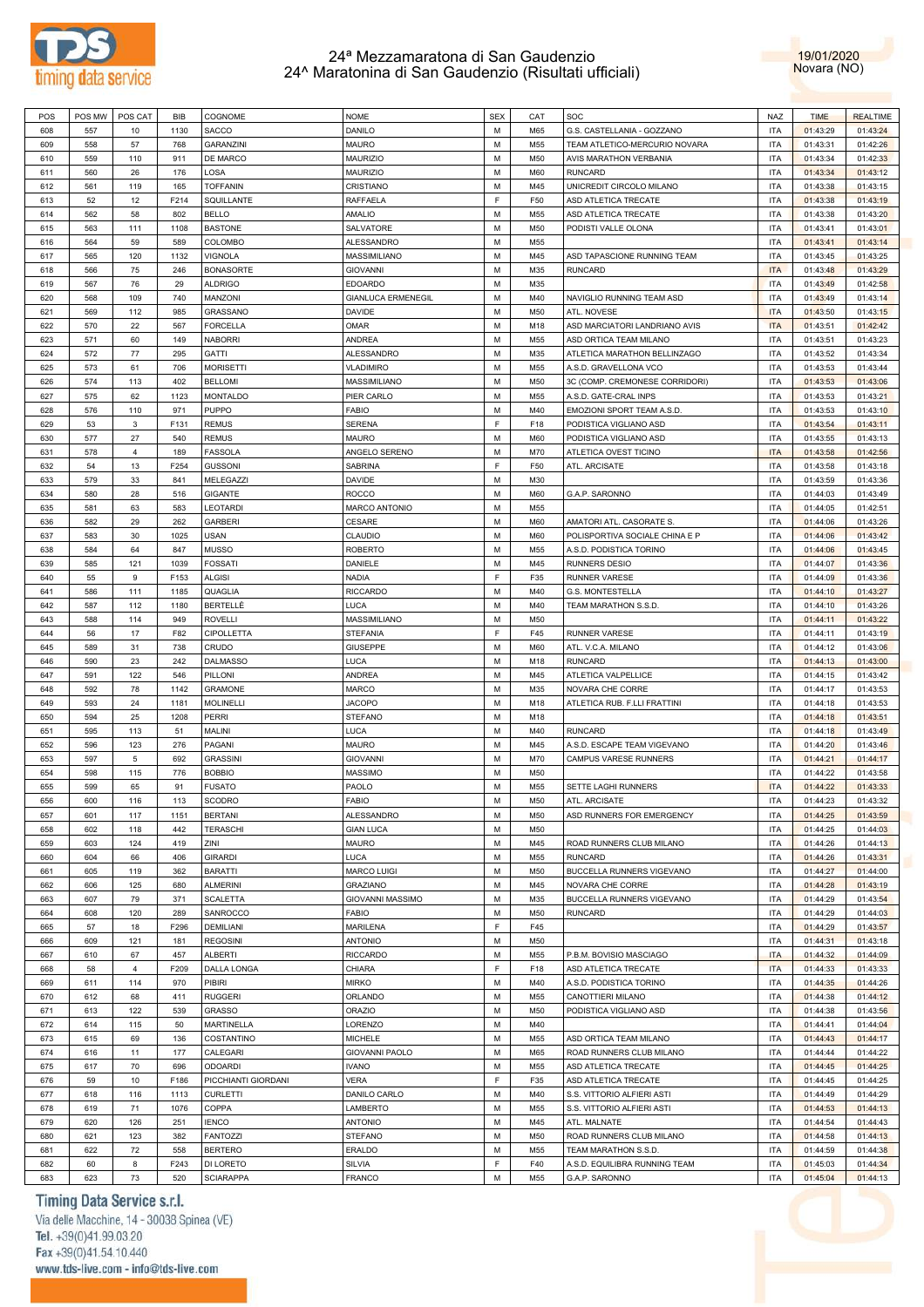



| POS | POS MW | POS CAT        | BIB  | COGNOME             | <b>NOME</b>               | <b>SEX</b> | CAT        | SOC                            | <b>NAZ</b> | <b>TIME</b> | <b>REALTIME</b> |
|-----|--------|----------------|------|---------------------|---------------------------|------------|------------|--------------------------------|------------|-------------|-----------------|
| 608 | 557    | 10             | 1130 | SACCO               | DANILO                    | M          | M65        | G.S. CASTELLANIA - GOZZANO     | <b>ITA</b> | 01:43:29    | 01:43:24        |
|     |        |                |      |                     |                           |            |            |                                |            |             |                 |
| 609 | 558    | 57             | 768  | <b>GARANZINI</b>    | <b>MAURO</b>              | M          | M55        | TEAM ATLETICO-MERCURIO NOVARA  | <b>ITA</b> | 01:43:31    | 01:42:26        |
| 610 | 559    | 110            | 911  | DE MARCO            | MAURIZIO                  | M          | M50        | <b>AVIS MARATHON VERBANIA</b>  | <b>ITA</b> | 01:43:34    | 01:42:33        |
| 611 | 560    | 26             | 176  | LOSA                | <b>MAURIZIO</b>           | M          | <b>M60</b> | <b>RUNCARD</b>                 | <b>ITA</b> | 01:43:34    | 01:43:12        |
| 612 | 561    | 119            | 165  | <b>TOFFANIN</b>     | CRISTIANO                 | M          | M45        | UNICREDIT CIRCOLO MILANO       | <b>ITA</b> | 01:43:38    | 01:43:15        |
| 613 | 52     | 12             | F214 | SQUILLANTE          | <b>RAFFAELA</b>           | E          | F50        | ASD ATLETICA TRECATE           | <b>ITA</b> | 01:43:38    | 01:43:19        |
|     |        |                |      |                     |                           |            |            |                                |            |             |                 |
| 614 | 562    | 58             | 802  | <b>BELLO</b>        | <b>AMALIO</b>             | M          | M55        | ASD ATLETICA TRECATE           | <b>ITA</b> | 01:43:38    | 01:43:20        |
| 615 | 563    | 111            | 1108 | <b>BASTONE</b>      | SALVATORE                 | M          | M50        | PODISTI VALLE OLONA            | <b>ITA</b> | 01:43:41    | 01:43:01        |
| 616 | 564    | 59             | 589  | COLOMBO             | <b>ALESSANDRO</b>         | M          | M55        |                                | <b>ITA</b> | 01:43:41    | 01:43:14        |
| 617 | 565    | 120            | 1132 | VIGNOLA             | MASSIMILIANO              | M          | M45        | ASD TAPASCIONE RUNNING TEAM    | <b>ITA</b> | 01:43:45    | 01:43:25        |
| 618 | 566    | 75             | 246  | <b>BONASORTE</b>    | <b>GIOVANNI</b>           | M          | M35        | <b>RUNCARD</b>                 | <b>ITA</b> | 01:43:48    | 01:43:29        |
|     |        |                | 29   |                     | <b>EDOARDO</b>            | M          |            |                                | <b>ITA</b> |             |                 |
| 619 | 567    | 76             |      | <b>ALDRIGO</b>      |                           |            | M35        |                                |            | 01:43:49    | 01:42:58        |
| 620 | 568    | 109            | 740  | MANZONI             | <b>GIANLUCA ERMENEGIL</b> | M          | M40        | NAVIGLIO RUNNING TEAM ASD      | <b>ITA</b> | 01:43:49    | 01:43:14        |
| 621 | 569    | 112            | 985  | <b>GRASSANO</b>     | <b>DAVIDE</b>             | M          | M50        | ATL. NOVESE                    | <b>ITA</b> | 01:43:50    | 01:43:15        |
| 622 | 570    | 22             | 567  | <b>FORCELLA</b>     | <b>OMAR</b>               | M          | M18        | ASD MARCIATORI LANDRIANO AVIS  | <b>ITA</b> | 01:43:51    | 01:42:42        |
| 623 | 571    | 60             | 149  | <b>NABORRI</b>      | <b>ANDREA</b>             | M          | M55        | ASD ORTICA TEAM MILANO         | <b>ITA</b> | 01:43:51    | 01:43:23        |
| 624 | 572    | 77             | 295  | <b>GATTI</b>        | ALESSANDRO                | M          | M35        | ATLETICA MARATHON BELLINZAGO   | <b>ITA</b> | 01:43:52    | 01:43:34        |
|     |        |                |      |                     |                           |            |            |                                |            |             |                 |
| 625 | 573    | 61             | 706  | <b>MORISETTI</b>    | <b>VLADIMIRO</b>          | M          | M55        | A.S.D. GRAVELLONA VCO          | <b>ITA</b> | 01:43:53    | 01:43:44        |
| 626 | 574    | 113            | 402  | <b>BELLOMI</b>      | MASSIMILIANO              | M          | M50        | 3C (COMP. CREMONESE CORRIDORI) | <b>ITA</b> | 01:43:53    | 01:43:06        |
| 627 | 575    | 62             | 1123 | <b>MONTALDO</b>     | PIER CARLO                | M          | M55        | A.S.D. GATE-CRAL INPS          | <b>ITA</b> | 01:43:53    | 01:43:21        |
| 628 | 576    | 110            | 971  | <b>PUPPO</b>        | <b>FABIO</b>              | M          | M40        | EMOZIONI SPORT TEAM A.S.D.     | <b>ITA</b> | 01:43:53    | 01:43:10        |
| 629 | 53     | 3              | F131 | <b>REMUS</b>        | <b>SERENA</b>             | F.         | F18        | PODISTICA VIGLIANO ASD         | <b>ITA</b> | 01:43:54    | 01:43:11        |
|     |        |                |      |                     |                           |            |            |                                |            |             |                 |
| 630 | 577    | 27             | 540  | <b>REMUS</b>        | <b>MAURO</b>              | M          | <b>M60</b> | PODISTICA VIGLIANO ASD         | <b>ITA</b> | 01:43:55    | 01:43:13        |
| 631 | 578    | $\overline{4}$ | 189  | <b>FASSOLA</b>      | ANGELO SERENO             | M          | M70        | ATLETICA OVEST TICINO          | <b>ITA</b> | 01:43:58    | 01:42:56        |
| 632 | 54     | 13             | F254 | <b>GUSSONI</b>      | <b>SABRINA</b>            | F.         | F50        | ATL. ARCISATE                  | <b>ITA</b> | 01:43:58    | 01:43:18        |
| 633 | 579    | 33             | 841  | <b>MELEGAZZI</b>    | <b>DAVIDE</b>             | M          | M30        |                                | <b>ITA</b> | 01:43:59    | 01:43:36        |
| 634 | 580    | 28             | 516  |                     | <b>ROCCO</b>              | M          | <b>M60</b> |                                | <b>ITA</b> | 01:44:03    |                 |
|     |        |                |      | <b>GIGANTE</b>      |                           |            |            | G.A.P. SARONNO                 |            |             | 01:43:49        |
| 635 | 581    | 63             | 583  | LEOTARDI            | MARCO ANTONIO             | M          | M55        |                                | <b>ITA</b> | 01:44:05    | 01:42:51        |
| 636 | 582    | 29             | 262  | <b>GARBERI</b>      | CESARE                    | M          | <b>M60</b> | AMATORI ATL, CASORATE S.       | <b>ITA</b> | 01:44:06    | 01:43:26        |
| 637 | 583    | 30             | 1025 | USAN                | <b>CLAUDIO</b>            | M          | <b>M60</b> | POLISPORTIVA SOCIALE CHINA E P | <b>ITA</b> | 01:44:06    | 01:43:42        |
| 638 | 584    | 64             | 847  | <b>MUSSO</b>        | <b>ROBERTO</b>            | M          | M55        | A.S.D. PODISTICA TORINO        | <b>ITA</b> | 01:44:06    | 01:43:45        |
|     |        |                |      |                     |                           | M          |            |                                |            |             |                 |
| 639 | 585    | 121            | 1039 | <b>FOSSATI</b>      | DANIELE                   |            | M45        | <b>RUNNERS DESIO</b>           | <b>ITA</b> | 01:44:07    | 01:43:36        |
| 640 | 55     | 9              | F153 | ALGISI              | <b>NADIA</b>              | F.         | F35        | <b>RUNNER VARESE</b>           | <b>ITA</b> | 01:44:09    | 01:43:36        |
| 641 | 586    | 111            | 1185 | QUAGLIA             | <b>RICCARDO</b>           | M          | M40        | G.S. MONTESTELLA               | <b>ITA</b> | 01:44:10    | 01:43:27        |
| 642 | 587    | 112            | 1180 | <b>BERTELLE</b>     | LUCA                      | M          | M40        | TEAM MARATHON S.S.D.           | <b>ITA</b> | 01:44:10    | 01:43:26        |
| 643 | 588    | 114            | 949  | <b>ROVELLI</b>      | MASSIMILIANO              | M          | M50        |                                | <b>ITA</b> | 01:44:11    | 01:43:22        |
|     |        |                |      |                     |                           | F.         |            |                                |            |             |                 |
| 644 | 56     | 17             | F82  | <b>CIPOLLETTA</b>   | <b>STEFANIA</b>           |            | F45        | RUNNER VARESE                  | <b>ITA</b> | 01:44:11    | 01:43:19        |
| 645 | 589    | 31             | 738  | CRUDO               | <b>GIUSEPPE</b>           | M          | <b>M60</b> | ATL. V.C.A. MILANO             | <b>ITA</b> | 01:44:12    | 01:43:06        |
| 646 | 590    | 23             | 242  | <b>DALMASSO</b>     | LUCA                      | M          | M18        | <b>RUNCARD</b>                 | <b>ITA</b> | 01:44:13    | 01:43:00        |
| 647 | 591    | 122            | 546  | PILLONI             | <b>ANDREA</b>             | M          | M45        | ATLETICA VALPELLICE            | <b>ITA</b> | 01:44:15    | 01:43:42        |
| 648 | 592    | 78             | 1142 | <b>GRAMONE</b>      | <b>MARCO</b>              | M          | M35        | NOVARA CHE CORRE               | <b>ITA</b> | 01:44:17    | 01:43:53        |
|     |        |                |      |                     |                           | M          |            |                                |            |             |                 |
| 649 | 593    | 24             | 1181 | <b>MOLINELLI</b>    | <b>JACOPO</b>             |            | M18        | ATLETICA RUB. F.LLI FRATTINI   | <b>ITA</b> | 01:44:18    | 01:43:53        |
| 650 | 594    | 25             | 1208 | PERRI               | <b>STEFANO</b>            | M          | M18        |                                | <b>ITA</b> | 01:44:18    | 01:43:51        |
| 651 | 595    | 113            | 51   | MALINI              | LUCA                      | M          | M40        | <b>RUNCARD</b>                 | <b>ITA</b> | 01:44:18    | 01:43:49        |
| 652 | 596    | 123            | 276  | PAGANI              | <b>MAURO</b>              | M          | M45        | A.S.D. ESCAPE TEAM VIGEVANO    | <b>ITA</b> | 01:44:20    | 01:43:46        |
| 653 | 597    | 5              | 692  | <b>GRASSINI</b>     | <b>GIOVANNI</b>           | м          | M70        | CAMPUS VARESE RUNNERS          | <b>ITA</b> | 01:44:21    | 01:44:17        |
| 654 | 598    | 115            | 776  | <b>BOBBIO</b>       | <b>MASSIMO</b>            | м          | M50        |                                | <b>ITA</b> | 01:44:22    | 01:43:58        |
|     |        |                |      |                     |                           |            |            |                                |            |             |                 |
| 655 | 599    | 65             | 91   | <b>FUSATO</b>       | PAOLO                     | M          | M55        | SETTE LAGHI RUNNERS            | <b>ITA</b> | 01:44:22    | 01:43:33        |
| 656 | 600    | 116            | 113  | <b>SCODRO</b>       | <b>FABIO</b>              | M          | M50        | ATL. ARCISATE                  | <b>ITA</b> | 01:44:23    | 01:43:32        |
| 657 | 601    | 117            | 1151 | <b>BERTANI</b>      | ALESSANDRO                | M          | M50        | ASD RUNNERS FOR EMERGENCY      | <b>ITA</b> | 01:44:25    | 01:43:59        |
| 658 | 602    | 118            | 442  | TERASCHI            | <b>GIAN LUCA</b>          | M          | M50        |                                | <b>ITA</b> | 01:44:25    | 01:44:03        |
|     |        |                |      |                     |                           | M          |            |                                |            |             |                 |
| 659 | 603    | 124            | 419  | ZINI                | <b>MAURO</b>              |            | M45        | ROAD RUNNERS CLUB MILANO       | <b>ITA</b> | 01:44:26    | 01:44:13        |
| 660 | 604    | 66             | 406  | <b>GIRARDI</b>      | LUCA                      | M          | M55        | <b>RUNCARD</b>                 | <b>ITA</b> | 01:44:26    | 01:43:31        |
| 661 | 605    | 119            | 362  | <b>BARATTI</b>      | <b>MARCO LUIGI</b>        | M          | M50        | BUCCELLA RUNNERS VIGEVANO      | <b>ITA</b> | 01:44:27    | 01:44:00        |
| 662 | 606    | 125            | 680  | <b>ALMERINI</b>     | <b>GRAZIANO</b>           | M          | M45        | NOVARA CHE CORRE               | <b>ITA</b> | 01:44:28    | 01:43:19        |
| 663 | 607    | 79             | 371  | <b>SCALETTA</b>     | <b>GIOVANNI MASSIMO</b>   | M          | M35        | BUCCELLA RUNNERS VIGEVANO      | <b>ITA</b> | 01:44:29    | 01:43:54        |
|     | 608    |                | 289  | SANROCCO            | <b>FABIO</b>              | M          | M50        | <b>RUNCARD</b>                 | <b>ITA</b> |             |                 |
| 664 |        | 120            |      |                     |                           |            |            |                                |            | 01:44:29    | 01:44:03        |
| 665 | 57     | 18             | F296 | <b>DEMILIANI</b>    | MARILENA                  | F.         | F45        |                                | <b>ITA</b> | 01:44:29    | 01:43:57        |
| 666 | 609    | 121            | 181  | <b>REGOSINI</b>     | <b>ANTONIO</b>            | M          | M50        |                                | <b>ITA</b> | 01:44:31    | 01:43:18        |
| 667 | 610    | 67             | 457  | ALBERTI             | <b>RICCARDO</b>           | M          | M55        | P.B.M. BOVISIO MASCIAGO        | <b>ITA</b> | 01:44:32    | 01:44:09        |
| 668 | 58     | $\overline{4}$ | F209 | DALLA LONGA         | CHIARA                    | F.         | F18        | ASD ATLETICA TRECATE           | <b>ITA</b> | 01:44:33    | 01:43:33        |
|     |        | 114            |      |                     |                           | M          |            |                                | <b>ITA</b> | 01:44:35    | 01:44:26        |
| 669 | 611    |                | 970  | PIBIRI              | <b>MIRKO</b>              |            | M40        | A.S.D. PODISTICA TORINO        |            |             |                 |
| 670 | 612    | 68             | 411  | <b>RUGGERI</b>      | ORLANDO                   | M          | M55        | CANOTTIERI MILANO              | <b>ITA</b> | 01:44:38    | 01:44:12        |
| 671 | 613    | 122            | 539  | <b>GRASSO</b>       | <b>ORAZIO</b>             | M          | M50        | PODISTICA VIGLIANO ASD         | <b>ITA</b> | 01:44:38    | 01:43:56        |
| 672 | 614    | 115            | 50   | <b>MARTINELLA</b>   | LORENZO                   | M          | M40        |                                | <b>ITA</b> | 01:44:41    | 01:44:04        |
| 673 | 615    | 69             | 136  | COSTANTINO          | <b>MICHELE</b>            | M          | M55        | ASD ORTICA TEAM MILANO         | <b>ITA</b> | 01:44:43    | 01:44:17        |
|     |        |                |      |                     |                           |            |            |                                |            |             |                 |
| 674 | 616    | 11             | 177  | CALEGARI            | <b>GIOVANNI PAOLO</b>     | M          | M65        | ROAD RUNNERS CLUB MILANO       | <b>ITA</b> | 01:44:44    | 01:44:22        |
| 675 | 617    | 70             | 696  | <b>ODOARDI</b>      | <b>IVANO</b>              | M          | M55        | ASD ATLETICA TRECATE           | <b>ITA</b> | 01:44:45    | 01:44:25        |
| 676 | 59     | 10             | F186 | PICCHIANTI GIORDANI | <b>VERA</b>               | F.         | F35        | ASD ATLETICA TRECATE           | <b>ITA</b> | 01:44:45    | 01:44:25        |
| 677 | 618    | 116            | 1113 | <b>CURLETTI</b>     | DANILO CARLO              | M          | M40        | S.S. VITTORIO ALFIERI ASTI     | <b>ITA</b> | 01:44:49    | 01:44:29        |
| 678 | 619    | 71             | 1076 | COPPA               | LAMBERTO                  | M          | M55        | S.S. VITTORIO ALFIERI ASTI     | <b>ITA</b> | 01:44:53    | 01:44:13        |
|     |        |                |      |                     |                           |            |            |                                |            |             |                 |
| 679 | 620    | 126            | 251  | <b>IENCO</b>        | <b>ANTONIO</b>            | M          | M45        | ATL. MALNATE                   | <b>ITA</b> | 01:44:54    | 01:44:43        |
| 680 | 621    | 123            | 382  | <b>FANTOZZI</b>     | <b>STEFANO</b>            | M          | M50        | ROAD RUNNERS CLUB MILANO       | <b>ITA</b> | 01:44:58    | 01:44:13        |
| 681 | 622    | 72             | 558  | <b>BERTERO</b>      | ERALDO                    | M          | M55        | TEAM MARATHON S.S.D.           | <b>ITA</b> | 01:44:59    | 01:44:38        |
| 682 | 60     | 8              | F243 | DI LORETO           | <b>SILVIA</b>             | F          | F40        | A.S.D. EQUILIBRA RUNNING TEAM  | <b>ITA</b> | 01:45:03    | 01:44:34        |
| 683 | 623    | 73             | 520  | <b>SCIARAPPA</b>    | FRANCO                    | М          | M55        | G.A.P. SARONNO                 | <b>ITA</b> | 01:45:04    | 01:44:13        |
|     |        |                |      |                     |                           |            |            |                                |            |             |                 |

# Timing Data Service s.r.l.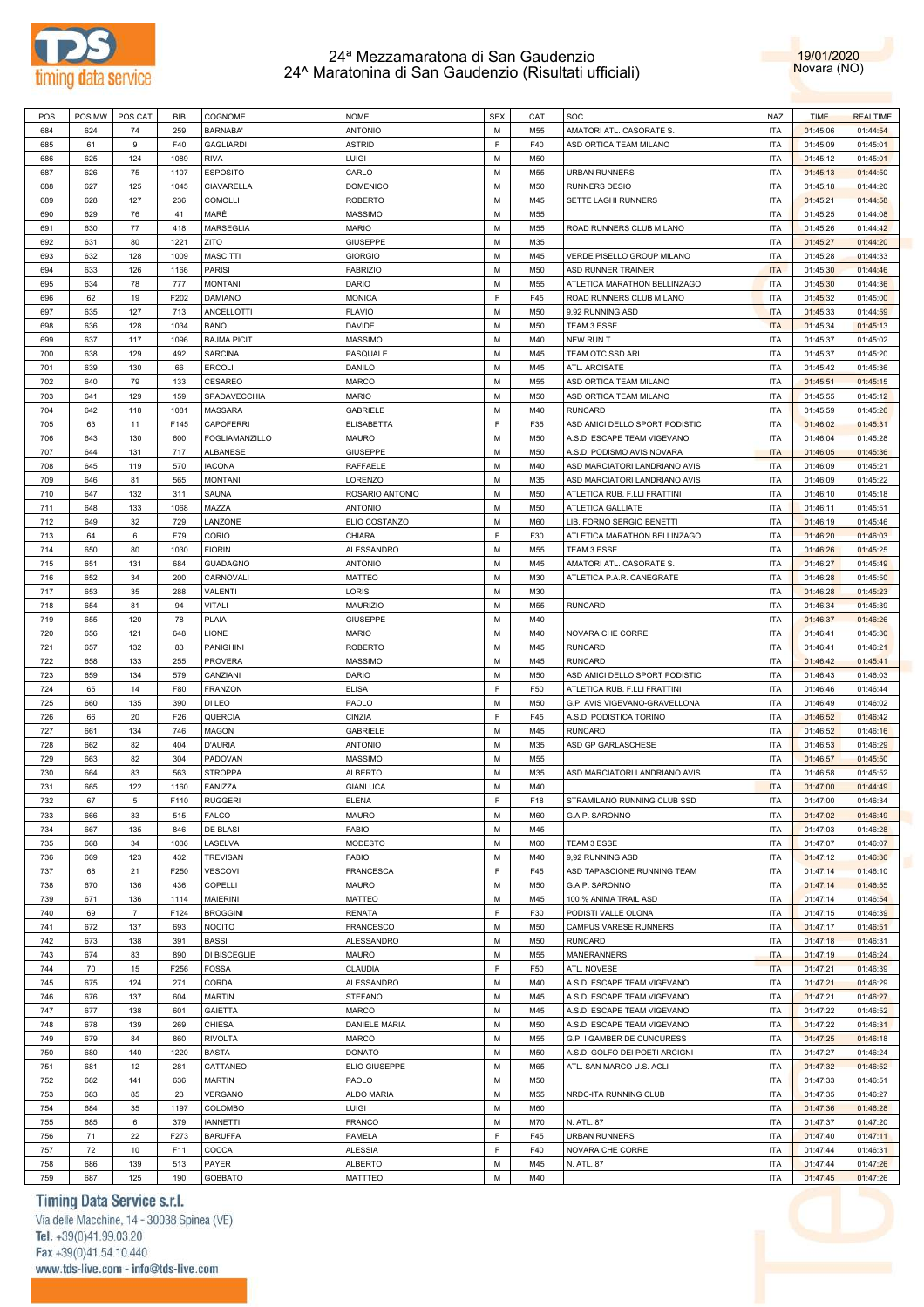



| POS | POS MW | POS CAT        | BIB  | COGNOME               | <b>NOME</b>      | <b>SEX</b> | CAT | SOC                            | <b>NAZ</b> | <b>TIME</b> | <b>REALTIME</b> |
|-----|--------|----------------|------|-----------------------|------------------|------------|-----|--------------------------------|------------|-------------|-----------------|
| 684 | 624    | 74             | 259  | BARNABA'              | <b>ANTONIO</b>   | M          |     |                                | <b>ITA</b> |             |                 |
|     |        |                |      |                       |                  |            | M55 | AMATORI ATL. CASORATE S.       |            | 01:45:06    | 01:44:54        |
| 685 | 61     | 9              | F40  | <b>GAGLIARDI</b>      | <b>ASTRID</b>    | E          | F40 | ASD ORTICA TEAM MILANO         | <b>ITA</b> | 01:45:09    | 01:45:01        |
| 686 | 625    | 124            | 1089 | <b>RIVA</b>           | <b>LUIGI</b>     | M          | M50 |                                | <b>ITA</b> | 01:45:12    | 01:45:01        |
| 687 | 626    | 75             | 1107 | <b>ESPOSITO</b>       | CARLO            | M          | M55 | <b>URBAN RUNNERS</b>           | <b>ITA</b> | 01:45:13    | 01:44:50        |
| 688 | 627    | 125            | 1045 | CIAVARELLA            | <b>DOMENICO</b>  | M          | M50 | RUNNERS DESIO                  | <b>ITA</b> | 01:45:18    | 01:44:20        |
|     |        |                |      |                       | <b>ROBERTO</b>   |            |     | SETTE LAGHI RUNNERS            |            |             |                 |
| 689 | 628    | 127            | 236  | <b>COMOLLI</b>        |                  | M          | M45 |                                | <b>ITA</b> | 01:45:21    | 01:44:58        |
| 690 | 629    | 76             | 41   | MARÈ                  | MASSIMO          | M          | M55 |                                | <b>ITA</b> | 01:45:25    | 01:44:08        |
| 691 | 630    | 77             | 418  | MARSEGLIA             | <b>MARIO</b>     | M          | M55 | ROAD RUNNERS CLUB MILANO       | <b>ITA</b> | 01:45:26    | 01:44:42        |
| 692 | 631    | 80             | 1221 | ZITO                  | <b>GIUSEPPE</b>  | M          | M35 |                                | <b>ITA</b> | 01:45:27    | 01:44:20        |
| 693 | 632    | 128            | 1009 | <b>MASCITTI</b>       | <b>GIORGIO</b>   | M          | M45 | VERDE PISELLO GROUP MILANO     | <b>ITA</b> | 01:45:28    | 01:44:33        |
|     |        |                |      |                       |                  |            |     |                                |            |             |                 |
| 694 | 633    | 126            | 1166 | <b>PARISI</b>         | <b>FABRIZIO</b>  | M          | M50 | ASD RUNNER TRAINER             | <b>ITA</b> | 01:45:30    | 01:44:46        |
| 695 | 634    | 78             | 777  | <b>MONTANI</b>        | DARIO            | M          | M55 | ATLETICA MARATHON BELLINZAGO   | <b>ITA</b> | 01:45:30    | 01:44:36        |
| 696 | 62     | 19             | F202 | <b>DAMIANO</b>        | <b>MONICA</b>    | F          | F45 | ROAD RUNNERS CLUB MILANO       | <b>ITA</b> | 01:45:32    | 01:45:00        |
| 697 | 635    | 127            | 713  | ANCELLOTTI            | <b>FLAVIO</b>    | M          | M50 | 9,92 RUNNING ASD               | <b>ITA</b> | 01:45:33    | 01:44:59        |
| 698 | 636    | 128            | 1034 | <b>BANO</b>           | DAVIDE           | M          | M50 | TEAM 3 ESSE                    | <b>ITA</b> | 01:45:34    | 01:45:13        |
|     |        |                |      |                       |                  |            |     |                                |            |             |                 |
| 699 | 637    | 117            | 1096 | <b>BAJMA PICIT</b>    | MASSIMO          | M          | M40 | NEW RUN T.                     | <b>ITA</b> | 01:45:37    | 01:45:02        |
| 700 | 638    | 129            | 492  | <b>SARCINA</b>        | PASQUALE         | M          | M45 | TEAM OTC SSD ARL               | <b>ITA</b> | 01:45:37    | 01:45:20        |
| 701 | 639    | 130            | 66   | <b>ERCOLI</b>         | DANILO           | M          | M45 | ATL. ARCISATE                  | <b>ITA</b> | 01:45:42    | 01:45:36        |
| 702 | 640    | 79             | 133  | CESAREO               | <b>MARCO</b>     | М          | M55 | ASD ORTICA TEAM MILANO         | <b>ITA</b> | 01:45:51    | 01:45:15        |
| 703 | 641    | 129            | 159  | SPADAVECCHIA          | <b>MARIO</b>     | M          | M50 | ASD ORTICA TEAM MILANO         | <b>ITA</b> | 01:45:55    | 01:45:12        |
|     |        |                |      |                       |                  |            |     |                                |            |             |                 |
| 704 | 642    | 118            | 1081 | <b>MASSARA</b>        | GABRIELE         | M          | M40 | <b>RUNCARD</b>                 | <b>ITA</b> | 01:45:59    | 01:45:26        |
| 705 | 63     | 11             | F145 | CAPOFERRI             | ELISABETTA       | E          | F35 | ASD AMICI DELLO SPORT PODISTIC | <b>ITA</b> | 01:46:02    | 01:45:31        |
| 706 | 643    | 130            | 600  | <b>FOGLIAMANZILLO</b> | <b>MAURO</b>     | M          | M50 | A.S.D. ESCAPE TEAM VIGEVANO    | <b>ITA</b> | 01:46:04    | 01:45:28        |
| 707 | 644    | 131            | 717  | ALBANESE              | <b>GIUSEPPE</b>  | M          | M50 | A.S.D. PODISMO AVIS NOVARA     | <b>ITA</b> | 01:46:05    | 01:45:36        |
| 708 | 645    | 119            | 570  | <b>IACONA</b>         | RAFFAELE         | M          | M40 | ASD MARCIATORI LANDRIANO AVIS  | <b>ITA</b> | 01:46:09    | 01:45:21        |
|     |        |                |      |                       |                  |            |     |                                |            |             |                 |
| 709 | 646    | 81             | 565  | <b>MONTANI</b>        | LORENZO          | M          | M35 | ASD MARCIATORI LANDRIANO AVIS  | <b>ITA</b> | 01:46:09    | 01:45:22        |
| 710 | 647    | 132            | 311  | SAUNA                 | ROSARIO ANTONIO  | M          | M50 | ATLETICA RUB. F.LLI FRATTINI   | <b>ITA</b> | 01:46:10    | 01:45:18        |
| 711 | 648    | 133            | 1068 | MAZZA                 | <b>ANTONIO</b>   | M          | M50 | ATLETICA GALLIATE              | <b>ITA</b> | 01:46:11    | 01:45:51        |
| 712 | 649    | 32             | 729  | LANZONE               | ELIO COSTANZO    | M          | M60 | LIB. FORNO SERGIO BENETTI      | <b>ITA</b> | 01:46:19    | 01:45:46        |
| 713 | 64     | 6              | F79  | CORIO                 | CHIARA           | E          | F30 | ATLETICA MARATHON BELLINZAGO   | <b>ITA</b> | 01:46:20    | 01:46:03        |
|     |        |                |      |                       |                  |            |     |                                |            |             |                 |
| 714 | 650    | 80             | 1030 | <b>FIORIN</b>         | ALESSANDRO       | М          | M55 | TEAM 3 ESSE                    | <b>ITA</b> | 01:46:26    | 01:45:25        |
| 715 | 651    | 131            | 684  | <b>GUADAGNO</b>       | <b>ANTONIO</b>   | M          | M45 | AMATORI ATL. CASORATE S.       | <b>ITA</b> | 01:46:27    | 01:45:49        |
| 716 | 652    | 34             | 200  | CARNOVALI             | <b>MATTEO</b>    | M          | M30 | ATLETICA P.A.R. CANEGRATE      | <b>ITA</b> | 01:46:28    | 01:45:50        |
| 717 | 653    | 35             | 288  | VALENTI               | LORIS            | M          | M30 |                                | <b>ITA</b> | 01:46:28    | 01:45:23        |
| 718 | 654    | 81             | 94   | <b>VITALI</b>         | <b>MAURIZIO</b>  | М          | M55 | <b>RUNCARD</b>                 | <b>ITA</b> | 01:46:34    | 01:45:39        |
|     |        |                |      |                       |                  |            |     |                                |            |             |                 |
| 719 | 655    | 120            | 78   | PLAIA                 | <b>GIUSEPPE</b>  | M          | M40 |                                | <b>ITA</b> | 01:46:37    | 01:46:26        |
| 720 | 656    | 121            | 648  | LIONE                 | <b>MARIO</b>     | M          | M40 | NOVARA CHE CORRE               | <b>ITA</b> | 01:46:41    | 01:45:30        |
| 721 | 657    | 132            | 83   | <b>PANIGHINI</b>      | <b>ROBERTO</b>   | M          | M45 | <b>RUNCARD</b>                 | <b>ITA</b> | 01:46:41    | 01:46:21        |
| 722 | 658    | 133            | 255  | <b>PROVERA</b>        | MASSIMO          | M          | M45 | <b>RUNCARD</b>                 | <b>ITA</b> | 01:46:42    | 01:45:41        |
| 723 | 659    | 134            | 579  | CANZIANI              | DARIO            | M          | M50 | ASD AMICI DELLO SPORT PODISTIC | <b>ITA</b> | 01:46:43    | 01:46:03        |
|     |        |                |      |                       |                  |            |     |                                |            |             |                 |
| 724 | 65     | 14             | F80  | <b>FRANZON</b>        | <b>ELISA</b>     | F          | F50 | ATLETICA RUB. F.LLI FRATTINI   | <b>ITA</b> | 01:46:46    | 01:46:44        |
| 725 | 660    | 135            | 390  | DI LEO                | PAOLO            | M          | M50 | G.P. AVIS VIGEVANO-GRAVELLONA  | <b>ITA</b> | 01:46:49    | 01:46:02        |
| 726 | 66     | 20             | F26  | QUERCIA               | CINZIA           | F          | F45 | A.S.D. PODISTICA TORINO        | <b>ITA</b> | 01:46:52    | 01:46:42        |
| 727 | 661    | 134            | 746  | MAGON                 | <b>GABRIELE</b>  | M          | M45 | <b>RUNCARD</b>                 | <b>ITA</b> | 01:46:52    | 01:46:16        |
| 728 | 662    | 82             | 404  | <b>D'AURIA</b>        | <b>ANTONIO</b>   | М          | M35 | ASD GP GARLASCHESE             | <b>ITA</b> | 01:46:53    | 01:46:29        |
|     |        |                |      |                       |                  |            |     |                                |            |             |                 |
| 729 | 663    | 82             | 304  | PADOVAN               | <b>MASSIMO</b>   | M          | M55 |                                | <b>ITA</b> | 01:46:57    | 01:45:50        |
| 730 | 664    | 83             | 563  | <b>STROPPA</b>        | <b>ALBERTO</b>   | M          | M35 | ASD MARCIATORI LANDRIANO AVIS  | <b>ITA</b> | 01:46:58    | 01:45:52        |
| 731 | 665    | 122            | 1160 | FANIZZA               | <b>GIANLUCA</b>  | M          | M40 |                                | <b>ITA</b> | 01:47:00    | 01:44:49        |
| 732 | 67     | 5              | F110 | <b>RUGGERI</b>        | <b>ELENA</b>     | F.         | F18 | STRAMILANO RUNNING CLUB SSD    | <b>ITA</b> | 01:47:00    | 01:46:34        |
|     |        |                |      |                       |                  |            |     |                                |            |             |                 |
| 733 | 666    | 33             | 515  | <b>FALCO</b>          | <b>MAURO</b>     | М          | M60 | G.A.P. SARONNO                 | <b>ITA</b> | 01:47:02    | 01:46:49        |
| 734 | 667    | 135            | 846  | DE BLASI              | <b>FABIO</b>     | М          | M45 |                                | <b>ITA</b> | 01:47:03    | 01:46:28        |
| 735 | 668    | 34             | 1036 | LASELVA               | MODESTO          | M          | M60 | TEAM 3 ESSE                    | <b>ITA</b> | 01:47:07    | 01:46:07        |
| 736 | 669    | 123            | 432  | <b>TREVISAN</b>       | <b>FABIO</b>     | M          | M40 | 9,92 RUNNING ASD               | <b>ITA</b> | 01:47:12    | 01:46:36        |
| 737 | 68     | 21             | F250 | <b>VESCOVI</b>        | <b>FRANCESCA</b> | E          | F45 | ASD TAPASCIONE RUNNING TEAM    | <b>ITA</b> | 01:47:14    | 01:46:10        |
|     |        |                |      |                       |                  |            |     |                                |            |             |                 |
| 738 | 670    | 136            | 436  | COPELLI               | <b>MAURO</b>     | М          | M50 | G.A.P. SARONNO                 | <b>ITA</b> | 01:47:14    | 01:46:55        |
| 739 | 671    | 136            | 1114 | MAIERINI              | <b>MATTEO</b>    | M          | M45 | 100 % ANIMA TRAIL ASD          | <b>ITA</b> | 01:47:14    | 01:46:54        |
| 740 | 69     | $\overline{7}$ | F124 | <b>BROGGINI</b>       | <b>RENATA</b>    | F          | F30 | PODISTI VALLE OLONA            | <b>ITA</b> | 01:47:15    | 01:46:39        |
| 741 | 672    | 137            | 693  | <b>NOCITO</b>         | <b>FRANCESCO</b> | M          | M50 | CAMPUS VARESE RUNNERS          | <b>ITA</b> | 01:47:17    | 01:46:51        |
| 742 | 673    | 138            | 391  | <b>BASSI</b>          | ALESSANDRO       | M          | M50 | <b>RUNCARD</b>                 | <b>ITA</b> | 01:47:18    | 01:46:31        |
|     |        |                |      |                       |                  |            |     |                                |            |             |                 |
| 743 | 674    | 83             | 890  | DI BISCEGLIE          | <b>MAURO</b>     | M          | M55 | MANERANNERS                    | <b>ITA</b> | 01:47:19    | 01:46:24        |
| 744 | 70     | 15             | F256 | <b>FOSSA</b>          | CLAUDIA          | F          | F50 | ATL. NOVESE                    | <b>ITA</b> | 01:47:21    | 01:46:39        |
| 745 | 675    | 124            | 271  | CORDA                 | ALESSANDRO       | M          | M40 | A.S.D. ESCAPE TEAM VIGEVANO    | <b>ITA</b> | 01:47:21    | 01:46:29        |
| 746 | 676    | 137            | 604  | <b>MARTIN</b>         | <b>STEFANO</b>   | М          | M45 | A.S.D. ESCAPE TEAM VIGEVANO    | <b>ITA</b> | 01:47:21    | 01:46:27        |
|     |        |                |      |                       |                  |            |     |                                |            |             |                 |
| 747 | 677    | 138            | 601  | <b>GAIETTA</b>        | <b>MARCO</b>     | M          | M45 | A.S.D. ESCAPE TEAM VIGEVANO    | <b>ITA</b> | 01:47:22    | 01:46:52        |
| 748 | 678    | 139            | 269  | CHIESA                | DANIELE MARIA    | М          | M50 | A.S.D. ESCAPE TEAM VIGEVANO    | <b>ITA</b> | 01:47:22    | 01:46:31        |
| 749 | 679    | 84             | 860  | <b>RIVOLTA</b>        | <b>MARCO</b>     | M          | M55 | G.P. I GAMBER DE CUNCURESS     | <b>ITA</b> | 01:47:25    | 01:46:18        |
| 750 | 680    | 140            | 1220 | <b>BASTA</b>          | <b>DONATO</b>    | M          | M50 | A.S.D. GOLFO DEI POETI ARCIGNI | <b>ITA</b> | 01:47:27    | 01:46:24        |
| 751 | 681    | 12             | 281  | CATTANEO              | ELIO GIUSEPPE    | M          | M65 | ATL. SAN MARCO U.S. ACLI       | <b>ITA</b> | 01:47:32    | 01:46:52        |
|     |        |                |      |                       |                  |            |     |                                |            |             |                 |
| 752 | 682    | 141            | 636  | <b>MARTIN</b>         | PAOLO            | М          | M50 |                                | <b>ITA</b> | 01:47:33    | 01:46:51        |
| 753 | 683    | 85             | 23   | VERGANO               | ALDO MARIA       | M          | M55 | NRDC-ITA RUNNING CLUB          | <b>ITA</b> | 01:47:35    | 01:46:27        |
| 754 | 684    | 35             | 1197 | COLOMBO               | LUIGI            | М          | M60 |                                | <b>ITA</b> | 01:47:36    | 01:46:28        |
| 755 | 685    | 6              | 379  | <b>IANNETTI</b>       | <b>FRANCO</b>    | M          | M70 | N. ATL. 87                     | <b>ITA</b> | 01:47:37    | 01:47:20        |
|     |        |                |      |                       |                  |            |     |                                |            |             |                 |
| 756 | 71     | 22             | F273 | <b>BARUFFA</b>        | PAMELA           | F          | F45 | <b>URBAN RUNNERS</b>           | <b>ITA</b> | 01:47:40    | 01:47:11        |
| 757 | 72     | 10             | F11  | COCCA                 | <b>ALESSIA</b>   | F          | F40 | NOVARA CHE CORRE               | <b>ITA</b> | 01:47:44    | 01:46:31        |
| 758 | 686    | 139            | 513  | PAYER                 | <b>ALBERTO</b>   | М          | M45 | N. ATL. 87                     | <b>ITA</b> | 01:47:44    | 01:47:26        |
| 759 | 687    | 125            | 190  | <b>GOBBATO</b>        | MATTTEO          | M          | M40 |                                | <b>ITA</b> | 01:47:45    | 01:47:26        |
|     |        |                |      |                       |                  |            |     |                                |            |             |                 |

### Timing Data Service s.r.l.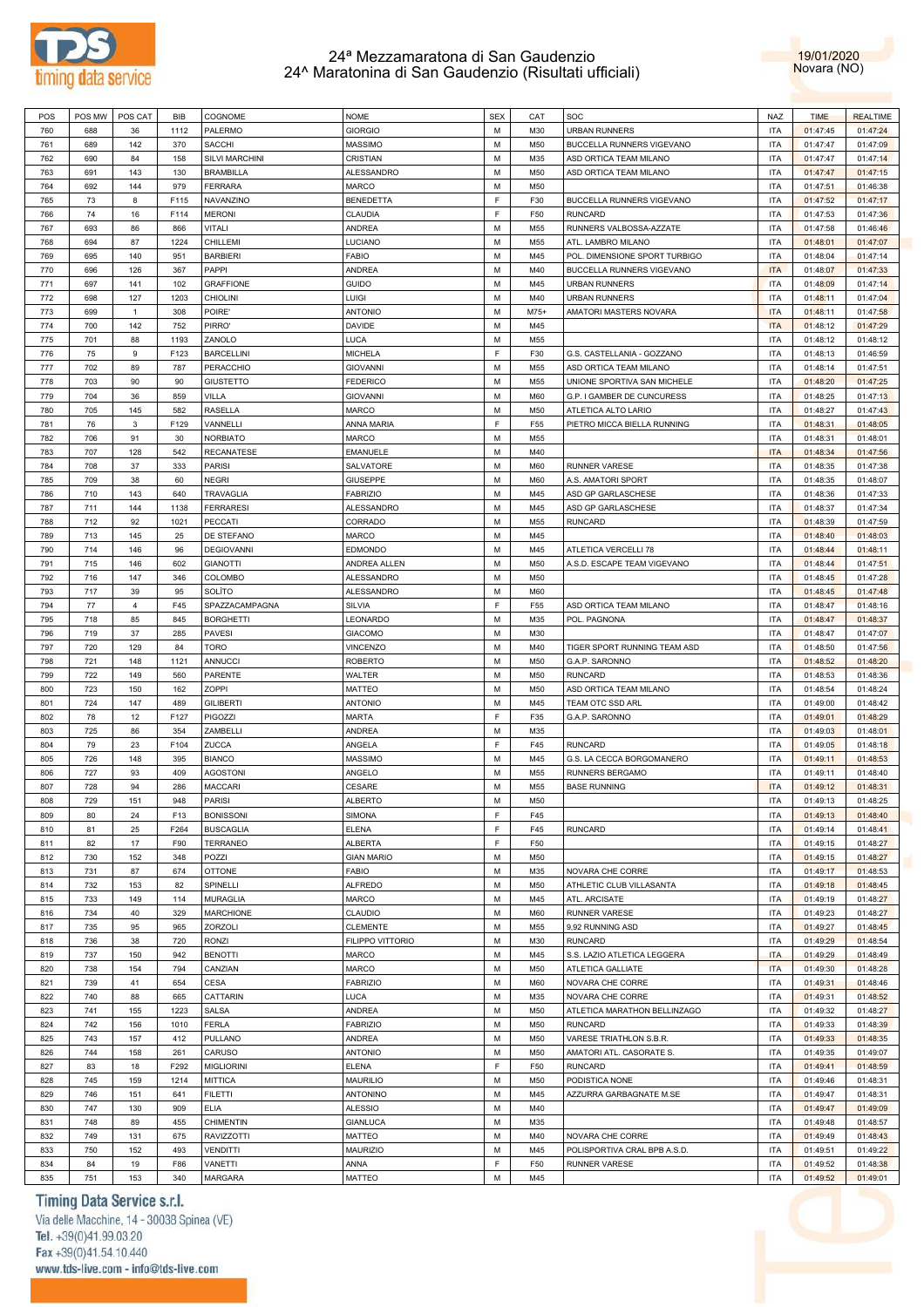



| POS | POS MW | POS CAT        | BIB  | COGNOME           | <b>NOME</b>       | <b>SEX</b> | CAT        | SOC                           | <b>NAZ</b> | <b>TIME</b> | <b>REALTIME</b> |
|-----|--------|----------------|------|-------------------|-------------------|------------|------------|-------------------------------|------------|-------------|-----------------|
|     |        |                |      |                   |                   |            |            |                               |            |             |                 |
| 760 | 688    | 36             | 1112 | PALERMO           | <b>GIORGIO</b>    | M          | M30        | <b>URBAN RUNNERS</b>          | <b>ITA</b> | 01:47:45    | 01:47:24        |
| 761 | 689    | 142            | 370  | SACCHI            | <b>MASSIMO</b>    | M          | M50        | BUCCELLA RUNNERS VIGEVANO     | <b>ITA</b> | 01:47:47    | 01:47:09        |
| 762 | 690    | 84             | 158  | SILVI MARCHINI    | CRISTIAN          | M          | M35        | ASD ORTICA TEAM MILANO        | <b>ITA</b> | 01:47:47    | 01:47:14        |
|     |        |                |      |                   |                   |            |            |                               |            |             |                 |
| 763 | 691    | 143            | 130  | <b>BRAMBILLA</b>  | ALESSANDRO        | M          | M50        | ASD ORTICA TEAM MILANO        | <b>ITA</b> | 01:47:47    | 01:47:15        |
| 764 | 692    | 144            | 979  | <b>FERRARA</b>    | <b>MARCO</b>      | M          | M50        |                               | <b>ITA</b> | 01:47:51    | 01:46:38        |
| 765 | 73     | 8              | F115 | NAVANZINO         | <b>BENEDETTA</b>  | E          | F30        | BUCCELLA RUNNERS VIGEVANO     | <b>ITA</b> | 01:47:52    | 01:47:17        |
| 766 | 74     | 16             | F114 | <b>MERONI</b>     | CLAUDIA           | E          | F50        | <b>RUNCARD</b>                | <b>ITA</b> | 01:47:53    | 01:47:36        |
|     |        |                |      |                   |                   |            |            |                               |            |             |                 |
| 767 | 693    | 86             | 866  | VITALI            | <b>ANDREA</b>     | M          | M55        | RUNNERS VALBOSSA-AZZATE       | <b>ITA</b> | 01:47:58    | 01:46:46        |
| 768 | 694    | 87             | 1224 | CHILLEMI          | LUCIANO           | M          | M55        | ATL. LAMBRO MILANO            | <b>ITA</b> | 01:48:01    | 01:47:07        |
| 769 | 695    | 140            | 951  | <b>BARBIERI</b>   | <b>FABIO</b>      | M          | M45        | POL. DIMENSIONE SPORT TURBIGO | <b>ITA</b> | 01:48:04    | 01:47:14        |
|     |        |                |      |                   |                   |            |            |                               |            |             |                 |
| 770 | 696    | 126            | 367  | PAPPI             | ANDREA            | M          | M40        | BUCCELLA RUNNERS VIGEVANO     | <b>ITA</b> | 01:48:07    | 01:47:33        |
| 771 | 697    | 141            | 102  | <b>GRAFFIONE</b>  | <b>GUIDO</b>      | M          | M45        | <b>URBAN RUNNERS</b>          | <b>ITA</b> | 01:48:09    | 01:47:14        |
| 772 | 698    | 127            | 1203 | <b>CHIOLINI</b>   | LUIGI             | M          | M40        | <b>URBAN RUNNERS</b>          | <b>ITA</b> | 01:48:11    | 01:47:04        |
|     |        |                |      |                   |                   |            |            |                               |            |             |                 |
| 773 | 699    | $\mathbf{1}$   | 308  | POIRE'            | <b>ANTONIO</b>    | M          | $M75+$     | AMATORI MASTERS NOVARA        | <b>ITA</b> | 01:48:11    | 01:47:58        |
| 774 | 700    | 142            | 752  | PIRRO'            | <b>DAVIDE</b>     | M          | M45        |                               | <b>ITA</b> | 01:48:12    | 01:47:29        |
| 775 | 701    | 88             | 1193 | ZANOLO            | LUCA              | M          | M55        |                               | <b>ITA</b> | 01:48:12    | 01:48:12        |
|     |        |                |      |                   |                   | E          |            |                               |            |             |                 |
| 776 | 75     | 9              | F123 | <b>BARCELLINI</b> | <b>MICHELA</b>    |            | F30        | G.S. CASTELLANIA - GOZZANO    | <b>ITA</b> | 01:48:13    | 01:46:59        |
| 777 | 702    | 89             | 787  | PERACCHIO         | <b>GIOVANNI</b>   | M          | M55        | ASD ORTICA TEAM MILANO        | <b>ITA</b> | 01:48:14    | 01:47:51        |
| 778 | 703    | 90             | 90   | GIUSTETTO         | <b>FEDERICO</b>   | M          | M55        | UNIONE SPORTIVA SAN MICHELE   | <b>ITA</b> | 01:48:20    | 01:47:25        |
|     |        |                |      |                   |                   | M          |            |                               |            |             |                 |
| 779 | 704    | 36             | 859  | VILLA             | <b>GIOVANNI</b>   |            | M60        | G.P. I GAMBER DE CUNCURESS    | <b>ITA</b> | 01:48:25    | 01:47:13        |
| 780 | 705    | 145            | 582  | <b>RASELLA</b>    | <b>MARCO</b>      | M          | M50        | ATLETICA ALTO LARIO           | <b>ITA</b> | 01:48:27    | 01:47:43        |
| 781 | 76     | 3              | F129 | VANNELLI          | ANNA MARIA        | E          | F55        | PIETRO MICCA BIELLA RUNNING   | <b>ITA</b> | 01:48:31    | 01:48:05        |
| 782 | 706    | 91             | 30   | <b>NORBIATO</b>   | <b>MARCO</b>      | M          |            |                               |            |             |                 |
|     |        |                |      |                   |                   |            | M55        |                               | <b>ITA</b> | 01:48:31    | 01:48:01        |
| 783 | 707    | 128            | 542  | <b>RECANATESE</b> | <b>EMANUELE</b>   | M          | M40        |                               | <b>ITA</b> | 01:48:34    | 01:47:56        |
| 784 | 708    | 37             | 333  | <b>PARISI</b>     | SALVATORE         | M          | <b>M60</b> | <b>RUNNER VARESE</b>          | <b>ITA</b> | 01:48:35    | 01:47:38        |
|     |        |                |      |                   |                   | M          |            |                               |            |             |                 |
| 785 | 709    | 38             | 60   | NEGRI             | <b>GIUSEPPE</b>   |            | M60        | A.S. AMATORI SPORT            | <b>ITA</b> | 01:48:35    | 01:48:07        |
| 786 | 710    | 143            | 640  | <b>TRAVAGLIA</b>  | <b>FABRIZIO</b>   | M          | M45        | ASD GP GARLASCHESE            | <b>ITA</b> | 01:48:36    | 01:47:33        |
| 787 | 711    | 144            | 1138 | <b>FERRARESI</b>  | <b>ALESSANDRO</b> | M          | M45        | ASD GP GARLASCHESE            | <b>ITA</b> | 01:48:37    | 01:47:34        |
| 788 | 712    | 92             | 1021 | PECCATI           | CORRADO           | M          | M55        | <b>RUNCARD</b>                | <b>ITA</b> | 01:48:39    | 01:47:59        |
|     |        |                |      |                   |                   |            |            |                               |            |             |                 |
| 789 | 713    | 145            | 25   | DE STEFANO        | <b>MARCO</b>      | M          | M45        |                               | <b>ITA</b> | 01:48:40    | 01:48:03        |
| 790 | 714    | 146            | 96   | <b>DEGIOVANNI</b> | <b>EDMONDO</b>    | M          | M45        | ATLETICA VERCELLI 78          | <b>ITA</b> | 01:48:44    | 01:48:11        |
| 791 | 715    | 146            | 602  | <b>GIANOTTI</b>   | ANDREA ALLEN      | M          | M50        |                               | <b>ITA</b> | 01:48:44    | 01:47:51        |
|     |        |                |      |                   |                   |            |            | A.S.D. ESCAPE TEAM VIGEVANO   |            |             |                 |
| 792 | 716    | 147            | 346  | COLOMBO           | <b>ALESSANDRO</b> | M          | M50        |                               | <b>ITA</b> | 01:48:45    | 01:47:28        |
| 793 | 717    | 39             | 95   | SOLÌTO            | <b>ALESSANDRO</b> | M          | <b>M60</b> |                               | <b>ITA</b> | 01:48:45    | 01:47:48        |
| 794 | 77     | $\overline{4}$ | F45  | SPAZZACAMPAGNA    | SILVIA            | F.         | F55        | ASD ORTICA TEAM MILANO        | <b>ITA</b> | 01:48:47    | 01:48:16        |
|     |        |                |      |                   |                   |            |            |                               |            |             |                 |
| 795 | 718    | 85             | 845  | <b>BORGHETTI</b>  | LEONARDO          | M          | M35        | POL. PAGNONA                  | <b>ITA</b> | 01:48:47    | 01:48:37        |
| 796 | 719    | 37             | 285  | <b>PAVESI</b>     | <b>GIACOMO</b>    | M          | M30        |                               | <b>ITA</b> | 01:48:47    | 01:47:07        |
| 797 | 720    | 129            | 84   | TORO              | <b>VINCENZO</b>   | M          | M40        | TIGER SPORT RUNNING TEAM ASD  | <b>ITA</b> | 01:48:50    | 01:47:56        |
|     |        |                |      |                   |                   |            |            |                               |            |             |                 |
| 798 | 721    | 148            | 1121 | <b>ANNUCCI</b>    | <b>ROBERTO</b>    | M          | M50        | G.A.P. SARONNO                | <b>ITA</b> | 01:48:52    | 01:48:20        |
| 799 | 722    | 149            | 560  | PARENTE           | WALTER            | M          | M50        | <b>RUNCARD</b>                | <b>ITA</b> | 01:48:53    | 01:48:36        |
| 800 | 723    | 150            | 162  | <b>ZOPPI</b>      | <b>MATTEO</b>     | M          | M50        | ASD ORTICA TEAM MILANO        | <b>ITA</b> | 01:48:54    | 01:48:24        |
|     |        |                |      |                   |                   |            |            |                               |            |             |                 |
| 801 | 724    | 147            | 489  | <b>GILIBERTI</b>  | <b>ANTONIO</b>    | M          | M45        | TEAM OTC SSD ARL              | <b>ITA</b> | 01:49:00    | 01:48:42        |
| 802 | 78     | 12             | F127 | <b>PIGOZZI</b>    | <b>MARTA</b>      | F.         | F35        | G.A.P. SARONNO                | <b>ITA</b> | 01:49:01    | 01:48:29        |
| 803 | 725    | 86             | 354  | ZAMBELLI          | <b>ANDREA</b>     | M          | M35        |                               | <b>ITA</b> | 01:49:03    | 01:48:01        |
|     |        |                |      |                   |                   |            |            |                               |            |             |                 |
| 804 | 79     | 23             | F104 | ZUCCA             | ANGELA            | F.         | F45        | <b>RUNCARD</b>                | <b>ITA</b> | 01:49:05    | 01:48:18        |
| 805 | 726    | 148            | 395  | <b>BIANCO</b>     | <b>MASSIMO</b>    | м          | M45        | G.S. LA CECCA BORGOMANERO     | <b>ITA</b> | 01:49:11    | 01:48:53        |
| 806 | 727    | 93             | 409  | <b>AGOSTONI</b>   | ANGELO            | M          | M55        | RUNNERS BERGAMO               | <b>ITA</b> | 01:49:11    | 01:48:40        |
|     |        |                |      |                   |                   |            |            |                               |            |             |                 |
| 807 | 728    | 94             | 286  | <b>MACCARI</b>    | CESARE            | M          | M55        | <b>BASE RUNNING</b>           | <b>ITA</b> | 01:49:12    | 01:48:31        |
| 808 | 729    | 151            | 948  | PARISI            | <b>ALBERTO</b>    | M          | M50        |                               | <b>ITA</b> | 01:49:13    | 01:48:25        |
| 809 | 80     | 24             | F13  | <b>BONISSONI</b>  | <b>SIMONA</b>     | F.         | F45        |                               | <b>ITA</b> | 01:49:13    | 01:48:40        |
|     |        |                |      |                   |                   |            |            |                               |            |             |                 |
| 810 | 81     | 25             | F264 | <b>BUSCAGLIA</b>  | <b>ELENA</b>      | F.         | F45        | <b>RUNCARD</b>                | <b>ITA</b> | 01:49:14    | 01:48:41        |
| 811 | 82     | 17             | F90  | <b>TERRANEO</b>   | <b>ALBERTA</b>    | E          | F50        |                               | <b>ITA</b> | 01:49:15    | 01:48:27        |
| 812 | 730    | 152            | 348  | POZZI             | <b>GIAN MARIO</b> | M          | M50        |                               | <b>ITA</b> | 01:49:15    | 01:48:27        |
|     |        |                |      |                   |                   |            |            |                               |            |             |                 |
| 813 | 731    | 87             | 674  | <b>OTTONE</b>     | <b>FABIO</b>      | M          | M35        | NOVARA CHE CORRE              | <b>ITA</b> | 01:49:17    | 01:48:53        |
| 814 | 732    | 153            | 82   | SPINELLI          | <b>ALFREDO</b>    | M          | M50        | ATHLETIC CLUB VILLASANTA      | <b>ITA</b> | 01:49:18    | 01:48:45        |
| 815 | 733    | 149            | 114  | <b>MURAGLIA</b>   | MARCO             | M          | M45        | ATL. ARCISATE                 | <b>ITA</b> | 01:49:19    | 01:48:27        |
|     |        |                |      |                   |                   |            |            |                               |            |             |                 |
| 816 | 734    | 40             | 329  | <b>MARCHIONE</b>  | CLAUDIO           | M          | <b>M60</b> | RUNNER VARESE                 | <b>ITA</b> | 01:49:23    | 01:48:27        |
| 817 | 735    | 95             | 965  | ZORZOLI           | <b>CLEMENTE</b>   | M          | M55        | 9,92 RUNNING ASD              | <b>ITA</b> | 01:49:27    | 01:48:45        |
| 818 | 736    | 38             | 720  | RONZI             | FILIPPO VITTORIO  | M          | M30        | <b>RUNCARD</b>                | <b>ITA</b> | 01:49:29    | 01:48:54        |
|     |        |                |      |                   |                   |            |            |                               |            |             |                 |
| 819 | 737    | 150            | 942  | <b>BENOTTI</b>    | <b>MARCO</b>      | M          | M45        | S.S. LAZIO ATLETICA LEGGERA   | <b>ITA</b> | 01:49:29    | 01:48:49        |
| 820 | 738    | 154            | 794  | CANZIAN           | MARCO             | M          | M50        | ATLETICA GALLIATE             | <b>ITA</b> | 01:49:30    | 01:48:28        |
| 821 | 739    | 41             | 654  | CESA              | <b>FABRIZIO</b>   | M          | <b>M60</b> | NOVARA CHE CORRE              | <b>ITA</b> | 01:49:31    | 01:48:46        |
|     |        |                |      |                   |                   | M          |            |                               |            |             |                 |
| 822 | 740    | 88             | 665  | CATTARIN          | LUCA              |            | M35        | NOVARA CHE CORRE              | <b>ITA</b> | 01:49:31    | 01:48:52        |
| 823 | 741    | 155            | 1223 | SALSA             | ANDREA            | M          | M50        | ATLETICA MARATHON BELLINZAGO  | <b>ITA</b> | 01:49:32    | 01:48:27        |
| 824 | 742    | 156            | 1010 | FERLA             | <b>FABRIZIO</b>   | M          | M50        | <b>RUNCARD</b>                | <b>ITA</b> | 01:49:33    | 01:48:39        |
|     |        |                |      |                   |                   |            |            |                               |            |             |                 |
| 825 | 743    | 157            | 412  | PULLANO           | ANDREA            | M          | M50        | VARESE TRIATHLON S.B.R.       | <b>ITA</b> | 01:49:33    | 01:48:35        |
| 826 | 744    | 158            | 261  | CARUSO            | <b>ANTONIO</b>    | M          | M50        | AMATORI ATL. CASORATE S.      | <b>ITA</b> | 01:49:35    | 01:49:07        |
| 827 | 83     | 18             | F292 | <b>MIGLIORINI</b> | <b>ELENA</b>      | F.         | F50        | <b>RUNCARD</b>                | <b>ITA</b> | 01:49:41    | 01:48:59        |
|     |        |                |      |                   |                   | M          |            | PODISTICA NONE                |            |             |                 |
| 828 | 745    | 159            | 1214 | <b>MITTICA</b>    | <b>MAURILIO</b>   |            | M50        |                               | <b>ITA</b> | 01:49:46    | 01:48:31        |
| 829 | 746    | 151            | 641  | <b>FILETTI</b>    | <b>ANTONINO</b>   | M          | M45        | AZZURRA GARBAGNATE M.SE       | <b>ITA</b> | 01:49:47    | 01:48:31        |
| 830 | 747    | 130            | 909  | ELIA              | <b>ALESSIO</b>    | M          | M40        |                               | <b>ITA</b> | 01:49:47    | 01:49:09        |
|     |        |                |      |                   |                   |            |            |                               |            |             |                 |
| 831 | 748    | 89             | 455  | <b>CHIMENTIN</b>  | <b>GIANLUCA</b>   | M          | M35        |                               | <b>ITA</b> | 01:49:48    | 01:48:57        |
| 832 | 749    | 131            | 675  | <b>RAVIZZOTTI</b> | <b>MATTEO</b>     | M          | M40        | NOVARA CHE CORRE              | <b>ITA</b> | 01:49:49    | 01:48:43        |
| 833 | 750    | 152            | 493  | VENDITTI          | <b>MAURIZIO</b>   | M          | M45        | POLISPORTIVA CRAL BPB A.S.D.  | <b>ITA</b> | 01:49:51    | 01:49:22        |
|     |        |                |      |                   |                   | F          |            |                               |            |             |                 |
| 834 | 84     | 19             | F86  | VANETTI           | ANNA              |            | F50        | RUNNER VARESE                 | <b>ITA</b> | 01:49:52    | 01:48:38        |
| 835 | 751    | 153            | 340  | MARGARA           | MATTEO            | М          | M45        |                               | <b>ITA</b> | 01:49:52    | 01:49:01        |

### Timing Data Service s.r.l.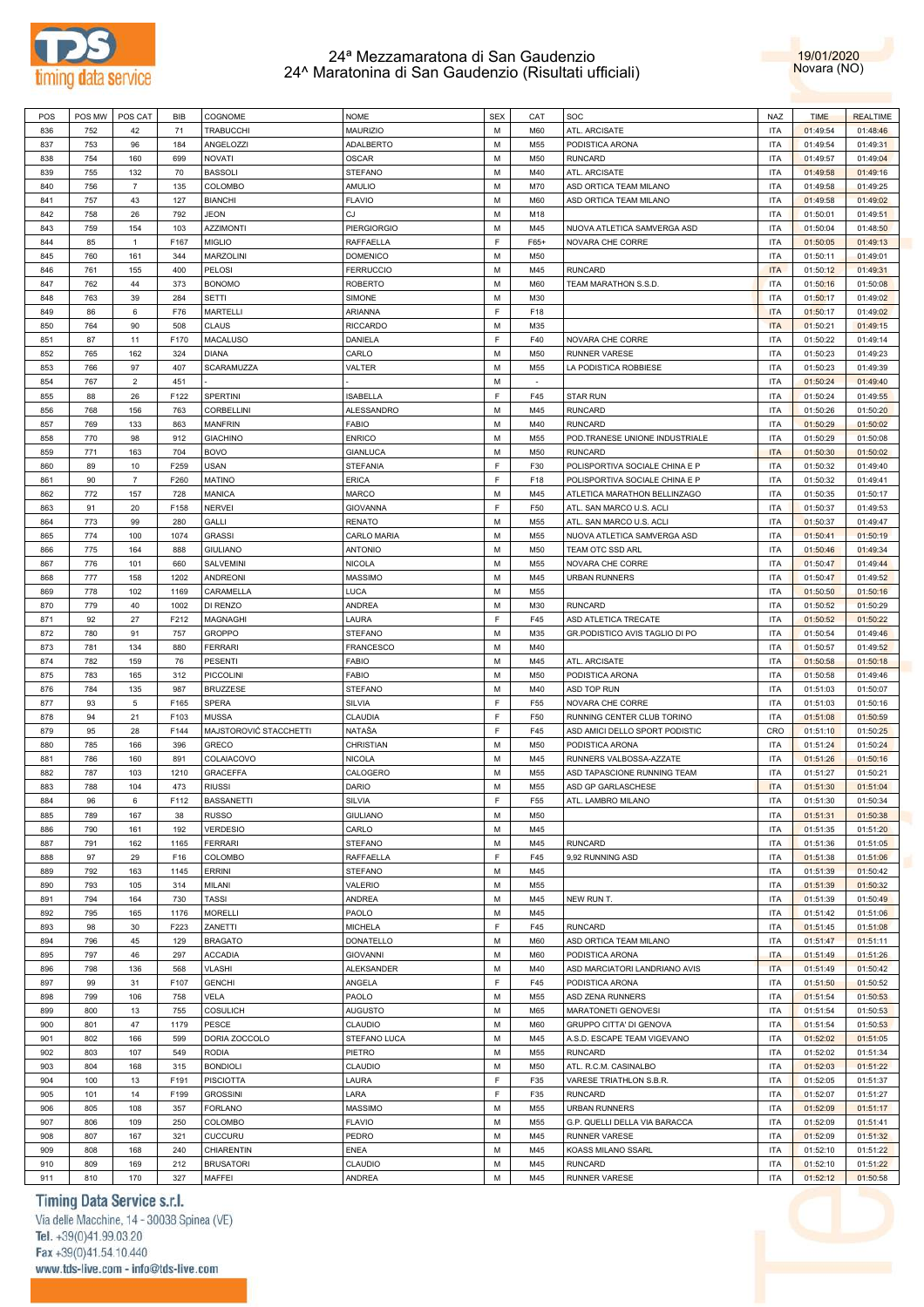



| POS | POS MW | POS CAT        | BIB  | COGNOME                | <b>NOME</b>        | <b>SEX</b> | CAT        | SOC                            | <b>NAZ</b> | <b>TIME</b> | <b>REALTIME</b> |
|-----|--------|----------------|------|------------------------|--------------------|------------|------------|--------------------------------|------------|-------------|-----------------|
| 836 | 752    | 42             | 71   | <b>TRABUCCHI</b>       | <b>MAURIZIO</b>    | м          | <b>M60</b> | ATL. ARCISATE                  | <b>ITA</b> | 01:49:54    | 01:48:46        |
| 837 | 753    | 96             |      | ANGELOZZI              | ADALBERTO          | М          | M55        | PODISTICA ARONA                | <b>ITA</b> | 01:49:54    | 01:49:31        |
|     |        |                | 184  |                        |                    |            |            |                                |            |             |                 |
| 838 | 754    | 160            | 699  | NOVATI                 | OSCAR              | М          | M50        | <b>RUNCARD</b>                 | <b>ITA</b> | 01:49:57    | 01:49:04        |
| 839 | 755    | 132            | 70   | <b>BASSOLI</b>         | STEFANO            | М          | M40        | ATL. ARCISATE                  | <b>ITA</b> | 01:49:58    | 01:49:16        |
| 840 | 756    | $\overline{7}$ | 135  | COLOMBO                | AMULIO             | М          | M70        | ASD ORTICA TEAM MILANO         | <b>ITA</b> | 01:49:58    | 01:49:25        |
| 841 | 757    | 43             | 127  | <b>BIANCHI</b>         | <b>FLAVIO</b>      | М          | M60        | ASD ORTICA TEAM MILANO         | <b>ITA</b> | 01:49:58    | 01:49:02        |
| 842 | 758    | 26             | 792  | <b>JEON</b>            | СJ                 | M          | M18        |                                | <b>ITA</b> | 01:50:01    | 01:49:51        |
| 843 | 759    | 154            | 103  | <b>AZZIMONTI</b>       | <b>PIERGIORGIO</b> | М          | M45        | NUOVA ATLETICA SAMVERGA ASD    | <b>ITA</b> | 01:50:04    | 01:48:50        |
| 844 | 85     | $\mathbf{1}$   | F167 | <b>MIGLIO</b>          | RAFFAELLA          | F          | $F65+$     | NOVARA CHE CORRE               | <b>ITA</b> | 01:50:05    | 01:49:13        |
| 845 | 760    | 161            | 344  | MARZOLINI              | <b>DOMENICO</b>    | М          | M50        |                                | <b>ITA</b> | 01:50:11    | 01:49:01        |
|     |        |                |      |                        |                    |            |            |                                |            |             |                 |
| 846 | 761    | 155            | 400  | <b>PELOSI</b>          | <b>FERRUCCIO</b>   | М          | M45        | <b>RUNCARD</b>                 | <b>ITA</b> | 01:50:12    | 01:49:31        |
| 847 | 762    | 44             | 373  | <b>BONOMO</b>          | <b>ROBERTO</b>     | М          | M60        | TEAM MARATHON S.S.D            | <b>ITA</b> | 01:50:16    | 01:50:08        |
| 848 | 763    | 39             | 284  | SETTI                  | SIMONE             | M          | M30        |                                | <b>ITA</b> | 01:50:17    | 01:49:02        |
| 849 | 86     | 6              | F76  | MARTELLI               | ARIANNA            | F          | F18        |                                | <b>ITA</b> | 01:50:17    | 01:49:02        |
| 850 | 764    | 90             | 508  | <b>CLAUS</b>           | <b>RICCARDO</b>    | М          | M35        |                                | <b>ITA</b> | 01:50:21    | 01:49:15        |
| 851 | 87     | 11             | F170 | MACALUSO               | DANIELA            | F          | F40        | NOVARA CHE CORRE               | <b>ITA</b> | 01:50:22    | 01:49:14        |
| 852 | 765    | 162            | 324  | DIANA                  | CARLO              | M          | M50        | RUNNER VARESE                  | <b>ITA</b> | 01:50:23    | 01:49:23        |
| 853 | 766    | 97             | 407  | SCARAMUZZA             | VALTER             | М          | M55        | LA PODISTICA ROBBIESE          | <b>ITA</b> | 01:50:23    | 01:49:39        |
| 854 | 767    | $\overline{2}$ | 451  |                        |                    | M          | $\sim$     |                                | <b>ITA</b> | 01:50:24    | 01:49:40        |
| 855 | 88     | 26             | F122 | SPERTINI               | <b>ISABELLA</b>    | F          | F45        | <b>STAR RUN</b>                | <b>ITA</b> | 01:50:24    | 01:49:55        |
| 856 | 768    | 156            | 763  | CORBELLINI             | ALESSANDRO         | M          | M45        | <b>RUNCARD</b>                 | <b>ITA</b> | 01:50:26    | 01:50:20        |
|     |        |                |      |                        |                    |            |            |                                |            |             |                 |
| 857 | 769    | 133            | 863  | <b>MANFRIN</b>         | <b>FABIO</b>       | М          | M40        | <b>RUNCARD</b>                 | <b>ITA</b> | 01:50:29    | 01:50:02        |
| 858 | 770    | 98             | 912  | <b>GIACHINO</b>        | <b>ENRICO</b>      | М          | M55        | POD.TRANESE UNIONE INDUSTRIALE | <b>ITA</b> | 01:50:29    | 01:50:08        |
| 859 | 771    | 163            | 704  | <b>BOVO</b>            | <b>GIANLUCA</b>    | М          | M50        | <b>RUNCARD</b>                 | <b>ITA</b> | 01:50:30    | 01:50:02        |
| 860 | 89     | 10             | F259 | <b>USAN</b>            | <b>STEFANIA</b>    | E          | F30        | POLISPORTIVA SOCIALE CHINA E P | <b>ITA</b> | 01:50:32    | 01:49:40        |
| 861 | 90     | $\overline{7}$ | F260 | <b>MATINO</b>          | ERICA              | F          | F18        | POLISPORTIVA SOCIALE CHINA E P | <b>ITA</b> | 01:50:32    | 01:49:41        |
| 862 | 772    | 157            | 728  | MANICA                 | MARCO              | М          | M45        | ATLETICA MARATHON BELLINZAGO   | <b>ITA</b> | 01:50:35    | 01:50:17        |
| 863 | 91     | 20             | F158 | <b>NERVEI</b>          | <b>GIOVANNA</b>    | F          | F50        | ATL. SAN MARCO U.S. ACLI       | ITA        | 01:50:37    | 01:49:53        |
| 864 | 773    | 99             | 280  | GALLI                  | <b>RENATO</b>      | М          | M55        | ATL. SAN MARCO U.S. ACLI       | <b>ITA</b> | 01:50:37    | 01:49:47        |
| 865 | 774    | 100            | 1074 | <b>GRASSI</b>          | CARLO MARIA        | М          | M55        | NUOVA ATLETICA SAMVERGA ASD    | <b>ITA</b> | 01:50:41    | 01:50:19        |
|     |        |                |      | <b>GIULIANO</b>        |                    | M          |            |                                |            |             |                 |
| 866 | 775    | 164            | 888  |                        | <b>ANTONIO</b>     |            | M50        | TEAM OTC SSD ARL               | <b>ITA</b> | 01:50:46    | 01:49:34        |
| 867 | 776    | 101            | 660  | SALVEMINI              | NICOLA             | М          | M55        | NOVARA CHE CORRE               | <b>ITA</b> | 01:50:47    | 01:49:44        |
| 868 | 777    | 158            | 1202 | ANDREONI               | MASSIMO            | M          | M45        | <b>URBAN RUNNERS</b>           | <b>ITA</b> | 01:50:47    | 01:49:52        |
| 869 | 778    | 102            | 1169 | CARAMELLA              | LUCA               | М          | M55        |                                | ITA        | 01:50:50    | 01:50:16        |
| 870 | 779    | 40             | 1002 | DI RENZO               | ANDREA             | М          | M30        | <b>RUNCARD</b>                 | <b>ITA</b> | 01:50:52    | 01:50:29        |
| 871 | 92     | 27             | F212 | MAGNAGHI               | LAURA              | E          | F45        | ASD ATLETICA TRECATE           | <b>ITA</b> | 01:50:52    | 01:50:22        |
| 872 | 780    | 91             | 757  | <b>GROPPO</b>          | STEFANO            | M          | M35        | GR.PODISTICO AVIS TAGLIO DI PO | <b>ITA</b> | 01:50:54    | 01:49:46        |
| 873 | 781    | 134            | 880  | <b>FERRARI</b>         | <b>FRANCESCO</b>   | М          | M40        |                                | <b>ITA</b> | 01:50:57    | 01:49:52        |
| 874 | 782    | 159            | 76   | <b>PESENTI</b>         | <b>FABIO</b>       | М          | M45        | ATL. ARCISATE                  | ITA        | 01:50:58    | 01:50:18        |
| 875 | 783    | 165            | 312  | PICCOLINI              | <b>FABIO</b>       | М          | M50        | PODISTICA ARONA                | ITA        | 01:50:58    | 01:49:46        |
| 876 | 784    | 135            | 987  | <b>BRUZZESE</b>        | STEFANO            | М          | M40        | ASD TOP RUN                    | <b>ITA</b> | 01:51:03    | 01:50:07        |
|     |        |                |      |                        |                    | F          |            |                                |            |             |                 |
| 877 | 93     | 5              | F165 | <b>SPERA</b>           | SILVIA             |            | F55        | NOVARA CHE CORRE               | <b>ITA</b> | 01:51:03    | 01:50:16        |
| 878 | 94     | 21             | F103 | <b>MUSSA</b>           | CLAUDIA            | E          | F50        | RUNNING CENTER CLUB TORINO     | <b>ITA</b> | 01:51:08    | 01:50:59        |
| 879 | 95     | 28             | F144 | MAJSTOROVIĆ STACCHETTI | NATAŠA             | E          | F45        | ASD AMICI DELLO SPORT PODISTIC | CRO        | 01:51:10    | 01:50:25        |
| 880 | 785    | 166            | 396  | <b>GRECO</b>           | CHRISTIAN          | M          | M50        | PODISTICA ARONA                | <b>ITA</b> | 01:51:24    | 01:50:24        |
| 881 | 786    | 160            | 891  | COLAIACOVO             | NICOLA             | м          | M45        | RUNNERS VALBOSSA-AZZATE        | ITA        | 01:51:26    | 01:50:16        |
| 882 | 787    | 103            | 1210 | <b>GRACEFFA</b>        | CALOGERO           | М          | M55        | ASD TAPASCIONE RUNNING TEAM    | ITA        | 01:51:27    | 01:50:21        |
| 883 | 788    | 104            | 473  | <b>RIUSSI</b>          | DARIO              | М          | M55        | ASD GP GARLASCHESE             | <b>ITA</b> | 01:51:30    | 01:51:04        |
| 884 | 96     | 6              | F112 | <b>BASSANETTI</b>      | SILVIA             | F          | F55        | ATL. LAMBRO MILANO             | <b>ITA</b> | 01:51:30    | 01:50:34        |
| 885 | 789    | 167            | 38   | <b>RUSSO</b>           | <b>GIULIANO</b>    | M          | M50        |                                | <b>ITA</b> | 01:51:31    | 01:50:38        |
| 886 | 790    | 161            | 192  | <b>VERDESIO</b>        | CARLO              | M          | M45        |                                | <b>ITA</b> | 01:51:35    | 01:51:20        |
|     |        |                |      | <b>FERRARI</b>         | <b>STEFANO</b>     | М          |            | <b>RUNCARD</b>                 |            |             |                 |
| 887 | 791    | 162            | 1165 |                        |                    |            | M45        |                                | <b>ITA</b> | 01:51:36    | 01:51:05        |
| 888 | 97     | 29             | F16  | COLOMBO                | RAFFAELLA          | F          | F45        | 9,92 RUNNING ASD               | <b>ITA</b> | 01:51:38    | 01:51:06        |
| 889 | 792    | 163            | 1145 | <b>ERRINI</b>          | STEFANO            | М          | M45        |                                | <b>ITA</b> | 01:51:39    | 01:50:42        |
| 890 | 793    | 105            | 314  | MILANI                 | VALERIO            | M          | M55        |                                | <b>ITA</b> | 01:51:39    | 01:50:32        |
| 891 | 794    | 164            | 730  | <b>TASSI</b>           | ANDREA             | М          | M45        | NEW RUN T.                     | <b>ITA</b> | 01:51:39    | 01:50:49        |
| 892 | 795    | 165            | 1176 | <b>MORELLI</b>         | PAOLO              | M          | M45        |                                | <b>ITA</b> | 01:51:42    | 01:51:06        |
| 893 | 98     | 30             | F223 | ZANETTI                | <b>MICHELA</b>     | F          | F45        | <b>RUNCARD</b>                 | <b>ITA</b> | 01:51:45    | 01:51:08        |
| 894 | 796    | 45             | 129  | <b>BRAGATO</b>         | <b>DONATELLO</b>   | М          | M60        | ASD ORTICA TEAM MILANO         | <b>ITA</b> | 01:51:47    | 01:51:11        |
| 895 | 797    | 46             | 297  | <b>ACCADIA</b>         | <b>GIOVANNI</b>    | М          | M60        | PODISTICA ARONA                | <b>ITA</b> | 01:51:49    | 01:51:26        |
| 896 | 798    | 136            | 568  | <b>VLASHI</b>          | ALEKSANDER         | M          | M40        | ASD MARCIATORI LANDRIANO AVIS  | <b>ITA</b> | 01:51:49    | 01:50:42        |
| 897 | 99     | 31             | F107 | <b>GENCHI</b>          | ANGELA             | E          | F45        | PODISTICA ARONA                | <b>ITA</b> | 01:51:50    | 01:50:52        |
|     |        |                |      |                        |                    |            |            |                                |            |             |                 |
| 898 | 799    | 106            | 758  | VELA                   | PAOLO              | M          | M55        | ASD ZENA RUNNERS               | <b>ITA</b> | 01:51:54    | 01:50:53        |
| 899 | 800    | 13             | 755  | <b>COSULICH</b>        | <b>AUGUSTO</b>     | М          | M65        | MARATONETI GENOVESI            | <b>ITA</b> | 01:51:54    | 01:50:53        |
| 900 | 801    | 47             | 1179 | PESCE                  | CLAUDIO            | M          | M60        | GRUPPO CITTA' DI GENOVA        | <b>ITA</b> | 01:51:54    | 01:50:53        |
| 901 | 802    | 166            | 599  | DORIA ZOCCOLO          | STEFANO LUCA       | М          | M45        | A.S.D. ESCAPE TEAM VIGEVANO    | <b>ITA</b> | 01:52:02    | 01:51:05        |
| 902 | 803    | 107            | 549  | <b>RODIA</b>           | PIETRO             | M          | M55        | <b>RUNCARD</b>                 | <b>ITA</b> | 01:52:02    | 01:51:34        |
| 903 | 804    | 168            | 315  | <b>BONDIOLI</b>        | CLAUDIO            | М          | M50        | ATL. R.C.M. CASINALBO          | <b>ITA</b> | 01:52:03    | 01:51:22        |
| 904 | 100    | 13             | F191 | <b>PISCIOTTA</b>       | LAURA              | E          | F35        | VARESE TRIATHLON S.B.R.        | <b>ITA</b> | 01:52:05    | 01:51:37        |
| 905 | 101    | 14             | F199 | <b>GROSSINI</b>        | LARA               | E          | F35        | <b>RUNCARD</b>                 | <b>ITA</b> | 01:52:07    | 01:51:27        |
| 906 | 805    | 108            | 357  | <b>FORLANO</b>         | MASSIMO            | M          | M55        | <b>URBAN RUNNERS</b>           | <b>ITA</b> | 01:52:09    | 01:51:17        |
| 907 | 806    | 109            | 250  | COLOMBO                | <b>FLAVIO</b>      | M          | M55        | G.P. QUELLI DELLA VIA BARACCA  | <b>ITA</b> | 01:52:09    | 01:51:41        |
|     |        |                |      |                        |                    |            |            |                                |            |             |                 |
| 908 | 807    | 167            | 321  | CUCCURU                | PEDRO              | M          | M45        | RUNNER VARESE                  | <b>ITA</b> | 01:52:09    | 01:51:32        |
| 909 | 808    | 168            | 240  | CHIARENTIN             | <b>ENEA</b>        | М          | M45        | KOASS MILANO SSARL             | <b>ITA</b> | 01:52:10    | 01:51:22        |
| 910 | 809    | 169            | 212  | <b>BRUSATORI</b>       | CLAUDIO            | M          | M45        | <b>RUNCARD</b>                 | <b>ITA</b> | 01:52:10    | 01:51:22        |
| 911 | 810    | 170            | 327  | MAFFEI                 | ANDREA             | М          | M45        | RUNNER VARESE                  | ITA        | 01:52:12    | 01:50:58        |

### Timing Data Service s.r.l.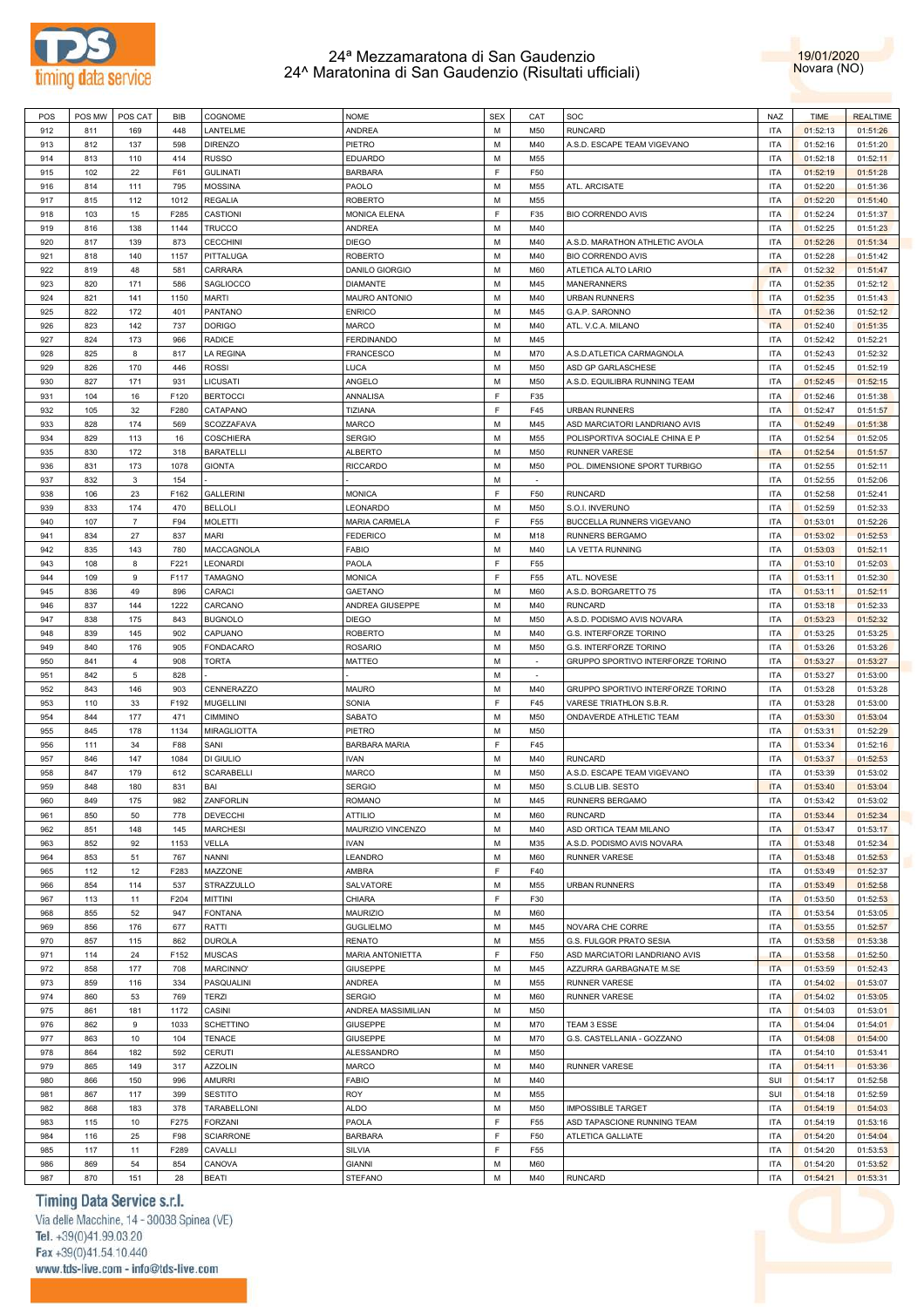



| POS | POS MW | POS CAT        | BIB  | COGNOME           | <b>NOME</b>          | <b>SEX</b> | CAT             | SOC                               | <b>NAZ</b> | <b>TIME</b> | <b>REALTIME</b> |
|-----|--------|----------------|------|-------------------|----------------------|------------|-----------------|-----------------------------------|------------|-------------|-----------------|
| 912 | 811    | 169            | 448  | LANTELME          | <b>ANDREA</b>        | M          | M50             | <b>RUNCARD</b>                    | <b>ITA</b> | 01:52:13    | 01:51:26        |
| 913 | 812    | 137            | 598  | <b>DIRENZO</b>    | PIETRO               | M          | M40             | A.S.D. ESCAPE TEAM VIGEVANO       | <b>ITA</b> | 01:52:16    | 01:51:20        |
| 914 | 813    | 110            | 414  | <b>RUSSO</b>      | <b>EDUARDO</b>       | м          | M55             |                                   | <b>ITA</b> | 01:52:18    | 01:52:11        |
| 915 | 102    | 22             | F61  | <b>GULINATI</b>   | <b>BARBARA</b>       | F.         | F50             |                                   | <b>ITA</b> | 01:52:19    | 01:51:28        |
| 916 | 814    | 111            | 795  | <b>MOSSINA</b>    | PAOLO                | м          | M55             | ATL. ARCISATE                     | <b>ITA</b> | 01:52:20    | 01:51:36        |
|     |        |                |      |                   | <b>ROBERTO</b>       | M          |                 |                                   |            |             |                 |
| 917 | 815    | 112            | 1012 | <b>REGALIA</b>    |                      |            | M55             |                                   | <b>ITA</b> | 01:52:20    | 01:51:40        |
| 918 | 103    | 15             | F285 | CASTIONI          | <b>MONICA ELENA</b>  | F          | F35             | <b>BIO CORRENDO AVIS</b>          | <b>ITA</b> | 01:52:24    | 01:51:37        |
| 919 | 816    | 138            | 1144 | <b>TRUCCO</b>     | <b>ANDREA</b>        | м          | M40             |                                   | <b>ITA</b> | 01:52:25    | 01:51:23        |
| 920 | 817    | 139            | 873  | <b>CECCHINI</b>   | <b>DIEGO</b>         | м          | M40             | A.S.D. MARATHON ATHLETIC AVOLA    | <b>ITA</b> | 01:52:26    | 01:51:34        |
| 921 | 818    | 140            | 1157 | PITTALUGA         | <b>ROBERTO</b>       | м          | M40             | <b>BIO CORRENDO AVIS</b>          | <b>ITA</b> | 01:52:28    | 01:51:42        |
| 922 | 819    | 48             | 581  | CARRARA           | DANILO GIORGIO       | м          | M60             | ATLETICA ALTO LARIO               | <b>ITA</b> | 01:52:32    | 01:51:47        |
| 923 | 820    | 171            | 586  | SAGLIOCCO         | <b>DIAMANTE</b>      | M          | M45             | MANERANNERS                       | <b>ITA</b> | 01:52:35    | 01:52:12        |
| 924 | 821    | 141            | 1150 | <b>MARTI</b>      | MAURO ANTONIO        | м          | M40             | <b>URBAN RUNNERS</b>              | <b>ITA</b> | 01:52:35    | 01:51:43        |
| 925 | 822    | 172            | 401  | PANTANO           | <b>ENRICO</b>        | M          | M45             | G.A.P. SARONNO                    | <b>ITA</b> | 01:52:36    | 01:52:12        |
| 926 | 823    | 142            | 737  | <b>DORIGO</b>     | <b>MARCO</b>         | м          | M40             |                                   | <b>ITA</b> |             |                 |
|     |        |                |      |                   |                      |            |                 | ATL. V.C.A. MILANO                |            | 01:52:40    | 01:51:35        |
| 927 | 824    | 173            | 966  | <b>RADICE</b>     | <b>FERDINANDO</b>    | M          | M45             |                                   | <b>ITA</b> | 01:52:42    | 01:52:21        |
| 928 | 825    | 8              | 817  | <b>LA REGINA</b>  | <b>FRANCESCO</b>     | M          | M70             | A.S.D.ATLETICA CARMAGNOLA         | <b>ITA</b> | 01:52:43    | 01:52:32        |
| 929 | 826    | 170            | 446  | <b>ROSSI</b>      | <b>LUCA</b>          | м          | M50             | ASD GP GARLASCHESE                | <b>ITA</b> | 01:52:45    | 01:52:19        |
| 930 | 827    | 171            | 931  | LICUSATI          | ANGELO               | м          | M50             | A.S.D. EQUILIBRA RUNNING TEAM     | <b>ITA</b> | 01:52:45    | 01:52:15        |
| 931 | 104    | 16             | F120 | <b>BERTOCCI</b>   | ANNALISA             | F          | F35             |                                   | <b>ITA</b> | 01:52:46    | 01:51:38        |
| 932 | 105    | 32             | F280 | CATAPANO          | TIZIANA              | F          | F45             | <b>URBAN RUNNERS</b>              | <b>ITA</b> | 01:52:47    | 01:51:57        |
| 933 | 828    | 174            | 569  | SCOZZAFAVA        | <b>MARCO</b>         | м          | M45             | ASD MARCIATORI LANDRIANO AVIS     | <b>ITA</b> | 01:52:49    | 01:51:38        |
| 934 | 829    | 113            | 16   | <b>COSCHIERA</b>  | <b>SERGIO</b>        | м          | M55             | POLISPORTIVA SOCIALE CHINA E P    | <b>ITA</b> | 01:52:54    | 01:52:05        |
| 935 | 830    | 172            | 318  | <b>BARATELLI</b>  | <b>ALBERTO</b>       | м          | M50             | RUNNER VARESE                     | <b>ITA</b> | 01:52:54    | 01:51:57        |
|     |        |                |      |                   |                      |            |                 |                                   |            |             |                 |
| 936 | 831    | 173            | 1078 | <b>GIONTA</b>     | <b>RICCARDO</b>      | м          | M50             | POL. DIMENSIONE SPORT TURBIGO     | <b>ITA</b> | 01:52:55    | 01:52:11        |
| 937 | 832    | $\mathbf{3}$   | 154  |                   |                      | M          | $\sim$          |                                   | <b>ITA</b> | 01:52:55    | 01:52:06        |
| 938 | 106    | 23             | F162 | <b>GALLERINI</b>  | <b>MONICA</b>        | F          | F50             | <b>RUNCARD</b>                    | <b>ITA</b> | 01:52:58    | 01:52:41        |
| 939 | 833    | 174            | 470  | <b>BELLOLI</b>    | LEONARDO             | M          | M50             | S.O.I. INVERUNO                   | <b>ITA</b> | 01:52:59    | 01:52:33        |
| 940 | 107    | $\overline{7}$ | F94  | <b>MOLETTI</b>    | <b>MARIA CARMELA</b> | F          | F <sub>55</sub> | BUCCELLA RUNNERS VIGEVANO         | <b>ITA</b> | 01:53:01    | 01:52:26        |
| 941 | 834    | 27             | 837  | MARI              | <b>FEDERICO</b>      | м          | M18             | RUNNERS BERGAMO                   | <b>ITA</b> | 01:53:02    | 01:52:53        |
| 942 | 835    | 143            | 780  | MACCAGNOLA        | <b>FABIO</b>         | м          | M40             | LA VETTA RUNNING                  | <b>ITA</b> | 01:53:03    | 01:52:11        |
| 943 | 108    | 8              | F221 | <b>LEONARDI</b>   | PAOLA                | F.         | F55             |                                   | <b>ITA</b> | 01:53:10    | 01:52:03        |
| 944 | 109    | 9              | F117 | <b>TAMAGNO</b>    | <b>MONICA</b>        | F          | F55             | ATL. NOVESE                       | <b>ITA</b> | 01:53:11    | 01:52:30        |
| 945 |        | 49             |      |                   |                      | м          | M60             |                                   | <b>ITA</b> |             |                 |
|     | 836    |                | 896  | CARACI            | <b>GAETANO</b>       |            |                 | A.S.D. BORGARETTO 75              |            | 01:53:11    | 01:52:11        |
| 946 | 837    | 144            | 1222 | CARCANO           | ANDREA GIUSEPPE      | м          | M40             | <b>RUNCARD</b>                    | <b>ITA</b> | 01:53:18    | 01:52:33        |
| 947 | 838    | 175            | 843  | <b>BUGNOLO</b>    | <b>DIEGO</b>         | М          | M50             | A.S.D. PODISMO AVIS NOVARA        | <b>ITA</b> | 01:53:23    | 01:52:32        |
| 948 | 839    | 145            | 902  | CAPUANO           | <b>ROBERTO</b>       | м          | M40             | G.S. INTERFORZE TORINO            | <b>ITA</b> | 01:53:25    | 01:53:25        |
| 949 | 840    | 176            | 905  | <b>FONDACARO</b>  | <b>ROSARIO</b>       | M          | M50             | G.S. INTERFORZE TORINO            | <b>ITA</b> | 01:53:26    | 01:53:26        |
| 950 | 841    | $\overline{4}$ | 908  | <b>TORTA</b>      | <b>MATTEO</b>        | M          |                 | GRUPPO SPORTIVO INTERFORZE TORINO | <b>ITA</b> | 01:53:27    | 01:53:27        |
| 951 | 842    | 5              | 828  |                   |                      | M          | $\sim$          |                                   | <b>ITA</b> | 01:53:27    | 01:53:00        |
| 952 | 843    | 146            | 903  | <b>CENNERAZZO</b> | <b>MAURO</b>         | M          | M40             | GRUPPO SPORTIVO INTERFORZE TORINO | <b>ITA</b> | 01:53:28    | 01:53:28        |
| 953 | 110    | 33             | F192 | <b>MUGELLINI</b>  | SONIA                | F.         | F45             | VARESE TRIATHLON S.B.R.           | <b>ITA</b> | 01:53:28    | 01:53:00        |
| 954 | 844    | 177            | 471  | <b>CIMMINO</b>    | SABATO               | М          | M50             | ONDAVERDE ATHLETIC TEAM           | <b>ITA</b> | 01:53:30    | 01:53:04        |
|     |        |                |      |                   |                      |            |                 |                                   |            |             |                 |
| 955 | 845    | 178            | 1134 | MIRAGLIOTTA       | PIETRO               | м          | M50             |                                   | <b>ITA</b> | 01:53:31    | 01:52:29        |
| 956 | 111    | 34             | F88  | SANI              | <b>BARBARA MARIA</b> | F          | F45             |                                   | <b>ITA</b> | 01:53:34    | 01:52:16        |
| 957 | 846    | 147            | 1084 | DI GIULIO         | <b>IVAN</b>          | м          | M40             | <b>RUNCARD</b>                    | <b>ITA</b> | 01:53:37    | 01:52:53        |
| 958 | 847    | 179            | 612  | <b>SCARABELLI</b> | <b>MARCO</b>         | М          | M50             | A.S.D. ESCAPE TEAM VIGEVANO       | <b>ITA</b> | 01:53:39    | 01:53:02        |
| 959 | 848    | 180            | 831  | BAI               | <b>SERGIO</b>        | М          | M50             | S.CLUB LIB. SESTO                 | <b>ITA</b> | 01:53:40    | 01:53:04        |
| 960 | 849    | 175            | 982  | ZANFORLIN         | <b>ROMANO</b>        | M          | M45             | <b>RUNNERS BERGAMO</b>            | <b>ITA</b> | 01:53:42    | 01:53:02        |
| 961 | 850    | 50             | 778  | <b>DEVECCHI</b>   | <b>ATTILIO</b>       | М          | M60             | <b>RUNCARD</b>                    | <b>ITA</b> | 01:53:44    | 01:52:34        |
| 962 | 851    | 148            | 145  | <b>MARCHESI</b>   | MAURIZIO VINCENZO    | M          | M40             | ASD ORTICA TEAM MILANO            | <b>ITA</b> | 01:53:47    | 01:53:17        |
| 963 | 852    | 92             | 1153 | VELLA             | <b>IVAN</b>          | M          | M35             | A.S.D. PODISMO AVIS NOVARA        | <b>ITA</b> | 01:53:48    | 01:52:34        |
| 964 | 853    |                | 767  | <b>NANNI</b>      | LEANDRO              | M          | M60             | <b>RUNNER VARESE</b>              | <b>ITA</b> |             |                 |
|     |        | 51             |      |                   |                      |            |                 |                                   |            | 01:53:48    | 01:52:53        |
| 965 | 112    | 12             | F283 | MAZZONE           | AMBRA                | F          | F40             |                                   | <b>ITA</b> | 01:53:49    | 01:52:37        |
| 966 | 854    | 114            | 537  | STRAZZULLO        | SALVATORE            | M          | M55             | <b>URBAN RUNNERS</b>              | <b>ITA</b> | 01:53:49    | 01:52:58        |
| 967 | 113    | 11             | F204 | <b>MITTINI</b>    | CHIARA               | F          | F30             |                                   | <b>ITA</b> | 01:53:50    | 01:52:53        |
| 968 | 855    | 52             | 947  | <b>FONTANA</b>    | <b>MAURIZIO</b>      | м          | M60             |                                   | <b>ITA</b> | 01:53:54    | 01:53:05        |
| 969 | 856    | 176            | 677  | RATTI             | <b>GUGLIELMO</b>     | M          | M45             | NOVARA CHE CORRE                  | <b>ITA</b> | 01:53:55    | 01:52:57        |
| 970 | 857    | 115            | 862  | <b>DUROLA</b>     | <b>RENATO</b>        | м          | M55             | G.S. FULGOR PRATO SESIA           | <b>ITA</b> | 01:53:58    | 01:53:38        |
| 971 | 114    | 24             | F152 | <b>MUSCAS</b>     | MARIA ANTONIETTA     | F          | F50             | ASD MARCIATORI LANDRIANO AVIS     | <b>ITA</b> | 01:53:58    | 01:52:50        |
| 972 | 858    | 177            | 708  | MARCINNO'         | <b>GIUSEPPE</b>      | м          | M45             | AZZURRA GARBAGNATE M.SE           | <b>ITA</b> | 01:53:59    | 01:52:43        |
| 973 | 859    | 116            | 334  | PASQUALINI        | ANDREA               | М          | M55             | <b>RUNNER VARESE</b>              | <b>ITA</b> | 01:54:02    | 01:53:07        |
|     |        |                |      |                   |                      |            |                 |                                   |            |             |                 |
| 974 | 860    | 53             | 769  | <b>TERZI</b>      | <b>SERGIO</b>        | м          | M60             | <b>RUNNER VARESE</b>              | <b>ITA</b> | 01:54:02    | 01:53:05        |
| 975 | 861    | 181            | 1172 | CASINI            | ANDREA MASSIMILIAN   | М          | M50             |                                   | <b>ITA</b> | 01:54:03    | 01:53:01        |
| 976 | 862    | 9              | 1033 | <b>SCHETTINO</b>  | <b>GIUSEPPE</b>      | м          | M70             | TEAM 3 ESSE                       | <b>ITA</b> | 01:54:04    | 01:54:01        |
| 977 | 863    | 10             | 104  | <b>TENACE</b>     | <b>GIUSEPPE</b>      | M          | M70             | G.S. CASTELLANIA - GOZZANO        | <b>ITA</b> | 01:54:08    | 01:54:00        |
| 978 | 864    | 182            | 592  | CERUTI            | ALESSANDRO           | M          | M50             |                                   | <b>ITA</b> | 01:54:10    | 01:53:41        |
| 979 | 865    | 149            | 317  | <b>AZZOLIN</b>    | <b>MARCO</b>         | M          | M40             | <b>RUNNER VARESE</b>              | <b>ITA</b> | 01:54:11    | 01:53:36        |
| 980 | 866    | 150            | 996  | <b>AMURRI</b>     | <b>FABIO</b>         | м          | M40             |                                   | SUI        | 01:54:17    | 01:52:58        |
| 981 | 867    | 117            | 399  | <b>SESTITO</b>    | <b>ROY</b>           | M          | M55             |                                   | SUI        | 01:54:18    | 01:52:59        |
|     |        |                |      |                   |                      | M          |                 |                                   |            |             |                 |
| 982 | 868    | 183            | 378  | TARABELLONI       | <b>ALDO</b>          |            | M50             | <b>IMPOSSIBLE TARGET</b>          | <b>ITA</b> | 01:54:19    | 01:54:03        |
| 983 | 115    | 10             | F275 | <b>FORZANI</b>    | PAOLA                | F          | F55             | ASD TAPASCIONE RUNNING TEAM       | <b>ITA</b> | 01:54:19    | 01:53:16        |
| 984 | 116    | 25             | F98  | <b>SCIARRONE</b>  | <b>BARBARA</b>       | F          | F50             | ATLETICA GALLIATE                 | <b>ITA</b> | 01:54:20    | 01:54:04        |
| 985 | 117    | 11             | F289 | CAVALLI           | SILVIA               | F          | F55             |                                   | <b>ITA</b> | 01:54:20    | 01:53:53        |
| 986 | 869    | 54             | 854  | CANOVA            | <b>GIANNI</b>        | M          | M60             |                                   | <b>ITA</b> | 01:54:20    | 01:53:52        |
| 987 | 870    | 151            | 28   | <b>BEATI</b>      | <b>STEFANO</b>       | М          | M40             | <b>RUNCARD</b>                    | <b>ITA</b> | 01:54:21    | 01:53:31        |
|     |        |                |      |                   |                      |            |                 |                                   |            |             |                 |

# Timing Data Service s.r.l.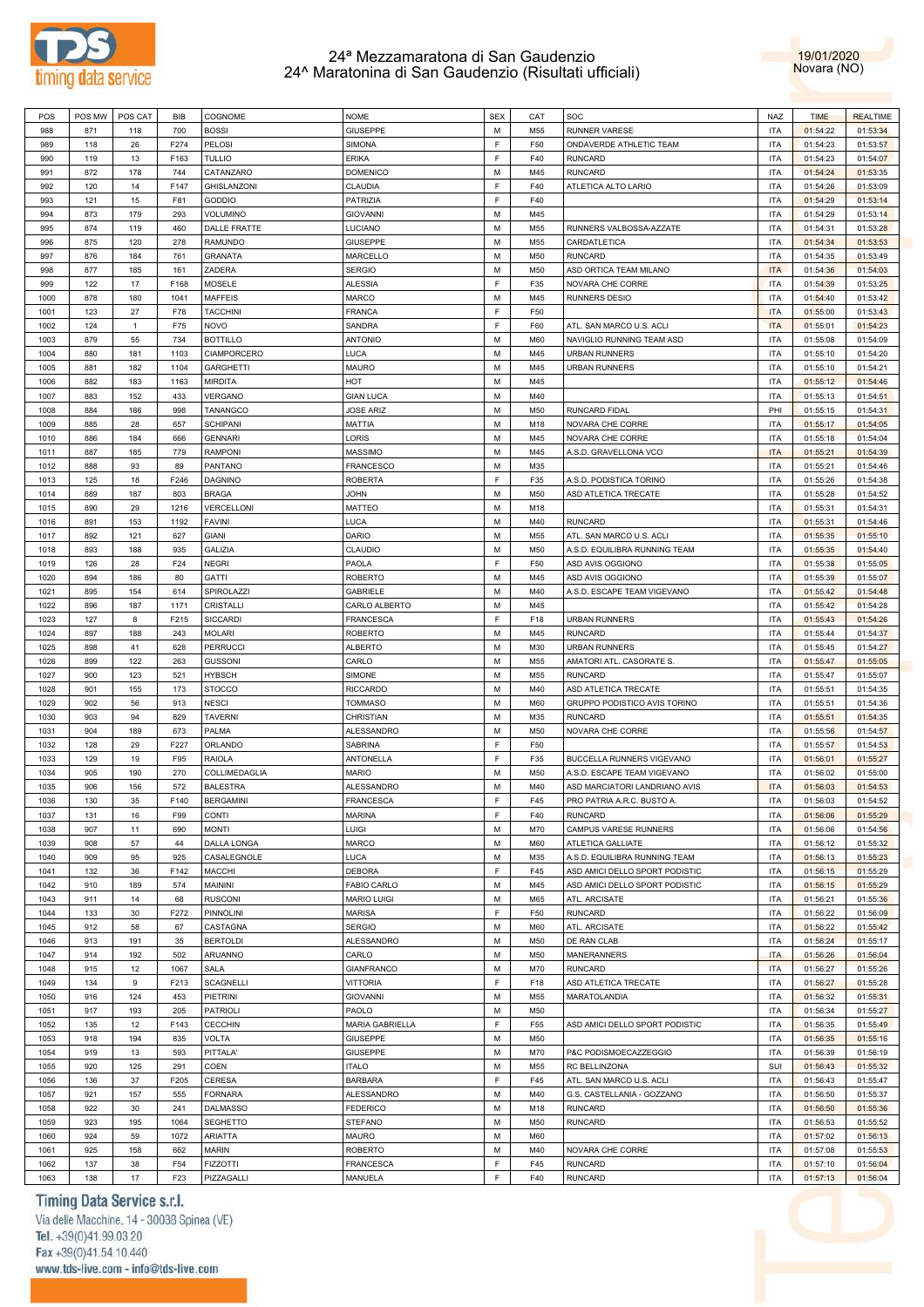



| POS  | POS MW | POS CAT      | <b>BIB</b>      | COGNOME          | <b>NOME</b>        | <b>SEX</b> | CAT | SOC                            | <b>NAZ</b> | <b>TIME</b> | <b>REALTIME</b> |
|------|--------|--------------|-----------------|------------------|--------------------|------------|-----|--------------------------------|------------|-------------|-----------------|
| 988  | 871    | 118          | 700             | <b>BOSSI</b>     | <b>GIUSEPPE</b>    | М          | M55 | <b>RUNNER VARESE</b>           | <b>ITA</b> | 01:54:22    | 01:53:34        |
| 989  | 118    | 26           | F274            | PELOSI           | SIMONA             | F          | F50 | ONDAVERDE ATHLETIC TEAM        | <b>ITA</b> | 01:54:23    | 01:53:57        |
| 990  | 119    | 13           | F163            | <b>TULLIO</b>    | <b>ERIKA</b>       | F          | F40 | <b>RUNCARD</b>                 | <b>ITA</b> | 01:54:23    | 01:54:07        |
| 991  | 872    | 178          | 744             | CATANZARO        | <b>DOMENICO</b>    | М          | M45 | <b>RUNCARD</b>                 | <b>ITA</b> | 01:54:24    | 01:53:35        |
|      |        |              |                 |                  |                    | F          |     |                                |            |             |                 |
| 992  | 120    | 14           | F147            | GHISLANZONI      | CLAUDIA            |            | F40 | ATLETICA ALTO LARIO            | <b>ITA</b> | 01:54:26    | 01:53:09        |
| 993  | 121    | 15           | F81             | GODDIO           | PATRIZIA           | F          | F40 |                                | <b>ITA</b> | 01:54:29    | 01:53:14        |
| 994  | 873    | 179          | 293             | VOLUMINO         | <b>GIOVANNI</b>    | М          | M45 |                                | <b>ITA</b> | 01:54:29    | 01:53:14        |
| 995  | 874    | 119          | 460             | DALLE FRATTE     | LUCIANO            | М          | M55 | RUNNERS VALBOSSA-AZZATE        | <b>ITA</b> | 01:54:31    | 01:53:28        |
| 996  | 875    | 120          | 278             | <b>RAMUNDO</b>   | <b>GIUSEPPE</b>    | М          | M55 | CARDATLETICA                   | <b>ITA</b> | 01:54:34    | 01:53:53        |
| 997  | 876    | 184          | 761             | <b>GRANATA</b>   | MARCELLO           | М          | M50 | <b>RUNCARD</b>                 | <b>ITA</b> | 01:54:35    | 01:53:49        |
| 998  | 877    | 185          | 161             | ZADERA           | <b>SERGIO</b>      | М          | M50 | ASD ORTICA TEAM MILANO         | <b>ITA</b> | 01:54:36    | 01:54:03        |
| 999  | 122    | 17           | F168            | MOSELE           | <b>ALESSIA</b>     | F          | F35 | NOVARA CHE CORRE               | <b>ITA</b> | 01:54:39    | 01:53:25        |
| 1000 | 878    | 180          | 1041            | <b>MAFFEIS</b>   | <b>MARCO</b>       | М          | M45 | <b>RUNNERS DESIO</b>           | <b>ITA</b> | 01:54:40    | 01:53:42        |
| 1001 | 123    | 27           | F78             | <b>TACCHINI</b>  | <b>FRANCA</b>      | F.         | F50 |                                | <b>ITA</b> | 01:55:00    | 01:53:43        |
|      |        |              |                 |                  |                    |            |     |                                |            |             |                 |
| 1002 | 124    | $\mathbf{1}$ | F75             | <b>NOVO</b>      | SANDRA             | F          | F60 | ATL. SAN MARCO U.S. ACLI       | <b>ITA</b> | 01:55:01    | 01:54:23        |
| 1003 | 879    | 55           | 734             | <b>BOTTILLO</b>  | <b>ANTONIO</b>     | М          | M60 | NAVIGLIO RUNNING TEAM ASD      | <b>ITA</b> | 01:55:08    | 01:54:09        |
| 1004 | 880    | 181          | 1103            | CIAMPORCERO      | LUCA               | М          | M45 | <b>URBAN RUNNERS</b>           | <b>ITA</b> | 01:55:10    | 01:54:20        |
| 1005 | 881    | 182          | 1104            | <b>GARGHETTI</b> | MAURO              | М          | M45 | <b>URBAN RUNNERS</b>           | <b>ITA</b> | 01:55:10    | 01:54:21        |
| 1006 | 882    | 183          | 1163            | <b>MIRDITA</b>   | HOT                | М          | M45 |                                | <b>ITA</b> | 01:55:12    | 01:54:46        |
| 1007 | 883    | 152          | 433             | VERGANO          | <b>GIAN LUCA</b>   | М          | M40 |                                | <b>ITA</b> | 01:55:13    | 01:54:51        |
| 1008 | 884    | 186          | 998             | TANANGCO         | <b>JOSE ARIZ</b>   | М          | M50 | RUNCARD FIDAL                  | PHI        | 01:55:15    | 01:54:31        |
| 1009 | 885    | 28           | 657             | SCHIPANI         | MATTIA             | М          | M18 | NOVARA CHE CORRE               | <b>ITA</b> | 01:55:17    | 01:54:05        |
| 1010 | 886    | 184          | 666             | <b>GENNARI</b>   | LORIS              | М          | M45 | NOVARA CHE CORRE               | <b>ITA</b> | 01:55:18    | 01:54:04        |
|      |        |              |                 |                  |                    |            |     |                                |            |             |                 |
| 1011 | 887    | 185          | 779             | <b>RAMPONI</b>   | <b>MASSIMO</b>     | M          | M45 | A.S.D. GRAVELLONA VCO          | <b>ITA</b> | 01:55:21    | 01:54:39        |
| 1012 | 888    | 93           | 89              | PANTANO          | <b>FRANCESCO</b>   | М          | M35 |                                | <b>ITA</b> | 01:55:21    | 01:54:46        |
| 1013 | 125    | 18           | F246            | <b>DAGNINO</b>   | <b>ROBERTA</b>     | F          | F35 | A.S.D. PODISTICA TORINO        | <b>ITA</b> | 01:55:26    | 01:54:38        |
| 1014 | 889    | 187          | 803             | <b>BRAGA</b>     | <b>JOHN</b>        | М          | M50 | ASD ATLETICA TRECATE           | <b>ITA</b> | 01:55:28    | 01:54:52        |
| 1015 | 890    | 29           | 1216            | VERCELLONI       | <b>MATTEO</b>      | М          | M18 |                                | <b>ITA</b> | 01:55:31    | 01:54:31        |
| 1016 | 891    | 153          | 1192            | <b>FAVINI</b>    | LUCA               | М          | M40 | <b>RUNCARD</b>                 | <b>ITA</b> | 01:55:31    | 01:54:46        |
| 1017 | 892    | 121          | 627             | <b>GIANI</b>     | DARIO              | М          | M55 | ATL. SAN MARCO U.S. ACLI       | <b>ITA</b> | 01:55:35    | 01:55:10        |
| 1018 | 893    | 188          | 935             | GALIZIA          | CLAUDIO            | М          | M50 | A.S.D. EQUILIBRA RUNNING TEAM  | <b>ITA</b> | 01:55:35    | 01:54:40        |
| 1019 | 126    | 28           | F24             | <b>NEGRI</b>     | PAOLA              | F          | F50 | ASD AVIS OGGIONO               | <b>ITA</b> | 01:55:38    | 01:55:05        |
|      |        |              |                 |                  |                    |            |     |                                |            |             |                 |
| 1020 | 894    | 186          | 80              | <b>GATTI</b>     | <b>ROBERTO</b>     | М          | M45 | ASD AVIS OGGIONO               | <b>ITA</b> | 01:55:39    | 01:55:07        |
| 1021 | 895    | 154          | 614             | SPIROLAZZI       | <b>GABRIELE</b>    | М          | M40 | A.S.D. ESCAPE TEAM VIGEVANO    | <b>ITA</b> | 01:55:42    | 01:54:48        |
| 1022 | 896    | 187          | 1171            | CRISTALLI        | CARLO ALBERTO      | М          | M45 |                                | <b>ITA</b> | 01:55:42    | 01:54:28        |
| 1023 | 127    | 8            | F215            | <b>SICCARDI</b>  | FRANCESCA          | F          | F18 | <b>URBAN RUNNERS</b>           | <b>ITA</b> | 01:55:43    | 01:54:26        |
| 1024 | 897    | 188          | 243             | <b>MOLARI</b>    | <b>ROBERTO</b>     | М          | M45 | <b>RUNCARD</b>                 | <b>ITA</b> | 01:55:44    | 01:54:37        |
| 1025 | 898    | 41           | 628             | <b>PERRUCCI</b>  | <b>ALBERTO</b>     | M          | M30 | <b>URBAN RUNNERS</b>           | <b>ITA</b> | 01:55:45    | 01:54:27        |
| 1026 | 899    | 122          | 263             | <b>GUSSONI</b>   | CARLO              | М          | M55 | AMATORI ATL. CASORATE S.       | <b>ITA</b> | 01:55:47    | 01:55:05        |
| 1027 | 900    | 123          | 521             | <b>HYBSCH</b>    | SIMONE             | М          | M55 | <b>RUNCARD</b>                 | <b>ITA</b> | 01:55:47    | 01:55:07        |
| 1028 | 901    | 155          | 173             | <b>STOCCO</b>    | <b>RICCARDO</b>    | М          | M40 | ASD ATLETICA TRECATE           | <b>ITA</b> | 01:55:51    | 01:54:35        |
| 1029 | 902    | 56           | 913             | <b>NESCI</b>     | <b>TOMMASO</b>     | М          | M60 | GRUPPO PODISTICO AVIS TORINO   | <b>ITA</b> | 01:55:51    | 01:54:36        |
|      |        |              |                 |                  |                    |            |     | <b>RUNCARD</b>                 |            |             |                 |
| 1030 | 903    | 94           | 829             | <b>TAVERNI</b>   | CHRISTIAN          | М          | M35 |                                | <b>ITA</b> | 01:55:51    | 01:54:35        |
| 1031 | 904    | 189          | 673             | PALMA            | ALESSANDRO         | М          | M50 | NOVARA CHE CORRE               | <b>ITA</b> | 01:55:56    | 01:54:57        |
| 1032 | 128    | 29           | F227            | ORLANDO          | SABRINA            | F          | F50 |                                | <b>ITA</b> | 01:55:57    | 01:54:53        |
| 1033 | 129    | 19           | F95             | <b>RAIOLA</b>    | ANTONELLA          | F          | F35 | BUCCELLA RUNNERS VIGEVANO      | <b>ITA</b> | 01:56:01    | 01:55:27        |
| 1034 | 905    | 190          | 270             | COLLIMEDAGLIA    | <b>MARIO</b>       | М          | M50 | A.S.D. ESCAPE TEAM VIGEVANO    | <b>ITA</b> | 01:56:02    | 01:55:00        |
| 1035 | 906    | 156          | 572             | <b>BALESTRA</b>  | ALESSANDRO         | М          | M40 | ASD MARCIATORI LANDRIANO AVIS  | <b>ITA</b> | 01:56:03    | 01:54:53        |
| 1036 | 130    | 35           | F140            | <b>BERGAMINI</b> | FRANCESCA          | F.         | F45 | PRO PATRIA A.R.C. BUSTO A      | <b>ITA</b> | 01:56:03    | 01:54:52        |
| 1037 | 131    | 16           | F99             | CONTI            | <b>MARINA</b>      | F          | F40 | <b>RUNCARD</b>                 | <b>ITA</b> | 01:56:06    | 01:55:29        |
| 1038 | 907    | 11           | 690             | <b>MONTI</b>     | LUIGI              | М          | M70 | CAMPUS VARESE RUNNERS          | <b>ITA</b> | 01:56:06    | 01:54:56        |
| 1039 | 908    | 57           |                 | DALLA LONGA      | MARCO              | М          | M60 | ATLETICA GALLIATE              | <b>ITA</b> | 01:56:12    | 01:55:32        |
|      |        |              | 44              |                  |                    |            |     |                                |            |             |                 |
| 1040 | 909    | 95           | 925             | CASALEGNOLE      | LUCA               | М          | M35 | A.S.D. EQUILIBRA RUNNING TEAM  | <b>ITA</b> | 01:56:13    | 01:55:23        |
| 1041 | 132    | 36           | F142            | <b>MACCHI</b>    | <b>DEBORA</b>      | F          | F45 | ASD AMICI DELLO SPORT PODISTIC | <b>ITA</b> | 01:56:15    | 01:55:29        |
| 1042 | 910    | 189          | 574             | MAININI          | <b>FABIO CARLO</b> | М          | M45 | ASD AMICI DELLO SPORT PODISTIC | <b>ITA</b> | 01:56:15    | 01:55:29        |
| 1043 | 911    | 14           | 68              | <b>RUSCONI</b>   | <b>MARIO LUIGI</b> | М          | M65 | ATL. ARCISATE                  | <b>ITA</b> | 01:56:21    | 01:55:36        |
| 1044 | 133    | 30           | F272            | PINNOLINI        | <b>MARISA</b>      | F          | F50 | <b>RUNCARD</b>                 | <b>ITA</b> | 01:56:22    | 01:56:09        |
| 1045 | 912    | 58           | 67              | CASTAGNA         | <b>SERGIO</b>      | М          | M60 | ATL. ARCISATE                  | <b>ITA</b> | 01:56:22    | 01:55:42        |
| 1046 | 913    | 191          | 35              | <b>BERTOLDI</b>  | ALESSANDRO         | М          | M50 | DE RAN CLAB                    | <b>ITA</b> | 01:56:24    | 01:55:17        |
| 1047 | 914    | 192          | 502             | ARUANNO          | CARLO              | М          | M50 | <b>MANERANNERS</b>             | <b>ITA</b> | 01:56:26    | 01:56:04        |
| 1048 | 915    | 12           | 1067            | SALA             | <b>GIANFRANCO</b>  | М          | M70 | <b>RUNCARD</b>                 | <b>ITA</b> | 01:56:27    | 01:55:26        |
|      |        |              |                 | <b>SCAGNELLI</b> |                    | E          |     | ASD ATLETICA TRECATE           |            |             |                 |
| 1049 | 134    | 9            | F213            |                  | <b>VITTORIA</b>    |            | F18 |                                | <b>ITA</b> | 01:56:27    | 01:55:28        |
| 1050 | 916    | 124          | 453             | PIETRINI         | <b>GIOVANNI</b>    | М          | M55 | MARATOLANDIA                   | <b>ITA</b> | 01:56:32    | 01:55:31        |
| 1051 | 917    | 193          | 205             | PATRIOLI         | PAOLO              | М          | M50 |                                | <b>ITA</b> | 01:56:34    | 01:55:27        |
| 1052 | 135    | 12           | F143            | CECCHIN          | MARIA GABRIELLA    | F          | F55 | ASD AMICI DELLO SPORT PODISTIC | <b>ITA</b> | 01:56:35    | 01:55:49        |
| 1053 | 918    | 194          | 835             | <b>VOLTA</b>     | <b>GIUSEPPE</b>    | М          | M50 |                                | <b>ITA</b> | 01:56:35    | 01:55:16        |
| 1054 | 919    | 13           | 593             | PITTALA'         | <b>GIUSEPPE</b>    | М          | M70 | P&C PODISMOECAZZEGGIO          | <b>ITA</b> | 01:56:39    | 01:56:19        |
| 1055 | 920    | 125          | 291             | COEN             | <b>ITALO</b>       | М          | M55 | RC BELLINZONA                  | SUI        | 01:56:43    | 01:55:32        |
| 1056 | 136    | 37           | F205            | CERESA           | <b>BARBARA</b>     | F          | F45 | ATL. SAN MARCO U.S. ACLI       | <b>ITA</b> | 01:56:43    | 01:55:47        |
| 1057 |        | 157          |                 | <b>FORNARA</b>   | ALESSANDRO         | М          | M40 | G.S. CASTELLANIA - GOZZANO     | <b>ITA</b> | 01:56:50    | 01:55:37        |
|      | 921    |              | 555             |                  |                    |            |     |                                |            |             |                 |
| 1058 | 922    | 30           | 241             | <b>DALMASSO</b>  | <b>FEDERICO</b>    | М          | M18 | <b>RUNCARD</b>                 | <b>ITA</b> | 01:56:50    | 01:55:36        |
| 1059 | 923    | 195          | 1064            | SEGHETTO         | <b>STEFANO</b>     | М          | M50 | <b>RUNCARD</b>                 | <b>ITA</b> | 01:56:53    | 01:55:52        |
| 1060 | 924    | 59           | 1072            | <b>ARIATTA</b>   | <b>MAURO</b>       | М          | M60 |                                | <b>ITA</b> | 01:57:02    | 01:56:13        |
| 1061 | 925    | 158          | 662             | <b>MARIN</b>     | <b>ROBERTO</b>     | М          | M40 | NOVARA CHE CORRE               | <b>ITA</b> | 01:57:08    | 01:55:53        |
| 1062 | 137    | 38           | F54             | <b>FIZZOTTI</b>  | <b>FRANCESCA</b>   | F          | F45 | <b>RUNCARD</b>                 | <b>ITA</b> | 01:57:10    | 01:56:04        |
| 1063 | 138    | 17           | F <sub>23</sub> | PIZZAGALLI       | MANUELA            | F          | F40 | <b>RUNCARD</b>                 | <b>ITA</b> | 01:57:13    | 01:56:04        |
|      |        |              |                 |                  |                    |            |     |                                |            |             |                 |

### Timing Data Service s.r.l.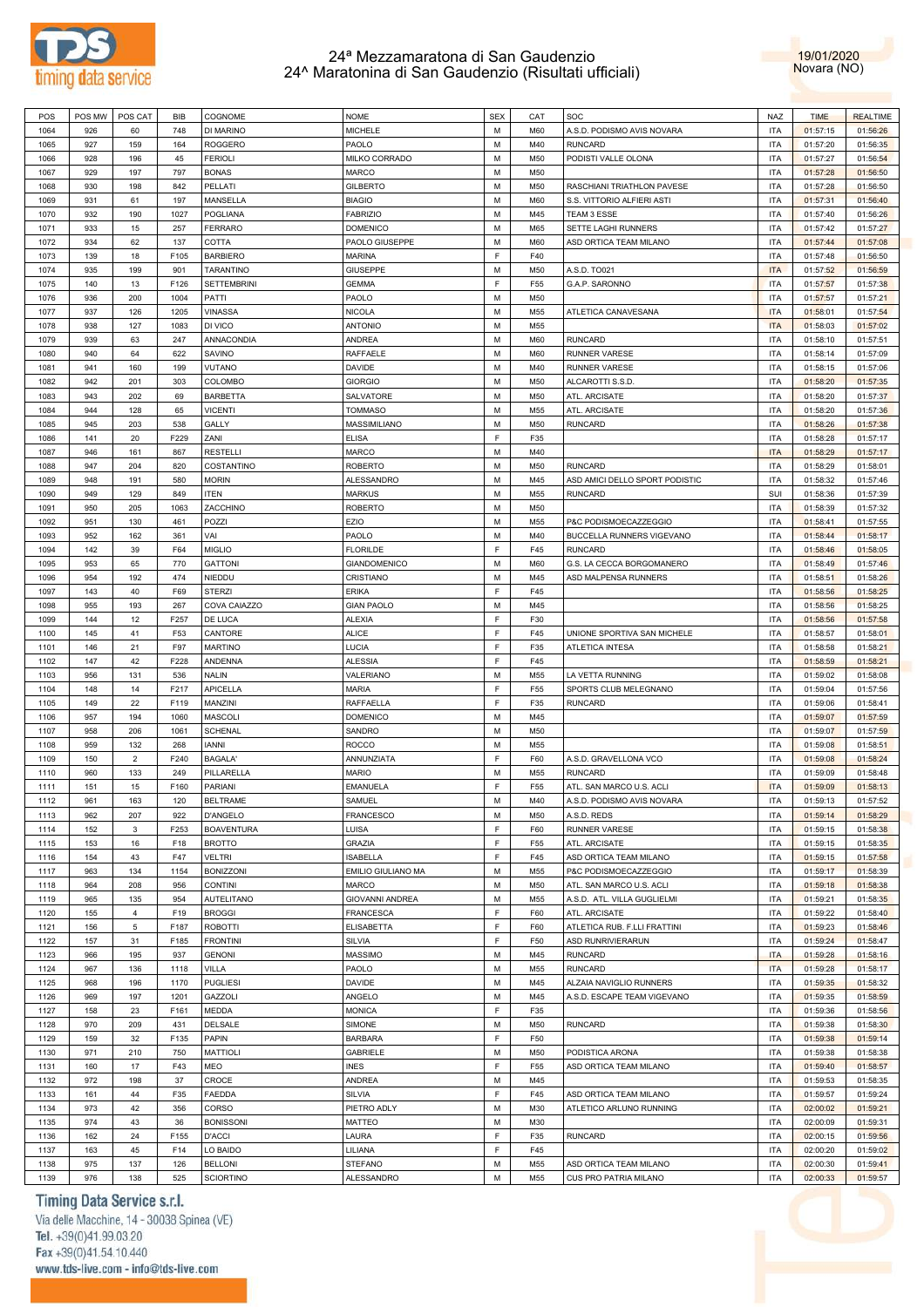



| POS  | POS MW | POS CAT        | <b>BIB</b> | COGNOME            | <b>NOME</b>            | <b>SEX</b> | CAT             | SOC                            | <b>NAZ</b> | <b>TIME</b> | <b>REALTIME</b> |
|------|--------|----------------|------------|--------------------|------------------------|------------|-----------------|--------------------------------|------------|-------------|-----------------|
| 1064 | 926    | 60             | 748        | DI MARINO          | <b>MICHELE</b>         | M          | M60             | A.S.D. PODISMO AVIS NOVARA     | <b>ITA</b> | 01:57:15    | 01:56:26        |
|      |        |                |            |                    |                        | M          |                 |                                |            |             |                 |
| 1065 | 927    | 159            | 164        | <b>ROGGERO</b>     | PAOLO                  |            | M40             | <b>RUNCARD</b>                 | <b>ITA</b> | 01:57:20    | 01:56:35        |
| 1066 | 928    | 196            | 45         | <b>FERIOLI</b>     | MILKO CORRADO          | М          | M50             | PODISTI VALLE OLONA            | <b>ITA</b> | 01:57:27    | 01:56:54        |
| 1067 | 929    | 197            | 797        | <b>BONAS</b>       | MARCO                  | М          | M50             |                                | <b>ITA</b> | 01:57:28    | 01:56:50        |
| 1068 | 930    | 198            | 842        | PELLATI            | <b>GILBERTO</b>        | М          | M50             | RASCHIANI TRIATHLON PAVESE     | <b>ITA</b> | 01:57:28    | 01:56:50        |
| 1069 | 931    | 61             | 197        | MANSELLA           | <b>BIAGIO</b>          | М          | M60             | S.S. VITTORIO ALFIERI ASTI     | <b>ITA</b> | 01:57:31    | 01:56:40        |
|      |        |                |            |                    |                        |            |                 |                                |            |             |                 |
| 1070 | 932    | 190            | 1027       | POGLIANA           | <b>FABRIZIO</b>        | М          | M45             | TEAM 3 ESSE                    | <b>ITA</b> | 01:57:40    | 01:56:26        |
| 1071 | 933    | 15             | 257        | <b>FERRARO</b>     | <b>DOMENICO</b>        | М          | M65             | SETTE LAGHI RUNNERS            | <b>ITA</b> | 01:57:42    | 01:57:27        |
| 1072 | 934    | 62             | 137        | COTTA              | PAOLO GIUSEPPE         | М          | M60             | ASD ORTICA TEAM MILANO         | <b>ITA</b> | 01:57:44    | 01:57:08        |
| 1073 | 139    | 18             | F105       | <b>BARBIERO</b>    | <b>MARINA</b>          | E          | F40             |                                | <b>ITA</b> | 01:57:48    | 01:56:50        |
| 1074 | 935    | 199            | 901        | <b>TARANTINO</b>   | <b>GIUSEPPE</b>        | М          | M50             | A.S.D. TO021                   | <b>ITA</b> | 01:57:52    | 01:56:59        |
|      |        |                |            |                    |                        |            |                 |                                |            |             |                 |
| 1075 | 140    | 13             | F126       | <b>SETTEMBRINI</b> | <b>GEMMA</b>           | E          | F <sub>55</sub> | G.A.P. SARONNO                 | <b>ITA</b> | 01:57:57    | 01:57:38        |
| 1076 | 936    | 200            | 1004       | PATTI              | PAOLO                  | М          | M50             |                                | <b>ITA</b> | 01:57:57    | 01:57:21        |
| 1077 | 937    | 126            | 1205       | <b>VINASSA</b>     | <b>NICOLA</b>          | М          | M55             | ATLETICA CANAVESANA            | <b>ITA</b> | 01:58:01    | 01:57:54        |
| 1078 | 938    | 127            | 1083       | DI VICO            | <b>ANTONIO</b>         | М          | M55             |                                | <b>ITA</b> | 01:58:03    | 01:57:02        |
| 1079 | 939    | 63             | 247        | ANNACONDIA         | <b>ANDREA</b>          | М          | M60             | <b>RUNCARD</b>                 | <b>ITA</b> | 01:58:10    | 01:57:51        |
|      |        |                |            |                    |                        |            |                 |                                |            |             |                 |
| 1080 | 940    | 64             | 622        | SAVINO             | RAFFAELE               | М          | M60             | <b>RUNNER VARESE</b>           | <b>ITA</b> | 01:58:14    | 01:57:09        |
| 1081 | 941    | 160            | 199        | VUTANO             | <b>DAVIDE</b>          | M          | M40             | <b>RUNNER VARESE</b>           | <b>ITA</b> | 01:58:15    | 01:57:06        |
| 1082 | 942    | 201            | 303        | COLOMBO            | <b>GIORGIO</b>         | М          | M50             | ALCAROTTI S.S.D                | <b>ITA</b> | 01:58:20    | 01:57:35        |
| 1083 | 943    | 202            | 69         | <b>BARBETTA</b>    | SALVATORE              | M          | M50             | ATL. ARCISATE                  | <b>ITA</b> | 01:58:20    | 01:57:37        |
| 1084 | 944    | 128            | 65         | <b>VICENTI</b>     | <b>TOMMASO</b>         | М          | M55             | ATL. ARCISATE                  | <b>ITA</b> | 01:58:20    | 01:57:36        |
|      |        |                |            |                    |                        |            |                 |                                |            |             |                 |
| 1085 | 945    | 203            | 538        | GALLY              | MASSIMILIANO           | М          | M50             | <b>RUNCARD</b>                 | <b>ITA</b> | 01:58:26    | 01:57:38        |
| 1086 | 141    | 20             | F229       | ZANI               | <b>ELISA</b>           | E          | F35             |                                | <b>ITA</b> | 01:58:28    | 01:57:17        |
| 1087 | 946    | 161            | 867        | RESTELLI           | <b>MARCO</b>           | М          | M40             |                                | <b>ITA</b> | 01:58:29    | 01:57:17        |
| 1088 | 947    | 204            | 820        | COSTANTINO         | <b>ROBERTO</b>         | М          | M50             | <b>RUNCARD</b>                 | <b>ITA</b> | 01:58:29    | 01:58:01        |
| 1089 | 948    | 191            | 580        | <b>MORIN</b>       | <b>ALESSANDRO</b>      | M          | M45             |                                | <b>ITA</b> | 01:58:32    |                 |
|      |        |                |            |                    |                        |            |                 | ASD AMICI DELLO SPORT PODISTIC |            |             | 01:57:46        |
| 1090 | 949    | 129            | 849        | ITEN               | <b>MARKUS</b>          | M          | M55             | <b>RUNCARD</b>                 | SUI        | 01:58:36    | 01:57:39        |
| 1091 | 950    | 205            | 1063       | ZACCHINO           | <b>ROBERTO</b>         | M          | M50             |                                | <b>ITA</b> | 01:58:39    | 01:57:32        |
| 1092 | 951    | 130            | 461        | POZZI              | EZIO                   | М          | M55             | P&C PODISMOECAZZEGGIO          | <b>ITA</b> | 01:58:41    | 01:57:55        |
| 1093 | 952    | 162            | 361        | VAI                | PAOLO                  | М          | M40             | BUCCELLA RUNNERS VIGEVANO      | <b>ITA</b> | 01:58:44    | 01:58:17        |
|      |        |                |            |                    | <b>FLORILDE</b>        | E          |                 |                                |            |             |                 |
| 1094 | 142    | 39             | F64        | MIGLIO             |                        |            | F45             | <b>RUNCARD</b>                 | <b>ITA</b> | 01:58:46    | 01:58:05        |
| 1095 | 953    | 65             | 770        | <b>GATTONI</b>     | <b>GIANDOMENICO</b>    | М          | M60             | G.S. LA CECCA BORGOMANERO      | <b>ITA</b> | 01:58:49    | 01:57:46        |
| 1096 | 954    | 192            | 474        | NIEDDU             | CRISTIANO              | М          | M45             | ASD MALPENSA RUNNERS           | <b>ITA</b> | 01:58:51    | 01:58:26        |
| 1097 | 143    | 40             | F69        | <b>STERZI</b>      | <b>ERIKA</b>           | E          | F45             |                                | <b>ITA</b> | 01:58:56    | 01:58:25        |
| 1098 | 955    | 193            | 267        | COVA CAIAZZO       | <b>GIAN PAOLO</b>      | М          | M45             |                                | <b>ITA</b> | 01:58:56    | 01:58:25        |
|      |        |                |            |                    |                        | E          |                 |                                |            |             |                 |
| 1099 | 144    | 12             | F257       | DE LUCA            | <b>ALEXIA</b>          |            | F30             |                                | <b>ITA</b> | 01:58:56    | 01:57:58        |
| 1100 | 145    | 41             | F53        | CANTORE            | <b>ALICE</b>           | E          | F45             | UNIONE SPORTIVA SAN MICHELE    | <b>ITA</b> | 01:58:57    | 01:58:01        |
| 1101 | 146    | 21             | F97        | <b>MARTINO</b>     | LUCIA                  | E          | F35             | <b>ATLETICA INTESA</b>         | <b>ITA</b> | 01:58:58    | 01:58:21        |
| 1102 | 147    | 42             | F228       | ANDENNA            | <b>ALESSIA</b>         | F.         | F45             |                                | <b>ITA</b> | 01:58:59    | 01:58:21        |
| 1103 | 956    | 131            | 536        | <b>NALIN</b>       | VALERIANO              | М          | M55             | LA VETTA RUNNING               | <b>ITA</b> | 01:59:02    | 01:58:08        |
| 1104 | 148    | 14             | F217       | <b>APICELLA</b>    | <b>MARIA</b>           | E          | F <sub>55</sub> | SPORTS CLUB MELEGNANO          | <b>ITA</b> | 01:59:04    | 01:57:56        |
|      |        |                |            |                    |                        |            |                 |                                |            |             |                 |
| 1105 | 149    | 22             | F119       | MANZINI            | RAFFAELLA              | E          | F35             | <b>RUNCARD</b>                 | <b>ITA</b> | 01:59:06    | 01:58:41        |
| 1106 | 957    | 194            | 1060       | <b>MASCOLI</b>     | <b>DOMENICO</b>        | М          | M45             |                                | <b>ITA</b> | 01:59:07    | 01:57:59        |
| 1107 | 958    | 206            | 1061       | <b>SCHENAL</b>     | SANDRO                 | M          | M50             |                                | <b>ITA</b> | 01:59:07    | 01:57:59        |
| 1108 | 959    | 132            | 268        | <b>IANNI</b>       | <b>ROCCO</b>           | М          | M55             |                                | <b>ITA</b> | 01:59:08    | 01:58:51        |
| 1109 | 150    | $\overline{2}$ | F240       | <b>BAGALA'</b>     | ANNUNZIATA             | F          | F60             | A.S.D. GRAVELLONA VCO          | <b>ITA</b> | 01:59:08    | 01:58:24        |
|      |        |                |            |                    |                        |            |                 |                                |            |             |                 |
| 1110 | 960    | 133            | 249        | PILLARELLA         | <b>MARIO</b>           | М          | M55             | <b>RUNCARD</b>                 | <b>ITA</b> | 01:59:09    | 01:58:48        |
| 1111 | 151    | 15             | F160       | PARIANI            | EMANUELA               | E          | F55             | ATL. SAN MARCO U.S. ACLI       | <b>ITA</b> | 01:59:09    | 01:58:13        |
| 1112 | 961    | 163            | 120        | <b>BELTRAME</b>    | SAMUEL                 | M          | M40             | A.S.D. PODISMO AVIS NOVARA     | <b>ITA</b> | 01:59:13    | 01:57:52        |
| 1113 | 962    | 207            | 922        | D'ANGELO           | FRANCESCO              | М          | M50             | A.S.D. REDS                    | <b>ITA</b> | 01:59:14    | 01:58:29        |
|      |        |                |            |                    |                        | E          |                 |                                |            |             |                 |
| 1114 | 152    | 3              | F253       | <b>BOAVENTURA</b>  | LUISA                  |            | F60             | RUNNER VARESE                  | <b>ITA</b> | 01:59:15    | 01:58:38        |
| 1115 | 153    | 16             | F18        | <b>BROTTO</b>      | <b>GRAZIA</b>          | E          | F <sub>55</sub> | ATL. ARCISATE                  | <b>ITA</b> | 01:59:15    | 01:58:35        |
| 1116 | 154    | 43             | F47        | VELTRI             | <b>ISABELLA</b>        | F.         | F45             | ASD ORTICA TEAM MILANO         | <b>ITA</b> | 01:59:15    | 01:57:58        |
| 1117 | 963    | 134            | 1154       | <b>BONIZZONI</b>   | EMILIO GIULIANO MA     | М          | M55             | P&C PODISMOECAZZEGGIO          | <b>ITA</b> | 01:59:17    | 01:58:39        |
| 1118 | 964    | 208            | 956        | <b>CONTINI</b>     | MARCO                  | М          | M50             | ATL. SAN MARCO U.S. ACLI       | <b>ITA</b> | 01:59:18    | 01:58:38        |
|      |        |                |            |                    | <b>GIOVANNI ANDREA</b> |            |                 |                                |            |             |                 |
| 1119 | 965    | 135            | 954        | <b>AUTELITANO</b>  |                        | М          | M55             | A.S.D. ATL. VILLA GUGLIELMI    | <b>ITA</b> | 01:59:21    | 01:58:35        |
| 1120 | 155    | $\overline{4}$ | F19        | <b>BROGGI</b>      | <b>FRANCESCA</b>       | E          | F60             | ATL. ARCISATE                  | <b>ITA</b> | 01:59:22    | 01:58:40        |
| 1121 | 156    | 5              | F187       | <b>ROBOTTI</b>     | <b>ELISABETTA</b>      | E          | F60             | ATLETICA RUB. F.LLI FRATTINI   | <b>ITA</b> | 01:59:23    | 01:58:46        |
| 1122 | 157    | 31             | F185       | <b>FRONTINI</b>    | SILVIA                 | E          | F50             | ASD RUNRIVIERARUN              | <b>ITA</b> | 01:59:24    | 01:58:47        |
| 1123 | 966    | 195            | 937        | <b>GENONI</b>      | MASSIMO                | M          | M45             | <b>RUNCARD</b>                 | <b>ITA</b> |             | 01:58:16        |
|      |        |                |            |                    |                        |            |                 |                                |            | 01:59:28    |                 |
| 1124 | 967    | 136            | 1118       | VILLA              | PAOLO                  | M          | M55             | <b>RUNCARD</b>                 | <b>ITA</b> | 01:59:28    | 01:58:17        |
| 1125 | 968    | 196            | 1170       | <b>PUGLIESI</b>    | DAVIDE                 | M          | M45             | ALZAIA NAVIGLIO RUNNERS        | <b>ITA</b> | 01:59:35    | 01:58:32        |
| 1126 | 969    | 197            | 1201       | <b>GAZZOLI</b>     | ANGELO                 | М          | M45             | A.S.D. ESCAPE TEAM VIGEVANO    | <b>ITA</b> | 01:59:35    | 01:58:59        |
| 1127 | 158    | 23             | F161       | MEDDA              | <b>MONICA</b>          | E          | F35             |                                | <b>ITA</b> | 01:59:36    | 01:58:56        |
|      |        |                |            |                    |                        |            |                 |                                |            |             |                 |
| 1128 | 970    | 209            | 431        | <b>DELSALE</b>     | SIMONE                 | М          | M50             | <b>RUNCARD</b>                 | <b>ITA</b> | 01:59:38    | 01:58:30        |
| 1129 | 159    | 32             | F135       | PAPIN              | <b>BARBARA</b>         | E          | F50             |                                | <b>ITA</b> | 01:59:38    | 01:59:14        |
| 1130 | 971    | 210            | 750        | <b>MATTIOLI</b>    | <b>GABRIELE</b>        | М          | M50             | PODISTICA ARONA                | <b>ITA</b> | 01:59:38    | 01:58:38        |
| 1131 | 160    | 17             | F43        | MEO                | <b>INES</b>            | E          | F <sub>55</sub> | ASD ORTICA TEAM MILANO         | <b>ITA</b> | 01:59:40    | 01:58:57        |
|      |        |                |            |                    |                        |            |                 |                                |            |             |                 |
| 1132 | 972    | 198            | 37         | CROCE              | <b>ANDREA</b>          | М          | M45             |                                | <b>ITA</b> | 01:59:53    | 01:58:35        |
| 1133 | 161    | 44             | F35        | <b>FAEDDA</b>      | SILVIA                 | E          | F45             | ASD ORTICA TEAM MILANO         | <b>ITA</b> | 01:59:57    | 01:59:24        |
| 1134 | 973    | 42             | 356        | CORSO              | PIETRO ADLY            | М          | M30             | ATLETICO ARLUNO RUNNING        | <b>ITA</b> | 02:00:02    | 01:59:21        |
| 1135 | 974    | 43             | 36         | <b>BONISSONI</b>   | <b>MATTEO</b>          | M          | M30             |                                | <b>ITA</b> | 02:00:09    | 01:59:31        |
|      |        |                |            |                    |                        | E          |                 |                                |            |             |                 |
| 1136 | 162    | 24             | F155       | <b>D'ACCI</b>      | LAURA                  |            | F35             | <b>RUNCARD</b>                 | <b>ITA</b> | 02:00:15    | 01:59:56        |
| 1137 | 163    | 45             | F14        | LO BAIDO           | LILIANA                | E          | F45             |                                | <b>ITA</b> | 02:00:20    | 01:59:02        |
| 1138 | 975    | 137            | 126        | <b>BELLONI</b>     | STEFANO                | М          | M55             | ASD ORTICA TEAM MILANO         | <b>ITA</b> | 02:00:30    | 01:59:41        |
| 1139 | 976    | 138            | 525        | <b>SCIORTINO</b>   | ALESSANDRO             | М          | M55             | CUS PRO PATRIA MILANO          | <b>ITA</b> | 02:00:33    | 01:59:57        |
|      |        |                |            |                    |                        |            |                 |                                |            |             |                 |

### Timing Data Service s.r.l.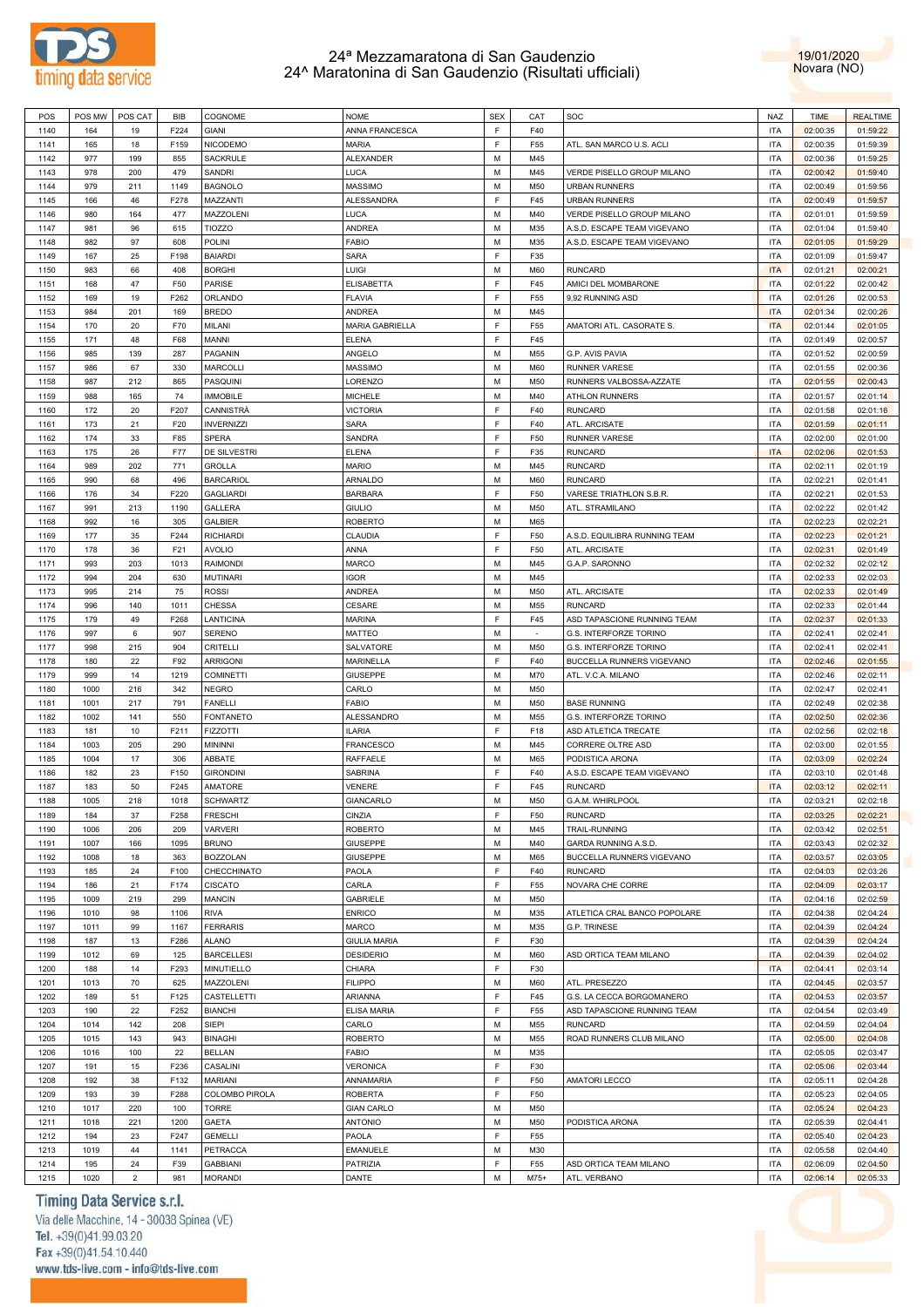



| POS  | POS MW | POS CAT        | BIB  | COGNOME           | <b>NOME</b>         | <b>SEX</b> | CAT    | <b>SOC</b>                    | <b>NAZ</b> | <b>TIME</b> | <b>REALTIME</b> |
|------|--------|----------------|------|-------------------|---------------------|------------|--------|-------------------------------|------------|-------------|-----------------|
|      |        |                |      |                   |                     |            |        |                               |            |             |                 |
| 1140 | 164    | 19             | F224 | <b>GIANI</b>      | ANNA FRANCESCA      | E          | F40    |                               | <b>ITA</b> | 02:00:35    | 01:59:22        |
| 1141 | 165    | 18             | F159 | NICODEMO          | <b>MARIA</b>        | E          | F55    | ATL. SAN MARCO U.S. ACLI      | <b>ITA</b> | 02:00:35    | 01:59:39        |
| 1142 | 977    | 199            | 855  | SACKRULE          | <b>ALEXANDER</b>    | M          | M45    |                               | <b>ITA</b> | 02:00:36    | 01:59:25        |
|      |        |                |      |                   |                     |            |        |                               |            |             |                 |
| 1143 | 978    | 200            | 479  | SANDRI            | LUCA                | M          | M45    | VERDE PISELLO GROUP MILANO    | <b>ITA</b> | 02:00:42    | 01:59:40        |
| 1144 | 979    | 211            | 1149 | <b>BAGNOLO</b>    | MASSIMO             | M          | M50    | <b>URBAN RUNNERS</b>          | <b>ITA</b> | 02:00:49    | 01:59:56        |
| 1145 | 166    | 46             | F278 | MAZZANTI          | ALESSANDRA          | E          | F45    | <b>URBAN RUNNERS</b>          | <b>ITA</b> | 02:00:49    | 01:59:57        |
| 1146 | 980    | 164            | 477  | MAZZOLENI         | LUCA                | M          | M40    | VERDE PISELLO GROUP MILANO    | <b>ITA</b> | 02:01:01    | 01:59:59        |
|      |        |                |      |                   |                     |            |        |                               |            |             |                 |
| 1147 | 981    | 96             | 615  | <b>TIOZZO</b>     | ANDREA              | M          | M35    | A.S.D. ESCAPE TEAM VIGEVANO   | <b>ITA</b> | 02:01:04    | 01:59:40        |
| 1148 | 982    | 97             | 608  | POLINI            | <b>FABIO</b>        | M          | M35    | A.S.D. ESCAPE TEAM VIGEVANO   | <b>ITA</b> | 02:01:05    | 01:59:29        |
| 1149 | 167    | 25             | F198 | <b>BAIARDI</b>    | SARA                | E          | F35    |                               | <b>ITA</b> | 02:01:09    | 01:59:47        |
| 1150 | 983    | 66             | 408  | <b>BORGHI</b>     | LUIGI               | M          | M60    | <b>RUNCARD</b>                | <b>ITA</b> | 02:01:21    | 02:00:21        |
|      |        |                |      |                   |                     |            |        |                               |            |             |                 |
| 1151 | 168    | 47             | F50  | PARISE            | ELISABETTA          | E          | F45    | AMICI DEL MOMBARONE           | <b>ITA</b> | 02:01:22    | 02:00:42        |
| 1152 | 169    | 19             | F262 | ORLANDO           | <b>FLAVIA</b>       | E          | F55    | 9,92 RUNNING ASD              | <b>ITA</b> | 02:01:26    | 02:00:53        |
| 1153 | 984    | 201            | 169  | <b>BREDO</b>      | ANDREA              | M          | M45    |                               | <b>ITA</b> | 02:01:34    | 02:00:26        |
| 1154 | 170    | 20             | F70  | MILANI            | MARIA GABRIELLA     | F          | F55    | AMATORI ATL. CASORATE S.      | <b>ITA</b> | 02:01:44    | 02:01:05        |
|      |        |                |      |                   |                     |            |        |                               |            |             |                 |
| 1155 | 171    | 48             | F68  | MANNI             | <b>ELENA</b>        | E          | F45    |                               | <b>ITA</b> | 02:01:49    | 02:00:57        |
| 1156 | 985    | 139            | 287  | PAGANIN           | ANGELO              | M          | M55    | G.P. AVIS PAVIA               | <b>ITA</b> | 02:01:52    | 02:00:59        |
| 1157 | 986    | 67             | 330  | <b>MARCOLLI</b>   | <b>MASSIMO</b>      | M          | M60    | <b>RUNNER VARESE</b>          | <b>ITA</b> | 02:01:55    | 02:00:36        |
| 1158 | 987    | 212            | 865  | PASQUINI          | LORENZO             | M          | M50    | RUNNERS VALBOSSA-AZZATE       | <b>ITA</b> | 02:01:55    | 02:00:43        |
|      |        |                |      |                   |                     |            |        |                               |            |             |                 |
| 1159 | 988    | 165            | 74   | <b>IMMOBILE</b>   | <b>MICHELE</b>      | M          | M40    | <b>ATHLON RUNNERS</b>         | <b>ITA</b> | 02:01:57    | 02:01:14        |
| 1160 | 172    | 20             | F207 | CANNISTRÀ         | <b>VICTORIA</b>     | E          | F40    | <b>RUNCARD</b>                | <b>ITA</b> | 02:01:58    | 02:01:16        |
| 1161 | 173    | 21             | F20  | <b>INVERNIZZI</b> | SARA                | F          | F40    | ATL. ARCISATE                 | <b>ITA</b> | 02:01:59    | 02:01:11        |
| 1162 | 174    | 33             | F85  | SPERA             | SANDRA              | F          | F50    | <b>RUNNER VARESE</b>          | <b>ITA</b> | 02:02:00    | 02:01:00        |
|      |        |                |      |                   |                     |            |        |                               |            |             |                 |
| 1163 | 175    | 26             | F77  | DE SILVESTRI      | <b>ELENA</b>        | E          | F35    | <b>RUNCARD</b>                | <b>ITA</b> | 02:02:06    | 02:01:53        |
| 1164 | 989    | 202            | 771  | <b>GROLLA</b>     | <b>MARIO</b>        | M          | M45    | <b>RUNCARD</b>                | <b>ITA</b> | 02:02:11    | 02:01:19        |
| 1165 | 990    | 68             | 496  | <b>BARCARIOL</b>  | ARNALDO             | M          | M60    | <b>RUNCARD</b>                | <b>ITA</b> | 02:02:21    | 02:01:41        |
|      |        |                |      |                   |                     |            |        |                               |            |             |                 |
| 1166 | 176    | 34             | F220 | <b>GAGLIARDI</b>  | <b>BARBARA</b>      | E          | F50    | VARESE TRIATHLON S.B.R.       | <b>ITA</b> | 02:02:21    | 02:01:53        |
| 1167 | 991    | 213            | 1190 | GALLERA           | <b>GIULIO</b>       | M          | M50    | ATL. STRAMILANO               | <b>ITA</b> | 02:02:22    | 02:01:42        |
| 1168 | 992    | 16             | 305  | <b>GALBIER</b>    | <b>ROBERTO</b>      | М          | M65    |                               | <b>ITA</b> | 02:02:23    | 02:02:21        |
| 1169 | 177    | 35             | F244 | <b>RICHIARDI</b>  | CLAUDIA             | E          | F50    | A.S.D. EQUILIBRA RUNNING TEAM | <b>ITA</b> | 02:02:23    | 02:01:21        |
|      |        |                |      |                   |                     |            |        |                               |            |             |                 |
| 1170 | 178    | 36             | F21  | <b>AVOLIO</b>     | ANNA                | E          | F50    | ATL. ARCISATE                 | <b>ITA</b> | 02:02:31    | 02:01:49        |
| 1171 | 993    | 203            | 1013 | <b>RAIMONDI</b>   | <b>MARCO</b>        | M          | M45    | G.A.P. SARONNO                | <b>ITA</b> | 02:02:32    | 02:02:12        |
| 1172 | 994    | 204            | 630  | <b>MUTINARI</b>   | <b>IGOR</b>         | M          | M45    |                               | <b>ITA</b> | 02:02:33    | 02:02:03        |
| 1173 | 995    | 214            | 75   | <b>ROSSI</b>      | <b>ANDREA</b>       | M          | M50    |                               | <b>ITA</b> | 02:02:33    | 02:01:49        |
|      |        |                |      |                   |                     |            |        | ATL. ARCISATE                 |            |             |                 |
| 1174 | 996    | 140            | 1011 | CHESSA            | CESARE              | M          | M55    | <b>RUNCARD</b>                | <b>ITA</b> | 02:02:33    | 02:01:44        |
| 1175 | 179    | 49             | F268 | LANTICINA         | MARINA              | E          | F45    | ASD TAPASCIONE RUNNING TEAM   | <b>ITA</b> | 02:02:37    | 02:01:33        |
| 1176 | 997    | 6              | 907  | <b>SERENO</b>     | MATTEO              | M          | $\sim$ | G.S. INTERFORZE TORINO        | <b>ITA</b> | 02:02:41    | 02:02:41        |
|      |        |                | 904  |                   |                     | M          |        |                               | <b>ITA</b> |             |                 |
| 1177 | 998    | 215            |      | CRITELLI          | SALVATORE           |            | M50    | G.S. INTERFORZE TORINO        |            | 02:02:41    | 02:02:41        |
| 1178 | 180    | 22             | F92  | <b>ARRIGONI</b>   | MARINELLA           | E          | F40    | BUCCELLA RUNNERS VIGEVANO     | <b>ITA</b> | 02:02:46    | 02:01:55        |
| 1179 | 999    | 14             | 1219 | <b>COMINETTI</b>  | <b>GIUSEPPE</b>     | M          | M70    | ATL. V.C.A. MILANO            | <b>ITA</b> | 02:02:46    | 02:02:11        |
| 1180 | 1000   | 216            | 342  | <b>NEGRO</b>      | CARLO               | M          | M50    |                               | <b>ITA</b> | 02:02:47    | 02:02:41        |
|      |        |                |      |                   |                     |            |        |                               |            |             |                 |
| 1181 | 1001   | 217            | 791  | <b>FANELLI</b>    | <b>FABIO</b>        | M          | M50    | <b>BASE RUNNING</b>           | <b>ITA</b> | 02:02:49    | 02:02:38        |
| 1182 | 1002   | 141            | 550  | <b>FONTANETO</b>  | ALESSANDRO          | M          | M55    | G.S. INTERFORZE TORINO        | <b>ITA</b> | 02:02:50    | 02:02:36        |
| 1183 | 181    | 10             | F211 | <b>FIZZOTTI</b>   | <b>ILARIA</b>       | E          | F18    | ASD ATLETICA TRECATE          | <b>ITA</b> | 02:02:56    | 02:02:18        |
| 1184 | 1003   | 205            | 290  | <b>MININNI</b>    | <b>FRANCESCO</b>    | M          | M45    | CORRERE OLTRE ASD             | <b>ITA</b> | 02:03:00    | 02:01:55        |
|      |        |                |      |                   |                     |            |        |                               |            |             |                 |
| 1185 | 1004   | 17             | 306  | ABBATE            | RAFFAELE            | M          | M65    | PODISTICA ARONA               | <b>ITA</b> | 02:03:09    | 02:02:24        |
| 1186 | 182    | 23             | F150 | <b>GIRONDINI</b>  | SABRINA             | E          | F40    | A.S.D. ESCAPE TEAM VIGEVANO   | <b>ITA</b> | 02:03:10    | 02:01:48        |
| 1187 | 183    | 50             | F245 | AMATORE           | VENERE              | F          | F45    | <b>RUNCARD</b>                | <b>ITA</b> | 02:03:12    | 02:02:11        |
| 1188 | 1005   | 218            | 1018 | <b>SCHWARTZ</b>   | GIANCARLO           | M          | M50    | G.A.M. WHIRLPOOL              | <b>ITA</b> | 02:03:21    | 02:02:18        |
|      |        |                |      |                   |                     |            |        |                               |            |             |                 |
| 1189 | 184    | 37             | F258 | <b>FRESCHI</b>    | CINZIA              | F.         | F50    | <b>RUNCARD</b>                | <b>ITA</b> | 02:03:25    | 02:02:21        |
| 1190 | 1006   | 206            | 209  | <b>VARVERI</b>    | <b>ROBERTO</b>      | M          | M45    | TRAIL-RUNNING                 | <b>ITA</b> | 02:03:42    | 02:02:51        |
| 1191 | 1007   | 166            | 1095 | <b>BRUNO</b>      | <b>GIUSEPPE</b>     | M          | M40    | GARDA RUNNING A.S.D.          | <b>ITA</b> | 02:03:43    | 02:02:32        |
| 1192 | 1008   | 18             | 363  | <b>BOZZOLAN</b>   | <b>GIUSEPPE</b>     | M          | M65    | BUCCELLA RUNNERS VIGEVANO     | <b>ITA</b> | 02:03:57    | 02:03:05        |
|      |        |                |      |                   |                     |            |        | <b>RUNCARD</b>                |            |             |                 |
| 1193 | 185    | 24             | F100 | CHECCHINATO       | PAOLA               | F          | F40    |                               | <b>ITA</b> | 02:04:03    | 02:03:26        |
| 1194 | 186    | 21             | F174 | CISCATO           | CARLA               | F          | F55    | NOVARA CHE CORRE              | <b>ITA</b> | 02:04:09    | 02:03:17        |
| 1195 | 1009   | 219            | 299  | <b>MANCIN</b>     | <b>GABRIELE</b>     | M          | M50    |                               | <b>ITA</b> | 02:04:16    | 02:02:59        |
| 1196 | 1010   | 98             | 1106 | <b>RIVA</b>       | <b>ENRICO</b>       | M          | M35    | ATLETICA CRAL BANCO POPOLARE  | <b>ITA</b> | 02:04:38    | 02:04:24        |
|      |        |                |      |                   |                     |            |        |                               |            |             |                 |
| 1197 | 1011   | 99             | 1167 | <b>FERRARIS</b>   | MARCO               | M          | M35    | <b>G.P. TRINESE</b>           | <b>ITA</b> | 02:04:39    | 02:04:24        |
| 1198 | 187    | 13             | F286 | <b>ALANO</b>      | <b>GIULIA MARIA</b> | F          | F30    |                               | <b>ITA</b> | 02:04:39    | 02:04:24        |
| 1199 | 1012   | 69             | 125  | <b>BARCELLESI</b> | <b>DESIDERIO</b>    | M          | M60    | ASD ORTICA TEAM MILANO        | <b>ITA</b> | 02:04:39    | 02:04:02        |
| 1200 | 188    | 14             | F293 | MINUTIELLO        | CHIARA              | F          | F30    |                               | <b>ITA</b> | 02:04:41    | 02:03:14        |
|      |        |                |      |                   |                     |            |        |                               |            |             |                 |
| 1201 | 1013   | 70             | 625  | MAZZOLENI         | <b>FILIPPO</b>      | M          | M60    | ATL. PRESEZZO                 | <b>ITA</b> | 02:04:45    | 02:03:57        |
| 1202 | 189    | 51             | F125 | CASTELLETTI       | ARIANNA             | E          | F45    | G.S. LA CECCA BORGOMANERO     | <b>ITA</b> | 02:04:53    | 02:03:57        |
| 1203 | 190    | 22             | F252 | <b>BIANCHI</b>    | ELISA MARIA         | E          | F55    | ASD TAPASCIONE RUNNING TEAM   | <b>ITA</b> | 02:04:54    | 02:03:49        |
| 1204 | 1014   | 142            | 208  | SIEPI             | CARLO               | M          | M55    | <b>RUNCARD</b>                | <b>ITA</b> | 02:04:59    | 02:04:04        |
|      |        |                |      |                   |                     |            |        |                               |            |             |                 |
| 1205 | 1015   | 143            | 943  | <b>BINAGHI</b>    | <b>ROBERTO</b>      | M          | M55    | ROAD RUNNERS CLUB MILANO      | <b>ITA</b> | 02:05:00    | 02:04:08        |
| 1206 | 1016   | 100            | 22   | <b>BELLAN</b>     | <b>FABIO</b>        | M          | M35    |                               | <b>ITA</b> | 02:05:05    | 02:03:47        |
| 1207 | 191    | 15             | F236 | CASALINI          | <b>VERONICA</b>     | F          | F30    |                               | <b>ITA</b> | 02:05:06    | 02:03:44        |
| 1208 | 192    | 38             | F132 | MARIANI           | ANNAMARIA           | F          | F50    | AMATORI LECCO                 | <b>ITA</b> | 02:05:11    | 02:04:28        |
|      |        |                |      |                   |                     |            |        |                               |            |             |                 |
| 1209 | 193    | 39             | F288 | COLOMBO PIROLA    | <b>ROBERTA</b>      | E          | F50    |                               | <b>ITA</b> | 02:05:23    | 02:04:05        |
| 1210 | 1017   | 220            | 100  | <b>TORRE</b>      | <b>GIAN CARLO</b>   | M          | M50    |                               | <b>ITA</b> | 02:05:24    | 02:04:23        |
| 1211 | 1018   | 221            | 1200 | GAETA             | <b>ANTONIO</b>      | M          | M50    | PODISTICA ARONA               | <b>ITA</b> | 02:05:39    | 02:04:41        |
| 1212 | 194    | 23             | F247 | <b>GEMELLI</b>    | PAOLA               | E          | F55    |                               | <b>ITA</b> | 02:05:40    | 02:04:23        |
|      |        |                |      |                   |                     |            |        |                               |            |             |                 |
| 1213 | 1019   | 44             | 1141 | PETRACCA          | EMANUELE            | М          | M30    |                               | <b>ITA</b> | 02:05:58    | 02:04:40        |
| 1214 | 195    | 24             | F39  | <b>GABBIANI</b>   | PATRIZIA            | F          | F55    | ASD ORTICA TEAM MILANO        | <b>ITA</b> | 02:06:09    | 02:04:50        |
| 1215 | 1020   | $\overline{2}$ | 981  | <b>MORANDI</b>    | DANTE               | M          | $M75+$ | ATL. VERBANO                  | <b>ITA</b> | 02:06:14    | 02:05:33        |
|      |        |                |      |                   |                     |            |        |                               |            |             |                 |

## Timing Data Service s.r.l.

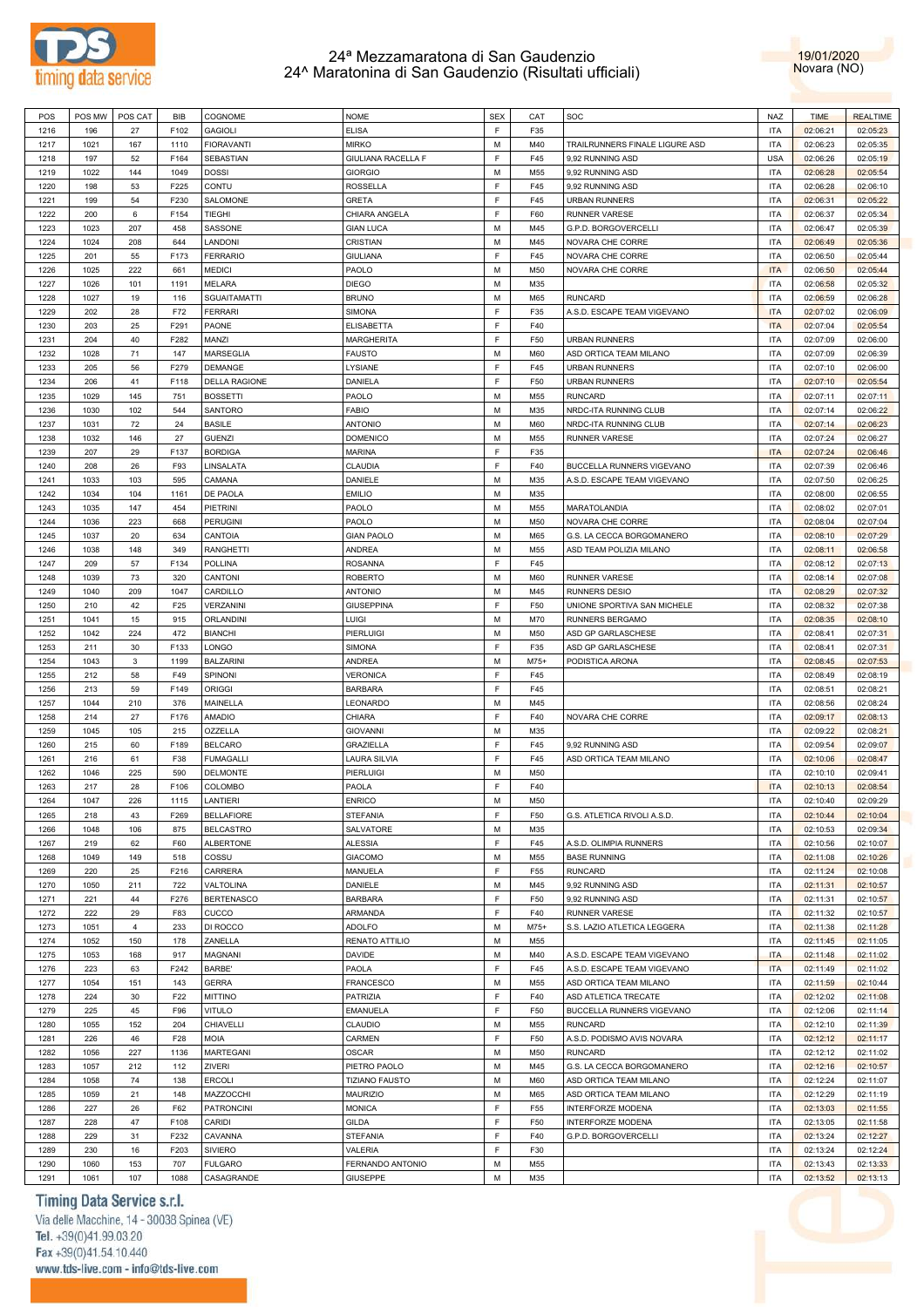



| POS  | POS MW | POS CAT        | <b>BIB</b> | COGNOME              | <b>NOME</b>           | <b>SEX</b> | CAT    | SOC                            | NAZ        | <b>TIME</b> | <b>REALTIME</b> |
|------|--------|----------------|------------|----------------------|-----------------------|------------|--------|--------------------------------|------------|-------------|-----------------|
| 1216 | 196    | 27             | F102       | <b>GAGIOLI</b>       | <b>ELISA</b>          | F          | F35    |                                | <b>ITA</b> | 02:06:21    | 02:05:23        |
| 1217 | 1021   | 167            | 1110       | <b>FIORAVANTI</b>    | <b>MIRKO</b>          | М          | M40    | TRAILRUNNERS FINALE LIGURE ASD | <b>ITA</b> | 02:06:23    | 02:05:35        |
| 1218 | 197    | 52             | F164       | <b>SEBASTIAN</b>     | GIULIANA RACELLA F    | F          | F45    | 9,92 RUNNING ASD               | <b>USA</b> | 02:06:26    | 02:05:19        |
| 1219 | 1022   | 144            | 1049       | <b>DOSSI</b>         | <b>GIORGIO</b>        | М          | M55    | 9,92 RUNNING ASD               | <b>ITA</b> | 02:06:28    | 02:05:54        |
|      |        |                |            |                      |                       | F          |        |                                |            |             |                 |
| 1220 | 198    | 53             | F225       | CONTU                | <b>ROSSELLA</b>       |            | F45    | 9,92 RUNNING ASD               | <b>ITA</b> | 02:06:28    | 02:06:10        |
| 1221 | 199    | 54             | F230       | SALOMONE             | <b>GRETA</b>          | F          | F45    | <b>URBAN RUNNERS</b>           | <b>ITA</b> | 02:06:31    | 02:05:22        |
| 1222 | 200    | 6              | F154       | TIEGHI               | CHIARA ANGELA         | F          | F60    | <b>RUNNER VARESE</b>           | <b>ITA</b> | 02:06:37    | 02:05:34        |
| 1223 | 1023   | 207            | 458        | SASSONE              | <b>GIAN LUCA</b>      | M          | M45    | G.P.D. BORGOVERCELLI           | <b>ITA</b> | 02:06:47    | 02:05:39        |
| 1224 | 1024   | 208            | 644        | LANDONI              | CRISTIAN              | M          | M45    | NOVARA CHE CORRE               | <b>ITA</b> | 02:06:49    | 02:05:36        |
| 1225 | 201    | 55             | F173       | <b>FERRARIO</b>      | <b>GIULIANA</b>       | E          | F45    | NOVARA CHE CORRE               | <b>ITA</b> | 02:06:50    | 02:05:44        |
| 1226 | 1025   | 222            | 661        | <b>MEDICI</b>        | PAOLO                 | M          | M50    | NOVARA CHE CORRE               | <b>ITA</b> | 02:06:50    | 02:05:44        |
| 1227 | 1026   | 101            | 1191       | MELARA               | <b>DIEGO</b>          | M          | M35    |                                | <b>ITA</b> | 02:06:58    | 02:05:32        |
| 1228 | 1027   | 19             | 116        | <b>SGUAITAMATTI</b>  | <b>BRUNO</b>          | M          | M65    | <b>RUNCARD</b>                 | <b>ITA</b> | 02:06:59    | 02:06:28        |
|      |        |                |            |                      |                       | F          |        | A.S.D. ESCAPE TEAM VIGEVANO    | <b>ITA</b> | 02:07:02    |                 |
| 1229 | 202    | 28             | F72        | <b>FERRARI</b>       | SIMONA                |            | F35    |                                |            |             | 02:06:09        |
| 1230 | 203    | 25             | F291       | PAONE                | ELISABETTA            | F          | F40    |                                | <b>ITA</b> | 02:07:04    | 02:05:54        |
| 1231 | 204    | 40             | F282       | MANZI                | <b>MARGHERITA</b>     | F          | F50    | <b>URBAN RUNNERS</b>           | <b>ITA</b> | 02:07:09    | 02:06:00        |
| 1232 | 1028   | 71             | 147        | MARSEGLIA            | <b>FAUSTO</b>         | М          | M60    | ASD ORTICA TEAM MILANO         | <b>ITA</b> | 02:07:09    | 02:06:39        |
| 1233 | 205    | 56             | F279       | DEMANGE              | LYSIANE               | F          | F45    | <b>URBAN RUNNERS</b>           | <b>ITA</b> | 02:07:10    | 02:06:00        |
| 1234 | 206    | 41             | F118       | <b>DELLA RAGIONE</b> | DANIELA               | F          | F50    | <b>URBAN RUNNERS</b>           | <b>ITA</b> | 02:07:10    | 02:05:54        |
| 1235 | 1029   | 145            | 751        | <b>BOSSETTI</b>      | PAOLO                 | M          | M55    | <b>RUNCARD</b>                 | <b>ITA</b> | 02:07:11    | 02:07:11        |
| 1236 | 1030   | 102            | 544        | SANTORO              | <b>FABIO</b>          | M          | M35    | NRDC-ITA RUNNING CLUB          | <b>ITA</b> | 02:07:14    | 02:06:22        |
| 1237 | 1031   | 72             | 24         | <b>BASILE</b>        | <b>ANTONIO</b>        | M          | M60    | NRDC-ITA RUNNING CLUB          | <b>ITA</b> | 02:07:14    | 02:06:23        |
| 1238 | 1032   | 146            | 27         | <b>GUENZI</b>        | <b>DOMENICO</b>       | М          | M55    | <b>RUNNER VARESE</b>           | <b>ITA</b> | 02:07:24    | 02:06:27        |
|      |        |                |            |                      |                       | E          |        |                                |            |             |                 |
| 1239 | 207    | 29             | F137       | <b>BORDIGA</b>       | <b>MARINA</b>         |            | F35    |                                | <b>ITA</b> | 02:07:24    | 02:06:46        |
| 1240 | 208    | 26             | F93        | LINSALATA            | CLAUDIA               | F          | F40    | BUCCELLA RUNNERS VIGEVANO      | <b>ITA</b> | 02:07:39    | 02:06:46        |
| 1241 | 1033   | 103            | 595        | CAMANA               | DANIELE               | M          | M35    | A.S.D. ESCAPE TEAM VIGEVANO    | <b>ITA</b> | 02:07:50    | 02:06:25        |
| 1242 | 1034   | 104            | 1161       | DE PAOLA             | <b>EMILIO</b>         | М          | M35    |                                | <b>ITA</b> | 02:08:00    | 02:06:55        |
| 1243 | 1035   | 147            | 454        | PIETRINI             | PAOLO                 | М          | M55    | MARATOLANDIA                   | <b>ITA</b> | 02:08:02    | 02:07:01        |
| 1244 | 1036   | 223            | 668        | <b>PERUGINI</b>      | PAOLO                 | М          | M50    | NOVARA CHE CORRE               | <b>ITA</b> | 02:08:04    | 02:07:04        |
| 1245 | 1037   | 20             | 634        | CANTOIA              | <b>GIAN PAOLO</b>     | М          | M65    | G.S. LA CECCA BORGOMANERO      | <b>ITA</b> | 02:08:10    | 02:07:29        |
| 1246 | 1038   | 148            | 349        | <b>RANGHETTI</b>     | ANDREA                | М          | M55    | ASD TEAM POLIZIA MILANO        | <b>ITA</b> | 02:08:11    | 02:06:58        |
| 1247 | 209    | 57             | F134       | <b>POLLINA</b>       | <b>ROSANNA</b>        | F          | F45    |                                | <b>ITA</b> | 02:08:12    | 02:07:13        |
|      |        |                |            |                      |                       |            |        |                                |            |             |                 |
| 1248 | 1039   | 73             | 320        | CANTONI              | <b>ROBERTO</b>        | М          | M60    | <b>RUNNER VARESE</b>           | <b>ITA</b> | 02:08:14    | 02:07:08        |
| 1249 | 1040   | 209            | 1047       | CARDILLO             | <b>ANTONIO</b>        | M          | M45    | <b>RUNNERS DESIO</b>           | <b>ITA</b> | 02:08:29    | 02:07:32        |
| 1250 | 210    | 42             | F25        | VERZANINI            | <b>GIUSEPPINA</b>     | E          | F50    | UNIONE SPORTIVA SAN MICHELE    | <b>ITA</b> | 02:08:32    | 02:07:38        |
| 1251 | 1041   | 15             | 915        | <b>ORLANDINI</b>     | LUIGI                 | M          | M70    | RUNNERS BERGAMO                | <b>ITA</b> | 02:08:35    | 02:08:10        |
| 1252 | 1042   | 224            | 472        | <b>BIANCHI</b>       | PIERLUIGI             | M          | M50    | ASD GP GARLASCHESE             | <b>ITA</b> | 02:08:41    | 02:07:31        |
| 1253 | 211    | 30             | F133       | LONGO                | <b>SIMONA</b>         | F          | F35    | ASD GP GARLASCHESE             | <b>ITA</b> | 02:08:41    | 02:07:31        |
| 1254 | 1043   | 3              | 1199       | <b>BALZARINI</b>     | <b>ANDREA</b>         | M          | M75+   | PODISTICA ARONA                | <b>ITA</b> | 02:08:45    | 02:07:53        |
| 1255 | 212    | 58             | F49        | SPINONI              | <b>VERONICA</b>       | F          | F45    |                                | <b>ITA</b> | 02:08:49    | 02:08:19        |
| 1256 | 213    | 59             | F149       | <b>ORIGGI</b>        | <b>BARBARA</b>        | F          | F45    |                                | <b>ITA</b> | 02:08:51    | 02:08:21        |
| 1257 | 1044   | 210            | 376        | MAINELLA             | LEONARDO              | М          | M45    |                                | <b>ITA</b> | 02:08:56    | 02:08:24        |
|      |        |                |            |                      |                       | F          |        |                                |            |             |                 |
| 1258 | 214    | 27             | F176       | <b>AMADIO</b>        | CHIARA                |            | F40    | NOVARA CHE CORRE               | <b>ITA</b> | 02:09:17    | 02:08:13        |
| 1259 | 1045   | 105            | 215        | OZZELLA              | <b>GIOVANNI</b>       | M          | M35    |                                | <b>ITA</b> | 02:09:22    | 02:08:21        |
| 1260 | 215    | 60             | F189       | <b>BELCARO</b>       | <b>GRAZIELLA</b>      | E          | F45    | 9,92 RUNNING ASD               | <b>ITA</b> | 02:09:54    | 02:09:07        |
| 1261 | 216    | 61             | F38        | <b>FUMAGALLI</b>     | <b>LAURA SILVIA</b>   | F          | F45    | ASD ORTICA TEAM MILANO         | <b>ITA</b> | 02:10:06    | 02:08:47        |
| 1262 | 1046   | 225            | 590        | <b>DELMONTE</b>      | PIERLUIGI             | М          | M50    |                                | <b>ITA</b> | 02:10:10    | 02:09:41        |
| 1263 | 217    | 28             | F106       | COLOMBO              | PAOLA                 | F          | F40    |                                | <b>ITA</b> | 02:10:13    | 02:08:54        |
| 1264 | 1047   | 226            | 1115       | LANTIERI             | <b>ENRICO</b>         | M          | M50    |                                | <b>ITA</b> | 02:10:40    | 02:09:29        |
| 1265 | 218    | 43             | F269       | <b>BELLAFIORE</b>    | <b>STEFANIA</b>       | F          | F50    | G.S. ATLETICA RIVOLI A.S.D.    | <b>ITA</b> | 02:10:44    | 02:10:04        |
| 1266 | 1048   | 106            | 875        | <b>BELCASTRO</b>     | SALVATORE             | M          | M35    |                                | <b>ITA</b> | 02:10:53    | 02:09:34        |
|      |        |                |            |                      |                       | F          | F45    |                                |            |             |                 |
| 1267 | 219    | 62             | F60        | <b>ALBERTONE</b>     | <b>ALESSIA</b>        |            |        | A.S.D. OLIMPIA RUNNERS         | <b>ITA</b> | 02:10:56    | 02:10:07        |
| 1268 | 1049   | 149            | 518        | COSSU                | <b>GIACOMO</b>        | M          | M55    | <b>BASE RUNNING</b>            | <b>ITA</b> | 02:11:08    | 02:10:26        |
| 1269 | 220    | 25             | F216       | CARRERA              | MANUELA               | F          | F55    | <b>RUNCARD</b>                 | <b>ITA</b> | 02:11:24    | 02:10:08        |
| 1270 | 1050   | 211            | 722        | VALTOLINA            | DANIELE               | M          | M45    | 9,92 RUNNING ASD               | <b>ITA</b> | 02:11:31    | 02:10:57        |
| 1271 | 221    | 44             | F276       | <b>BERTENASCO</b>    | <b>BARBARA</b>        | F          | F50    | 9,92 RUNNING ASD               | <b>ITA</b> | 02:11:31    | 02:10:57        |
| 1272 | 222    | 29             | F83        | CUCCO                | ARMANDA               | F          | F40    | RUNNER VARESE                  | <b>ITA</b> | 02:11:32    | 02:10:57        |
| 1273 | 1051   | $\overline{4}$ | 233        | DI ROCCO             | <b>ADOLFO</b>         | M          | $M75+$ | S.S. LAZIO ATLETICA LEGGERA    | <b>ITA</b> | 02:11:38    | 02:11:28        |
| 1274 | 1052   | 150            | 178        | ZANELLA              | RENATO ATTILIO        | M          | M55    |                                | <b>ITA</b> | 02:11:45    | 02:11:05        |
| 1275 |        | 168            | 917        | MAGNANI              | DAVIDE                | M          | M40    | A.S.D. ESCAPE TEAM VIGEVANO    | <b>ITA</b> | 02:11:48    | 02:11:02        |
| 1276 |        |                |            |                      |                       |            |        |                                |            |             |                 |
|      | 1053   |                |            |                      |                       |            |        |                                |            |             |                 |
| 1277 | 223    | 63             | F242       | BARBE'               | PAOLA                 | F          | F45    | A.S.D. ESCAPE TEAM VIGEVANO    | <b>ITA</b> | 02:11:49    | 02:11:02        |
|      | 1054   | 151            | 143        | <b>GERRA</b>         | <b>FRANCESCO</b>      | M          | M55    | ASD ORTICA TEAM MILANO         | <b>ITA</b> | 02:11:59    | 02:10:44        |
| 1278 | 224    | 30             | F22        | <b>MITTINO</b>       | PATRIZIA              | F          | F40    | ASD ATLETICA TRECATE           | <b>ITA</b> | 02:12:02    | 02:11:08        |
| 1279 | 225    | 45             | F96        | <b>VITULO</b>        | <b>EMANUELA</b>       | E          | F50    | BUCCELLA RUNNERS VIGEVANO      | <b>ITA</b> | 02:12:06    | 02:11:14        |
| 1280 | 1055   | 152            | 204        | CHIAVELLI            | CLAUDIO               | M          | M55    | <b>RUNCARD</b>                 | <b>ITA</b> | 02:12:10    | 02:11:39        |
| 1281 | 226    | 46             | F28        | <b>MOIA</b>          | CARMEN                | F          | F50    | A.S.D. PODISMO AVIS NOVARA     | <b>ITA</b> | 02:12:12    | 02:11:17        |
| 1282 | 1056   | 227            | 1136       | <b>MARTEGANI</b>     | <b>OSCAR</b>          | M          | M50    | <b>RUNCARD</b>                 | <b>ITA</b> | 02:12:12    | 02:11:02        |
| 1283 | 1057   | 212            | 112        | ZIVERI               | PIETRO PAOLO          | M          | M45    | G.S. LA CECCA BORGOMANERO      | <b>ITA</b> | 02:12:16    | 02:10:57        |
|      |        |                |            |                      |                       |            |        |                                |            |             |                 |
| 1284 | 1058   | 74             | 138        | <b>ERCOLI</b>        | <b>TIZIANO FAUSTO</b> | M          | M60    | ASD ORTICA TEAM MILANO         | <b>ITA</b> | 02:12:24    | 02:11:07        |
| 1285 | 1059   | 21             | 148        | MAZZOCCHI            | MAURIZIO              | M          | M65    | ASD ORTICA TEAM MILANO         | <b>ITA</b> | 02:12:29    | 02:11:19        |
| 1286 | 227    | 26             | F62        | <b>PATRONCINI</b>    | <b>MONICA</b>         | F          | F55    | <b>INTERFORZE MODENA</b>       | <b>ITA</b> | 02:13:03    | 02:11:55        |
| 1287 | 228    | 47             | F108       | CARIDI               | <b>GILDA</b>          | F          | F50    | <b>INTERFORZE MODENA</b>       | <b>ITA</b> | 02:13:05    | 02:11:58        |
| 1288 | 229    | 31             | F232       | CAVANNA              | <b>STEFANIA</b>       | F          | F40    | G.P.D. BORGOVERCELLI           | <b>ITA</b> | 02:13:24    | 02:12:27        |
| 1289 | 230    | 16             | F203       | SIVIERO              | VALERIA               | E          | F30    |                                | <b>ITA</b> | 02:13:24    | 02:12:24        |
| 1290 | 1060   | 153            | 707        | <b>FULGARO</b>       | FERNANDO ANTONIO      | M          | M55    |                                | <b>ITA</b> | 02:13:43    | 02:13:33        |

### Timing Data Service s.r.l.